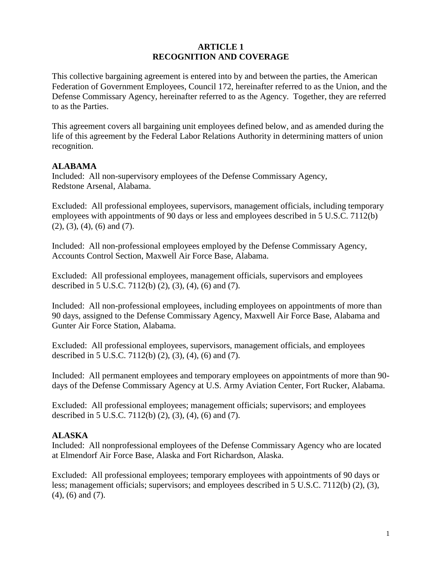#### **ARTICLE 1 RECOGNITION AND COVERAGE**

This collective bargaining agreement is entered into by and between the parties, the American Federation of Government Employees, Council 172, hereinafter referred to as the Union, and the Defense Commissary Agency, hereinafter referred to as the Agency. Together, they are referred to as the Parties.

This agreement covers all bargaining unit employees defined below, and as amended during the life of this agreement by the Federal Labor Relations Authority in determining matters of union recognition.

### **ALABAMA**

Included: All non-supervisory employees of the Defense Commissary Agency, Redstone Arsenal, Alabama.

Excluded: All professional employees, supervisors, management officials, including temporary employees with appointments of 90 days or less and employees described in 5 U.S.C. 7112(b) (2), (3), (4), (6) and (7).

Included: All non-professional employees employed by the Defense Commissary Agency, Accounts Control Section, Maxwell Air Force Base, Alabama.

Excluded: All professional employees, management officials, supervisors and employees described in 5 U.S.C. 7112(b) (2), (3), (4), (6) and (7).

Included: All non-professional employees, including employees on appointments of more than 90 days, assigned to the Defense Commissary Agency, Maxwell Air Force Base, Alabama and Gunter Air Force Station, Alabama.

Excluded: All professional employees, supervisors, management officials, and employees described in 5 U.S.C. 7112(b) (2), (3), (4), (6) and (7).

Included: All permanent employees and temporary employees on appointments of more than 90 days of the Defense Commissary Agency at U.S. Army Aviation Center, Fort Rucker, Alabama.

Excluded: All professional employees; management officials; supervisors; and employees described in 5 U.S.C. 7112(b) (2), (3), (4), (6) and (7).

## **ALASKA**

Included: All nonprofessional employees of the Defense Commissary Agency who are located at Elmendorf Air Force Base, Alaska and Fort Richardson, Alaska.

Excluded: All professional employees; temporary employees with appointments of 90 days or less; management officials; supervisors; and employees described in 5 U.S.C. 7112(b) (2), (3), (4), (6) and (7).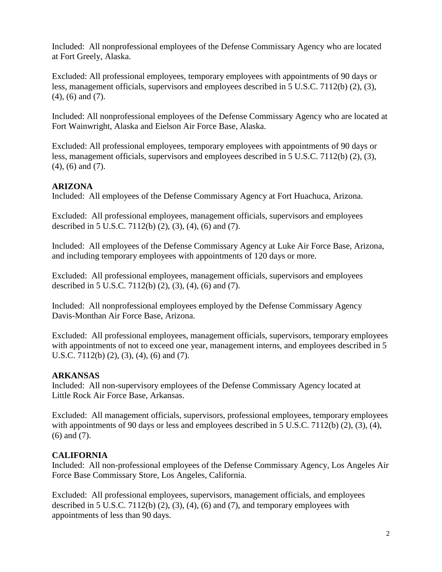Included: All nonprofessional employees of the Defense Commissary Agency who are located at Fort Greely, Alaska.

Excluded: All professional employees, temporary employees with appointments of 90 days or less, management officials, supervisors and employees described in 5 U.S.C. 7112(b) (2), (3), (4), (6) and (7).

Included: All nonprofessional employees of the Defense Commissary Agency who are located at Fort Wainwright, Alaska and Eielson Air Force Base, Alaska.

Excluded: All professional employees, temporary employees with appointments of 90 days or less, management officials, supervisors and employees described in 5 U.S.C. 7112(b) (2), (3), (4), (6) and (7).

# **ARIZONA**

Included: All employees of the Defense Commissary Agency at Fort Huachuca, Arizona.

Excluded: All professional employees, management officials, supervisors and employees described in 5 U.S.C. 7112(b) (2), (3), (4), (6) and (7).

Included: All employees of the Defense Commissary Agency at Luke Air Force Base, Arizona, and including temporary employees with appointments of 120 days or more.

Excluded: All professional employees, management officials, supervisors and employees described in 5 U.S.C. 7112(b) (2), (3), (4), (6) and (7).

Included: All nonprofessional employees employed by the Defense Commissary Agency Davis-Monthan Air Force Base, Arizona.

Excluded: All professional employees, management officials, supervisors, temporary employees with appointments of not to exceed one year, management interns, and employees described in 5 U.S.C. 7112(b) (2), (3), (4), (6) and (7).

# **ARKANSAS**

Included: All non-supervisory employees of the Defense Commissary Agency located at Little Rock Air Force Base, Arkansas.

Excluded: All management officials, supervisors, professional employees, temporary employees with appointments of 90 days or less and employees described in 5 U.S.C. 7112(b) (2), (3), (4), (6) and (7).

# **CALIFORNIA**

Included: All non-professional employees of the Defense Commissary Agency, Los Angeles Air Force Base Commissary Store, Los Angeles, California.

Excluded: All professional employees, supervisors, management officials, and employees described in 5 U.S.C.  $7112(b)$  (2), (3), (4), (6) and (7), and temporary employees with appointments of less than 90 days.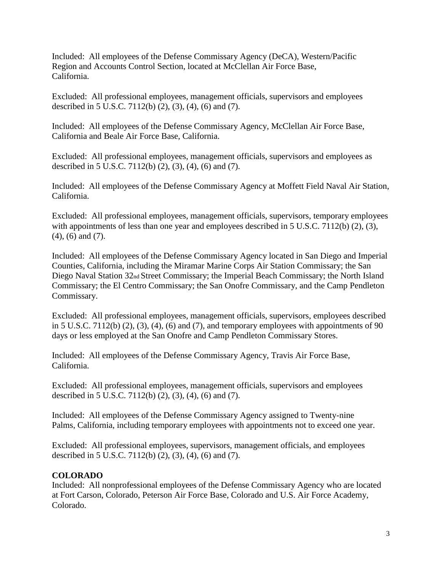Included: All employees of the Defense Commissary Agency (DeCA), Western/Pacific Region and Accounts Control Section, located at McClellan Air Force Base, California.

Excluded: All professional employees, management officials, supervisors and employees described in 5 U.S.C. 7112(b) (2), (3), (4), (6) and (7).

Included: All employees of the Defense Commissary Agency, McClellan Air Force Base, California and Beale Air Force Base, California.

Excluded: All professional employees, management officials, supervisors and employees as described in 5 U.S.C. 7112(b) (2), (3), (4), (6) and (7).

Included: All employees of the Defense Commissary Agency at Moffett Field Naval Air Station, California.

Excluded: All professional employees, management officials, supervisors, temporary employees with appointments of less than one year and employees described in 5 U.S.C. 7112(b) (2), (3), (4), (6) and (7).

Included: All employees of the Defense Commissary Agency located in San Diego and Imperial Counties, California, including the Miramar Marine Corps Air Station Commissary; the San Diego Naval Station 32nd Street Commissary; the Imperial Beach Commissary; the North Island Commissary; the El Centro Commissary; the San Onofre Commissary, and the Camp Pendleton Commissary.

Excluded: All professional employees, management officials, supervisors, employees described in 5 U.S.C. 7112(b)  $(2)$ ,  $(3)$ ,  $(4)$ ,  $(6)$  and  $(7)$ , and temporary employees with appointments of 90 days or less employed at the San Onofre and Camp Pendleton Commissary Stores.

Included: All employees of the Defense Commissary Agency, Travis Air Force Base, California.

Excluded: All professional employees, management officials, supervisors and employees described in 5 U.S.C. 7112(b) (2), (3), (4), (6) and (7).

Included: All employees of the Defense Commissary Agency assigned to Twenty-nine Palms, California, including temporary employees with appointments not to exceed one year.

Excluded: All professional employees, supervisors, management officials, and employees described in 5 U.S.C. 7112(b) (2), (3), (4), (6) and (7).

# **COLORADO**

Included: All nonprofessional employees of the Defense Commissary Agency who are located at Fort Carson, Colorado, Peterson Air Force Base, Colorado and U.S. Air Force Academy, Colorado.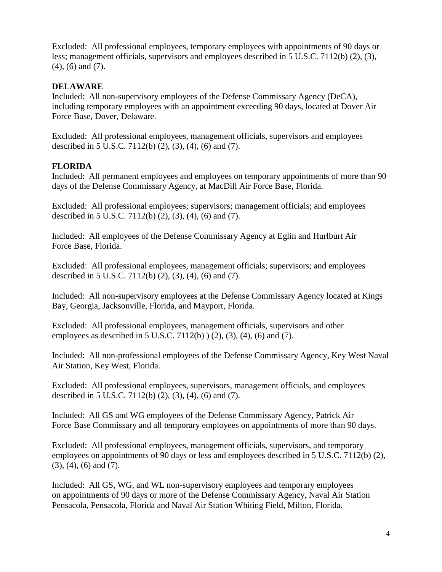Excluded: All professional employees, temporary employees with appointments of 90 days or less; management officials, supervisors and employees described in 5 U.S.C. 7112(b) (2), (3), (4), (6) and (7).

### **DELAWARE**

Included: All non-supervisory employees of the Defense Commissary Agency (DeCA), including temporary employees with an appointment exceeding 90 days, located at Dover Air Force Base, Dover, Delaware.

Excluded: All professional employees, management officials, supervisors and employees described in 5 U.S.C. 7112(b) (2), (3), (4), (6) and (7).

### **FLORIDA**

Included: All permanent employees and employees on temporary appointments of more than 90 days of the Defense Commissary Agency, at MacDill Air Force Base, Florida.

Excluded: All professional employees; supervisors; management officials; and employees described in 5 U.S.C. 7112(b) (2), (3), (4), (6) and (7).

Included: All employees of the Defense Commissary Agency at Eglin and Hurlburt Air Force Base, Florida.

Excluded: All professional employees, management officials; supervisors; and employees described in 5 U.S.C. 7112(b) (2), (3), (4), (6) and (7).

Included: All non-supervisory employees at the Defense Commissary Agency located at Kings Bay, Georgia, Jacksonville, Florida, and Mayport, Florida.

Excluded: All professional employees, management officials, supervisors and other employees as described in 5 U.S.C. 7112(b)  $(2)$ ,  $(3)$ ,  $(4)$ ,  $(6)$  and  $(7)$ .

Included: All non-professional employees of the Defense Commissary Agency, Key West Naval Air Station, Key West, Florida.

Excluded: All professional employees, supervisors, management officials, and employees described in 5 U.S.C. 7112(b) (2), (3), (4), (6) and (7).

Included: All GS and WG employees of the Defense Commissary Agency, Patrick Air Force Base Commissary and all temporary employees on appointments of more than 90 days.

Excluded: All professional employees, management officials, supervisors, and temporary employees on appointments of 90 days or less and employees described in 5 U.S.C. 7112(b) (2), (3), (4), (6) and (7).

Included: All GS, WG, and WL non-supervisory employees and temporary employees on appointments of 90 days or more of the Defense Commissary Agency, Naval Air Station Pensacola, Pensacola, Florida and Naval Air Station Whiting Field, Milton, Florida.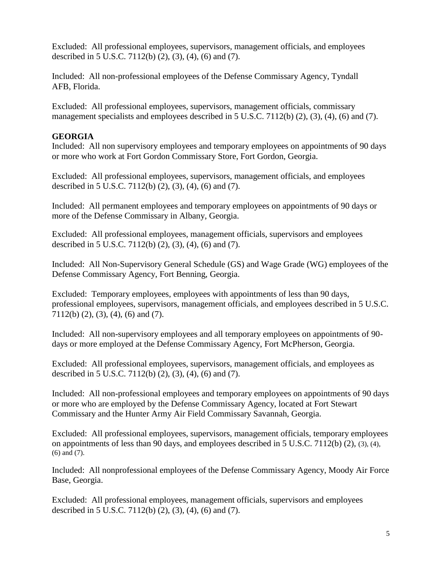Excluded: All professional employees, supervisors, management officials, and employees described in 5 U.S.C. 7112(b) (2), (3), (4), (6) and (7).

Included: All non-professional employees of the Defense Commissary Agency, Tyndall AFB, Florida.

Excluded: All professional employees, supervisors, management officials, commissary management specialists and employees described in 5 U.S.C. 7112(b) (2), (3), (4), (6) and (7).

## **GEORGIA**

Included: All non supervisory employees and temporary employees on appointments of 90 days or more who work at Fort Gordon Commissary Store, Fort Gordon, Georgia.

Excluded: All professional employees, supervisors, management officials, and employees described in 5 U.S.C. 7112(b) (2), (3), (4), (6) and (7).

Included: All permanent employees and temporary employees on appointments of 90 days or more of the Defense Commissary in Albany, Georgia.

Excluded: All professional employees, management officials, supervisors and employees described in 5 U.S.C. 7112(b) (2), (3), (4), (6) and (7).

Included: All Non-Supervisory General Schedule (GS) and Wage Grade (WG) employees of the Defense Commissary Agency, Fort Benning, Georgia.

Excluded: Temporary employees, employees with appointments of less than 90 days, professional employees, supervisors, management officials, and employees described in 5 U.S.C. 7112(b) (2), (3), (4), (6) and (7).

Included: All non-supervisory employees and all temporary employees on appointments of 90 days or more employed at the Defense Commissary Agency, Fort McPherson, Georgia.

Excluded: All professional employees, supervisors, management officials, and employees as described in 5 U.S.C. 7112(b) (2), (3), (4), (6) and (7).

Included: All non-professional employees and temporary employees on appointments of 90 days or more who are employed by the Defense Commissary Agency, located at Fort Stewart Commissary and the Hunter Army Air Field Commissary Savannah, Georgia.

Excluded: All professional employees, supervisors, management officials, temporary employees on appointments of less than 90 days, and employees described in 5 U.S.C. 7112(b) (2), (3), (4), (6) and (7).

Included: All nonprofessional employees of the Defense Commissary Agency, Moody Air Force Base, Georgia.

Excluded: All professional employees, management officials, supervisors and employees described in 5 U.S.C. 7112(b) (2), (3), (4), (6) and (7).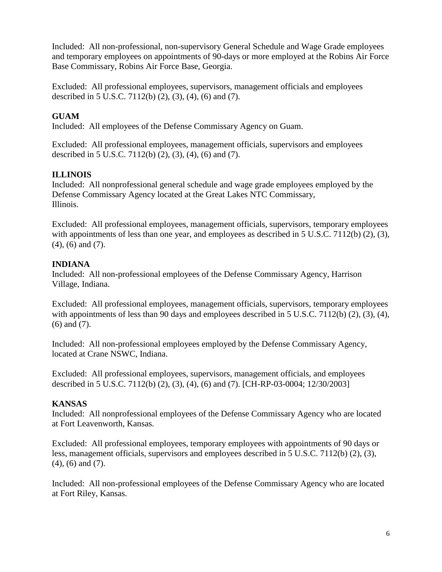Included: All non-professional, non-supervisory General Schedule and Wage Grade employees and temporary employees on appointments of 90-days or more employed at the Robins Air Force Base Commissary, Robins Air Force Base, Georgia.

Excluded: All professional employees, supervisors, management officials and employees described in 5 U.S.C. 7112(b) (2), (3), (4), (6) and (7).

# **GUAM**

Included: All employees of the Defense Commissary Agency on Guam.

Excluded: All professional employees, management officials, supervisors and employees described in 5 U.S.C. 7112(b) (2), (3), (4), (6) and (7).

# **ILLINOIS**

Included: All nonprofessional general schedule and wage grade employees employed by the Defense Commissary Agency located at the Great Lakes NTC Commissary, Illinois.

Excluded: All professional employees, management officials, supervisors, temporary employees with appointments of less than one year, and employees as described in 5 U.S.C. 7112(b) (2), (3), (4), (6) and (7).

# **INDIANA**

Included: All non-professional employees of the Defense Commissary Agency, Harrison Village, Indiana.

Excluded: All professional employees, management officials, supervisors, temporary employees with appointments of less than 90 days and employees described in 5 U.S.C. 7112(b) (2), (3), (4), (6) and (7).

Included: All non-professional employees employed by the Defense Commissary Agency, located at Crane NSWC, Indiana.

Excluded: All professional employees, supervisors, management officials, and employees described in 5 U.S.C. 7112(b) (2), (3), (4), (6) and (7). [CH-RP-03-0004; 12/30/2003]

# **KANSAS**

Included: All nonprofessional employees of the Defense Commissary Agency who are located at Fort Leavenworth, Kansas.

Excluded: All professional employees, temporary employees with appointments of 90 days or less, management officials, supervisors and employees described in 5 U.S.C. 7112(b) (2), (3), (4), (6) and (7).

Included: All non-professional employees of the Defense Commissary Agency who are located at Fort Riley, Kansas.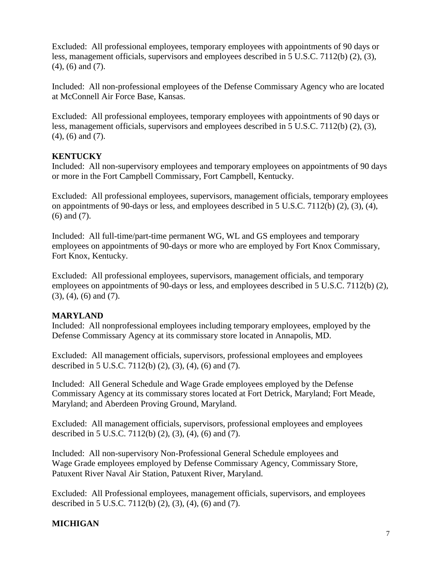Excluded: All professional employees, temporary employees with appointments of 90 days or less, management officials, supervisors and employees described in 5 U.S.C. 7112(b) (2), (3), (4), (6) and (7).

Included: All non-professional employees of the Defense Commissary Agency who are located at McConnell Air Force Base, Kansas.

Excluded: All professional employees, temporary employees with appointments of 90 days or less, management officials, supervisors and employees described in 5 U.S.C. 7112(b) (2), (3), (4), (6) and (7).

## **KENTUCKY**

Included: All non-supervisory employees and temporary employees on appointments of 90 days or more in the Fort Campbell Commissary, Fort Campbell, Kentucky.

Excluded: All professional employees, supervisors, management officials, temporary employees on appointments of 90-days or less, and employees described in 5 U.S.C. 7112(b) (2), (3), (4), (6) and (7).

Included: All full-time/part-time permanent WG, WL and GS employees and temporary employees on appointments of 90-days or more who are employed by Fort Knox Commissary, Fort Knox, Kentucky.

Excluded: All professional employees, supervisors, management officials, and temporary employees on appointments of 90-days or less, and employees described in 5 U.S.C. 7112(b) (2), (3), (4), (6) and (7).

# **MARYLAND**

Included: All nonprofessional employees including temporary employees, employed by the Defense Commissary Agency at its commissary store located in Annapolis, MD.

Excluded: All management officials, supervisors, professional employees and employees described in 5 U.S.C. 7112(b) (2), (3), (4), (6) and (7).

Included: All General Schedule and Wage Grade employees employed by the Defense Commissary Agency at its commissary stores located at Fort Detrick, Maryland; Fort Meade, Maryland; and Aberdeen Proving Ground, Maryland.

Excluded: All management officials, supervisors, professional employees and employees described in 5 U.S.C. 7112(b) (2), (3), (4), (6) and (7).

Included: All non-supervisory Non-Professional General Schedule employees and Wage Grade employees employed by Defense Commissary Agency, Commissary Store, Patuxent River Naval Air Station, Patuxent River, Maryland.

Excluded: All Professional employees, management officials, supervisors, and employees described in 5 U.S.C. 7112(b) (2), (3), (4), (6) and (7).

# **MICHIGAN**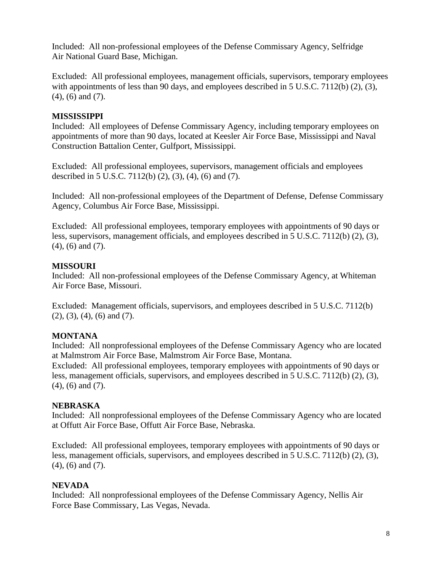Included: All non-professional employees of the Defense Commissary Agency, Selfridge Air National Guard Base, Michigan.

Excluded: All professional employees, management officials, supervisors, temporary employees with appointments of less than 90 days, and employees described in 5 U.S.C. 7112(b) (2), (3), (4), (6) and (7).

## **MISSISSIPPI**

Included: All employees of Defense Commissary Agency, including temporary employees on appointments of more than 90 days, located at Keesler Air Force Base, Mississippi and Naval Construction Battalion Center, Gulfport, Mississippi.

Excluded: All professional employees, supervisors, management officials and employees described in 5 U.S.C. 7112(b) (2), (3), (4), (6) and (7).

Included: All non-professional employees of the Department of Defense, Defense Commissary Agency, Columbus Air Force Base, Mississippi.

Excluded: All professional employees, temporary employees with appointments of 90 days or less, supervisors, management officials, and employees described in 5 U.S.C. 7112(b) (2), (3), (4), (6) and (7).

# **MISSOURI**

Included: All non-professional employees of the Defense Commissary Agency, at Whiteman Air Force Base, Missouri.

Excluded: Management officials, supervisors, and employees described in 5 U.S.C. 7112(b) (2), (3), (4), (6) and (7).

# **MONTANA**

Included: All nonprofessional employees of the Defense Commissary Agency who are located at Malmstrom Air Force Base, Malmstrom Air Force Base, Montana. Excluded: All professional employees, temporary employees with appointments of 90 days or less, management officials, supervisors, and employees described in 5 U.S.C. 7112(b) (2), (3), (4), (6) and (7).

# **NEBRASKA**

Included: All nonprofessional employees of the Defense Commissary Agency who are located at Offutt Air Force Base, Offutt Air Force Base, Nebraska.

Excluded: All professional employees, temporary employees with appointments of 90 days or less, management officials, supervisors, and employees described in 5 U.S.C. 7112(b) (2), (3), (4), (6) and (7).

# **NEVADA**

Included: All nonprofessional employees of the Defense Commissary Agency, Nellis Air Force Base Commissary, Las Vegas, Nevada.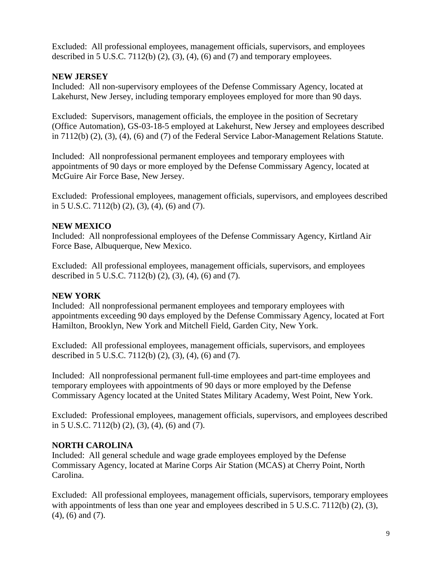Excluded: All professional employees, management officials, supervisors, and employees described in 5 U.S.C. 7112(b)  $(2)$ ,  $(3)$ ,  $(4)$ ,  $(6)$  and  $(7)$  and temporary employees.

## **NEW JERSEY**

Included: All non-supervisory employees of the Defense Commissary Agency, located at Lakehurst, New Jersey, including temporary employees employed for more than 90 days.

Excluded: Supervisors, management officials, the employee in the position of Secretary (Office Automation), GS-03-18-5 employed at Lakehurst, New Jersey and employees described in 7112(b) (2), (3), (4), (6) and (7) of the Federal Service Labor-Management Relations Statute.

Included: All nonprofessional permanent employees and temporary employees with appointments of 90 days or more employed by the Defense Commissary Agency, located at McGuire Air Force Base, New Jersey.

Excluded: Professional employees, management officials, supervisors, and employees described in 5 U.S.C. 7112(b) (2), (3), (4), (6) and (7).

# **NEW MEXICO**

Included: All nonprofessional employees of the Defense Commissary Agency, Kirtland Air Force Base, Albuquerque, New Mexico.

Excluded: All professional employees, management officials, supervisors, and employees described in 5 U.S.C. 7112(b) (2), (3), (4), (6) and (7).

# **NEW YORK**

Included: All nonprofessional permanent employees and temporary employees with appointments exceeding 90 days employed by the Defense Commissary Agency, located at Fort Hamilton, Brooklyn, New York and Mitchell Field, Garden City, New York.

Excluded: All professional employees, management officials, supervisors, and employees described in 5 U.S.C. 7112(b) (2), (3), (4), (6) and (7).

Included: All nonprofessional permanent full-time employees and part-time employees and temporary employees with appointments of 90 days or more employed by the Defense Commissary Agency located at the United States Military Academy, West Point, New York.

Excluded: Professional employees, management officials, supervisors, and employees described in 5 U.S.C. 7112(b) (2), (3), (4), (6) and (7).

# **NORTH CAROLINA**

Included: All general schedule and wage grade employees employed by the Defense Commissary Agency, located at Marine Corps Air Station (MCAS) at Cherry Point, North Carolina.

Excluded: All professional employees, management officials, supervisors, temporary employees with appointments of less than one year and employees described in  $5 \text{ U.S.C. } 7112 \text{ (b)} (2)$ , (3), (4), (6) and (7).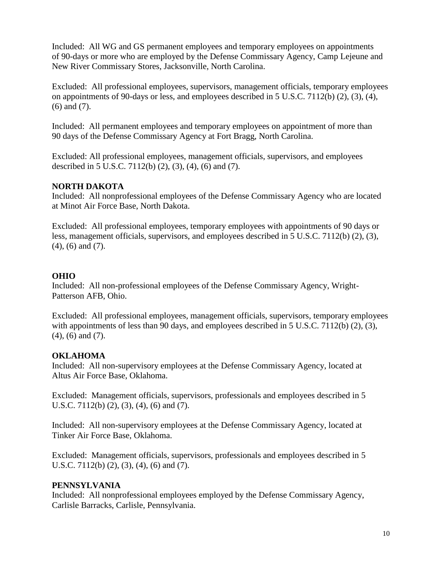Included: All WG and GS permanent employees and temporary employees on appointments of 90-days or more who are employed by the Defense Commissary Agency, Camp Lejeune and New River Commissary Stores, Jacksonville, North Carolina.

Excluded: All professional employees, supervisors, management officials, temporary employees on appointments of 90-days or less, and employees described in 5 U.S.C. 7112(b) (2), (3), (4), (6) and (7).

Included: All permanent employees and temporary employees on appointment of more than 90 days of the Defense Commissary Agency at Fort Bragg, North Carolina.

Excluded: All professional employees, management officials, supervisors, and employees described in 5 U.S.C. 7112(b) (2), (3), (4), (6) and (7).

## **NORTH DAKOTA**

Included: All nonprofessional employees of the Defense Commissary Agency who are located at Minot Air Force Base, North Dakota.

Excluded: All professional employees, temporary employees with appointments of 90 days or less, management officials, supervisors, and employees described in 5 U.S.C. 7112(b) (2), (3), (4), (6) and (7).

### **OHIO**

Included: All non-professional employees of the Defense Commissary Agency, Wright-Patterson AFB, Ohio.

Excluded: All professional employees, management officials, supervisors, temporary employees with appointments of less than 90 days, and employees described in 5 U.S.C. 7112(b) (2), (3), (4), (6) and (7).

## **OKLAHOMA**

Included: All non-supervisory employees at the Defense Commissary Agency, located at Altus Air Force Base, Oklahoma.

Excluded: Management officials, supervisors, professionals and employees described in 5 U.S.C. 7112(b) (2), (3), (4), (6) and (7).

Included: All non-supervisory employees at the Defense Commissary Agency, located at Tinker Air Force Base, Oklahoma.

Excluded: Management officials, supervisors, professionals and employees described in 5 U.S.C. 7112(b) (2), (3), (4), (6) and (7).

## **PENNSYLVANIA**

Included: All nonprofessional employees employed by the Defense Commissary Agency, Carlisle Barracks, Carlisle, Pennsylvania.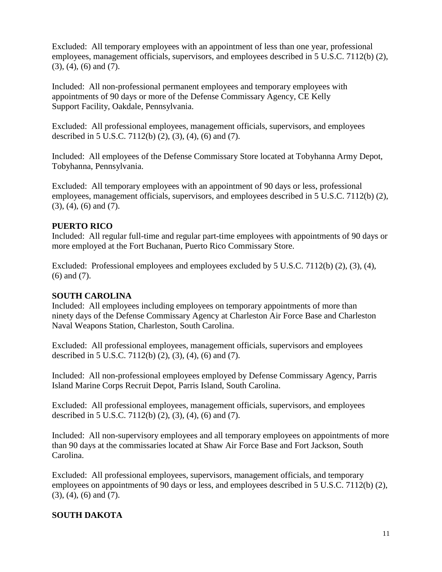Excluded: All temporary employees with an appointment of less than one year, professional employees, management officials, supervisors, and employees described in 5 U.S.C. 7112(b) (2), (3), (4), (6) and (7).

Included: All non-professional permanent employees and temporary employees with appointments of 90 days or more of the Defense Commissary Agency, CE Kelly Support Facility, Oakdale, Pennsylvania.

Excluded: All professional employees, management officials, supervisors, and employees described in 5 U.S.C. 7112(b) (2), (3), (4), (6) and (7).

Included: All employees of the Defense Commissary Store located at Tobyhanna Army Depot, Tobyhanna, Pennsylvania.

Excluded: All temporary employees with an appointment of 90 days or less, professional employees, management officials, supervisors, and employees described in 5 U.S.C. 7112(b) (2), (3), (4), (6) and (7).

## **PUERTO RICO**

Included: All regular full-time and regular part-time employees with appointments of 90 days or more employed at the Fort Buchanan, Puerto Rico Commissary Store.

Excluded: Professional employees and employees excluded by 5 U.S.C. 7112(b) (2), (3), (4), (6) and (7).

## **SOUTH CAROLINA**

Included: All employees including employees on temporary appointments of more than ninety days of the Defense Commissary Agency at Charleston Air Force Base and Charleston Naval Weapons Station, Charleston, South Carolina.

Excluded: All professional employees, management officials, supervisors and employees described in 5 U.S.C. 7112(b) (2), (3), (4), (6) and (7).

Included: All non-professional employees employed by Defense Commissary Agency, Parris Island Marine Corps Recruit Depot, Parris Island, South Carolina.

Excluded: All professional employees, management officials, supervisors, and employees described in 5 U.S.C. 7112(b) (2), (3), (4), (6) and (7).

Included: All non-supervisory employees and all temporary employees on appointments of more than 90 days at the commissaries located at Shaw Air Force Base and Fort Jackson, South Carolina.

Excluded: All professional employees, supervisors, management officials, and temporary employees on appointments of 90 days or less, and employees described in 5 U.S.C. 7112(b) (2), (3), (4), (6) and (7).

# **SOUTH DAKOTA**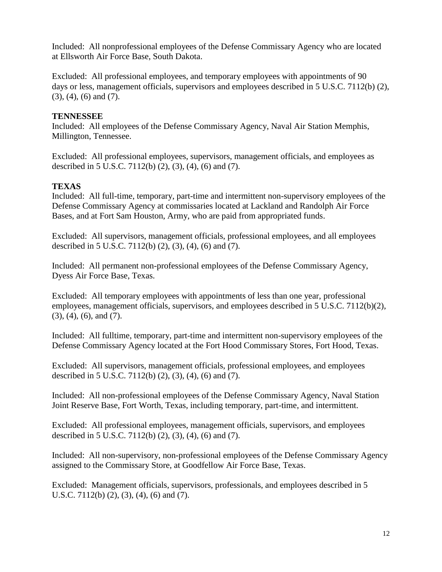Included: All nonprofessional employees of the Defense Commissary Agency who are located at Ellsworth Air Force Base, South Dakota.

Excluded: All professional employees, and temporary employees with appointments of 90 days or less, management officials, supervisors and employees described in 5 U.S.C. 7112(b) (2), (3), (4), (6) and (7).

## **TENNESSEE**

Included: All employees of the Defense Commissary Agency, Naval Air Station Memphis, Millington, Tennessee.

Excluded: All professional employees, supervisors, management officials, and employees as described in 5 U.S.C. 7112(b) (2), (3), (4), (6) and (7).

# **TEXAS**

Included: All full-time, temporary, part-time and intermittent non-supervisory employees of the Defense Commissary Agency at commissaries located at Lackland and Randolph Air Force Bases, and at Fort Sam Houston, Army, who are paid from appropriated funds.

Excluded: All supervisors, management officials, professional employees, and all employees described in 5 U.S.C. 7112(b) (2), (3), (4), (6) and (7).

Included: All permanent non-professional employees of the Defense Commissary Agency, Dyess Air Force Base, Texas.

Excluded: All temporary employees with appointments of less than one year, professional employees, management officials, supervisors, and employees described in 5 U.S.C. 7112(b)(2), (3), (4), (6), and (7).

Included: All fulltime, temporary, part-time and intermittent non-supervisory employees of the Defense Commissary Agency located at the Fort Hood Commissary Stores, Fort Hood, Texas.

Excluded: All supervisors, management officials, professional employees, and employees described in 5 U.S.C. 7112(b) (2), (3), (4), (6) and (7).

Included: All non-professional employees of the Defense Commissary Agency, Naval Station Joint Reserve Base, Fort Worth, Texas, including temporary, part-time, and intermittent.

Excluded: All professional employees, management officials, supervisors, and employees described in 5 U.S.C. 7112(b) (2), (3), (4), (6) and (7).

Included: All non-supervisory, non-professional employees of the Defense Commissary Agency assigned to the Commissary Store, at Goodfellow Air Force Base, Texas.

Excluded: Management officials, supervisors, professionals, and employees described in 5 U.S.C. 7112(b) (2), (3), (4), (6) and (7).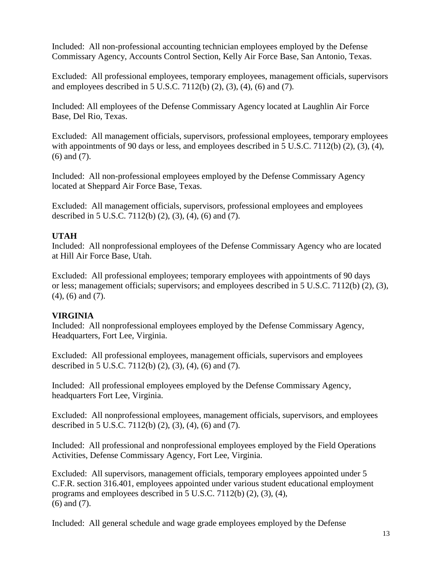Included: All non-professional accounting technician employees employed by the Defense Commissary Agency, Accounts Control Section, Kelly Air Force Base, San Antonio, Texas.

Excluded: All professional employees, temporary employees, management officials, supervisors and employees described in 5 U.S.C. 7112(b) (2), (3), (4), (6) and (7).

Included: All employees of the Defense Commissary Agency located at Laughlin Air Force Base, Del Rio, Texas.

Excluded: All management officials, supervisors, professional employees, temporary employees with appointments of 90 days or less, and employees described in 5 U.S.C. 7112(b) (2), (3), (4), (6) and (7).

Included: All non-professional employees employed by the Defense Commissary Agency located at Sheppard Air Force Base, Texas.

Excluded: All management officials, supervisors, professional employees and employees described in 5 U.S.C. 7112(b) (2), (3), (4), (6) and (7).

# **UTAH**

Included: All nonprofessional employees of the Defense Commissary Agency who are located at Hill Air Force Base, Utah.

Excluded: All professional employees; temporary employees with appointments of 90 days or less; management officials; supervisors; and employees described in 5 U.S.C. 7112(b) (2), (3), (4), (6) and (7).

# **VIRGINIA**

Included: All nonprofessional employees employed by the Defense Commissary Agency, Headquarters, Fort Lee, Virginia.

Excluded: All professional employees, management officials, supervisors and employees described in 5 U.S.C. 7112(b) (2), (3), (4), (6) and (7).

Included: All professional employees employed by the Defense Commissary Agency, headquarters Fort Lee, Virginia.

Excluded: All nonprofessional employees, management officials, supervisors, and employees described in 5 U.S.C. 7112(b) (2), (3), (4), (6) and (7).

Included: All professional and nonprofessional employees employed by the Field Operations Activities, Defense Commissary Agency, Fort Lee, Virginia.

Excluded: All supervisors, management officials, temporary employees appointed under 5 C.F.R. section 316.401, employees appointed under various student educational employment programs and employees described in 5 U.S.C. 7112(b) (2), (3), (4), (6) and (7).

Included: All general schedule and wage grade employees employed by the Defense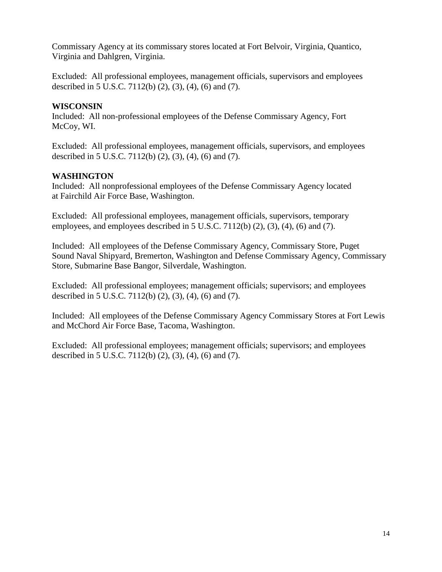Commissary Agency at its commissary stores located at Fort Belvoir, Virginia, Quantico, Virginia and Dahlgren, Virginia.

Excluded: All professional employees, management officials, supervisors and employees described in 5 U.S.C. 7112(b) (2), (3), (4), (6) and (7).

## **WISCONSIN**

Included: All non-professional employees of the Defense Commissary Agency, Fort McCoy, WI.

Excluded: All professional employees, management officials, supervisors, and employees described in 5 U.S.C. 7112(b) (2), (3), (4), (6) and (7).

# **WASHINGTON**

Included: All nonprofessional employees of the Defense Commissary Agency located at Fairchild Air Force Base, Washington.

Excluded: All professional employees, management officials, supervisors, temporary employees, and employees described in  $5$  U.S.C.  $7112(b)$   $(2)$ ,  $(3)$ ,  $(4)$ ,  $(6)$  and  $(7)$ .

Included: All employees of the Defense Commissary Agency, Commissary Store, Puget Sound Naval Shipyard, Bremerton, Washington and Defense Commissary Agency, Commissary Store, Submarine Base Bangor, Silverdale, Washington.

Excluded: All professional employees; management officials; supervisors; and employees described in 5 U.S.C. 7112(b) (2), (3), (4), (6) and (7).

Included: All employees of the Defense Commissary Agency Commissary Stores at Fort Lewis and McChord Air Force Base, Tacoma, Washington.

Excluded: All professional employees; management officials; supervisors; and employees described in 5 U.S.C. 7112(b) (2), (3), (4), (6) and (7).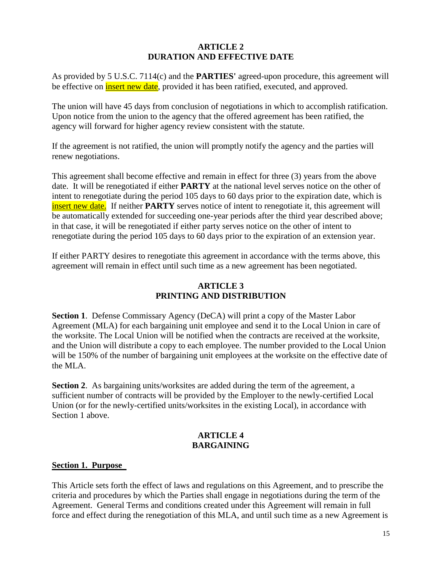#### **ARTICLE 2 DURATION AND EFFECTIVE DATE**

As provided by 5 U.S.C. 7114(c) and the **PARTIES'** agreed-upon procedure, this agreement will be effective on **insert new date**, provided it has been ratified, executed, and approved.

The union will have 45 days from conclusion of negotiations in which to accomplish ratification. Upon notice from the union to the agency that the offered agreement has been ratified, the agency will forward for higher agency review consistent with the statute.

If the agreement is not ratified, the union will promptly notify the agency and the parties will renew negotiations.

This agreement shall become effective and remain in effect for three (3) years from the above date. It will be renegotiated if either **PARTY** at the national level serves notice on the other of intent to renegotiate during the period 105 days to 60 days prior to the expiration date, which is insert new date. If neither **PARTY** serves notice of intent to renegotiate it, this agreement will be automatically extended for succeeding one-year periods after the third year described above; in that case, it will be renegotiated if either party serves notice on the other of intent to renegotiate during the period 105 days to 60 days prior to the expiration of an extension year.

If either PARTY desires to renegotiate this agreement in accordance with the terms above, this agreement will remain in effect until such time as a new agreement has been negotiated.

# **ARTICLE 3 PRINTING AND DISTRIBUTION**

**Section 1**. Defense Commissary Agency (DeCA) will print a copy of the Master Labor Agreement (MLA) for each bargaining unit employee and send it to the Local Union in care of the worksite. The Local Union will be notified when the contracts are received at the worksite, and the Union will distribute a copy to each employee. The number provided to the Local Union will be 150% of the number of bargaining unit employees at the worksite on the effective date of the MLA.

**Section 2.** As bargaining units/worksites are added during the term of the agreement, a sufficient number of contracts will be provided by the Employer to the newly-certified Local Union (or for the newly-certified units/worksites in the existing Local), in accordance with Section 1 above.

## **ARTICLE 4 BARGAINING**

## **Section 1. Purpose**

This Article sets forth the effect of laws and regulations on this Agreement, and to prescribe the criteria and procedures by which the Parties shall engage in negotiations during the term of the Agreement. General Terms and conditions created under this Agreement will remain in full force and effect during the renegotiation of this MLA, and until such time as a new Agreement is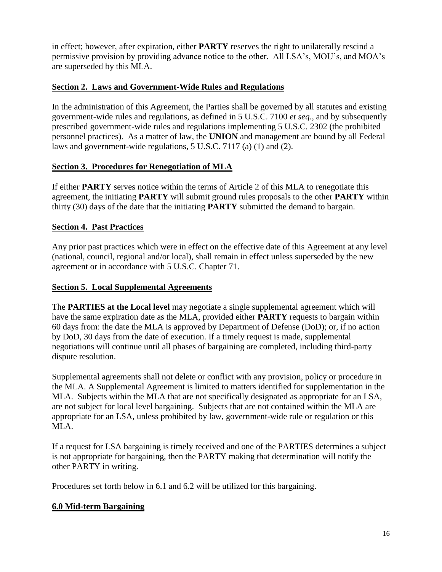in effect; however, after expiration, either **PARTY** reserves the right to unilaterally rescind a permissive provision by providing advance notice to the other. All LSA's, MOU's, and MOA's are superseded by this MLA.

## **Section 2. Laws and Government-Wide Rules and Regulations**

In the administration of this Agreement, the Parties shall be governed by all statutes and existing government-wide rules and regulations, as defined in 5 U.S.C. 7100 *et seq*., and by subsequently prescribed government-wide rules and regulations implementing 5 U.S.C. 2302 (the prohibited personnel practices). As a matter of law, the **UNION** and management are bound by all Federal laws and government-wide regulations, 5 U.S.C. 7117 (a) (1) and (2).

# **Section 3. Procedures for Renegotiation of MLA**

If either **PARTY** serves notice within the terms of Article 2 of this MLA to renegotiate this agreement, the initiating **PARTY** will submit ground rules proposals to the other **PARTY** within thirty (30) days of the date that the initiating **PARTY** submitted the demand to bargain.

# **Section 4. Past Practices**

Any prior past practices which were in effect on the effective date of this Agreement at any level (national, council, regional and/or local), shall remain in effect unless superseded by the new agreement or in accordance with 5 U.S.C. Chapter 71.

## **Section 5. Local Supplemental Agreements**

The **PARTIES at the Local level** may negotiate a single supplemental agreement which will have the same expiration date as the MLA, provided either **PARTY** requests to bargain within 60 days from: the date the MLA is approved by Department of Defense (DoD); or, if no action by DoD, 30 days from the date of execution. If a timely request is made, supplemental negotiations will continue until all phases of bargaining are completed, including third-party dispute resolution.

Supplemental agreements shall not delete or conflict with any provision, policy or procedure in the MLA. A Supplemental Agreement is limited to matters identified for supplementation in the MLA. Subjects within the MLA that are not specifically designated as appropriate for an LSA, are not subject for local level bargaining. Subjects that are not contained within the MLA are appropriate for an LSA, unless prohibited by law, government-wide rule or regulation or this MLA.

If a request for LSA bargaining is timely received and one of the PARTIES determines a subject is not appropriate for bargaining, then the PARTY making that determination will notify the other PARTY in writing.

Procedures set forth below in 6.1 and 6.2 will be utilized for this bargaining.

# **6.0 Mid-term Bargaining**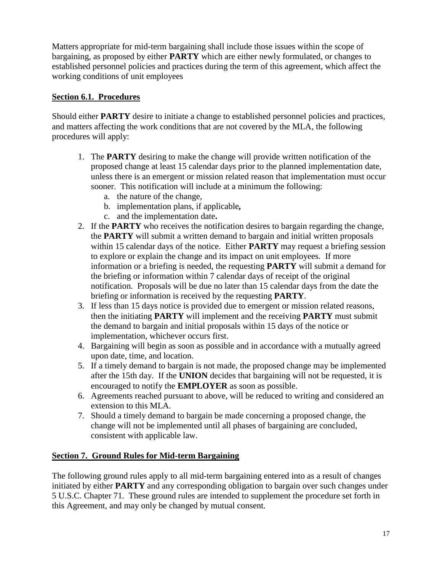Matters appropriate for mid-term bargaining shall include those issues within the scope of bargaining, as proposed by either **PARTY** which are either newly formulated, or changes to established personnel policies and practices during the term of this agreement, which affect the working conditions of unit employees

## **Section 6.1. Procedures**

Should either **PARTY** desire to initiate a change to established personnel policies and practices, and matters affecting the work conditions that are not covered by the MLA, the following procedures will apply:

- 1. The **PARTY** desiring to make the change will provide written notification of the proposed change at least 15 calendar days prior to the planned implementation date, unless there is an emergent or mission related reason that implementation must occur sooner. This notification will include at a minimum the following:
	- a. the nature of the change,
	- b. implementation plans, if applicable*,*
	- c. and the implementation date**.**
- 2. If the **PARTY** who receives the notification desires to bargain regarding the change, the **PARTY** will submit a written demand to bargain and initial written proposals within 15 calendar days of the notice. Either **PARTY** may request a briefing session to explore or explain the change and its impact on unit employees. If more information or a briefing is needed, the requesting **PARTY** will submit a demand for the briefing or information within 7 calendar days of receipt of the original notification. Proposals will be due no later than 15 calendar days from the date the briefing or information is received by the requesting **PARTY**.
- 3. If less than 15 days notice is provided due to emergent or mission related reasons, then the initiating **PARTY** will implement and the receiving **PARTY** must submit the demand to bargain and initial proposals within 15 days of the notice or implementation, whichever occurs first.
- 4. Bargaining will begin as soon as possible and in accordance with a mutually agreed upon date, time, and location.
- 5. If a timely demand to bargain is not made, the proposed change may be implemented after the 15th day. If the **UNION** decides that bargaining will not be requested, it is encouraged to notify the **EMPLOYER** as soon as possible.
- 6. Agreements reached pursuant to above, will be reduced to writing and considered an extension to this MLA.
- 7. Should a timely demand to bargain be made concerning a proposed change, the change will not be implemented until all phases of bargaining are concluded, consistent with applicable law.

## **Section 7. Ground Rules for Mid-term Bargaining**

The following ground rules apply to all mid-term bargaining entered into as a result of changes initiated by either **PARTY** and any corresponding obligation to bargain over such changes under 5 U.S.C. Chapter 71. These ground rules are intended to supplement the procedure set forth in this Agreement, and may only be changed by mutual consent.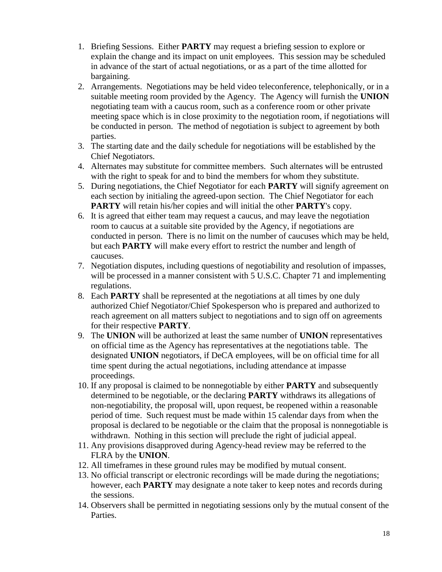- 1. Briefing Sessions. Either **PARTY** may request a briefing session to explore or explain the change and its impact on unit employees. This session may be scheduled in advance of the start of actual negotiations, or as a part of the time allotted for bargaining.
- 2. Arrangements. Negotiations may be held video teleconference, telephonically, or in a suitable meeting room provided by the Agency. The Agency will furnish the **UNION** negotiating team with a caucus room, such as a conference room or other private meeting space which is in close proximity to the negotiation room, if negotiations will be conducted in person. The method of negotiation is subject to agreement by both parties.
- 3. The starting date and the daily schedule for negotiations will be established by the Chief Negotiators.
- 4. Alternates may substitute for committee members. Such alternates will be entrusted with the right to speak for and to bind the members for whom they substitute.
- 5. During negotiations, the Chief Negotiator for each **PARTY** will signify agreement on each section by initialing the agreed-upon section. The Chief Negotiator for each **PARTY** will retain his/her copies and will initial the other **PARTY**'s copy.
- 6. It is agreed that either team may request a caucus, and may leave the negotiation room to caucus at a suitable site provided by the Agency, if negotiations are conducted in person. There is no limit on the number of caucuses which may be held, but each **PARTY** will make every effort to restrict the number and length of caucuses.
- 7. Negotiation disputes, including questions of negotiability and resolution of impasses, will be processed in a manner consistent with 5 U.S.C. Chapter 71 and implementing regulations.
- 8. Each **PARTY** shall be represented at the negotiations at all times by one duly authorized Chief Negotiator/Chief Spokesperson who is prepared and authorized to reach agreement on all matters subject to negotiations and to sign off on agreements for their respective **PARTY**.
- 9. The **UNION** will be authorized at least the same number of **UNION** representatives on official time as the Agency has representatives at the negotiations table. The designated **UNION** negotiators, if DeCA employees, will be on official time for all time spent during the actual negotiations, including attendance at impasse proceedings.
- 10. If any proposal is claimed to be nonnegotiable by either **PARTY** and subsequently determined to be negotiable, or the declaring **PARTY** withdraws its allegations of non-negotiability, the proposal will, upon request, be reopened within a reasonable period of time. Such request must be made within 15 calendar days from when the proposal is declared to be negotiable or the claim that the proposal is nonnegotiable is withdrawn. Nothing in this section will preclude the right of judicial appeal.
- 11. Any provisions disapproved during Agency-head review may be referred to the FLRA by the **UNION**.
- 12. All timeframes in these ground rules may be modified by mutual consent.
- 13. No official transcript or electronic recordings will be made during the negotiations; however, each **PARTY** may designate a note taker to keep notes and records during the sessions.
- 14. Observers shall be permitted in negotiating sessions only by the mutual consent of the Parties.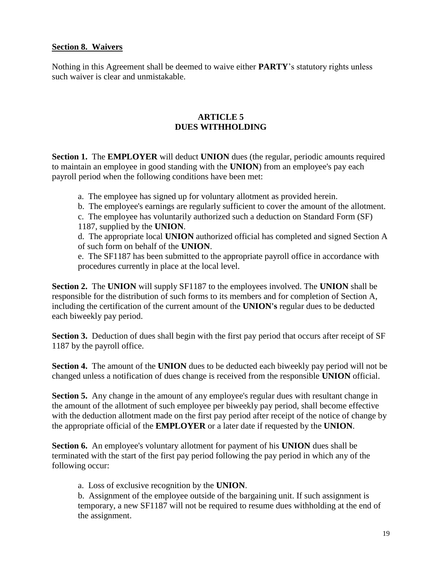### **Section 8. Waivers**

Nothing in this Agreement shall be deemed to waive either **PARTY**'s statutory rights unless such waiver is clear and unmistakable.

### **ARTICLE 5 DUES WITHHOLDING**

**Section 1.** The **EMPLOYER** will deduct **UNION** dues (the regular, periodic amounts required to maintain an employee in good standing with the **UNION**) from an employee's pay each payroll period when the following conditions have been met:

- a. The employee has signed up for voluntary allotment as provided herein.
- b. The employee's earnings are regularly sufficient to cover the amount of the allotment.
- c. The employee has voluntarily authorized such a deduction on Standard Form (SF) 1187, supplied by the **UNION**.
- d. The appropriate local **UNION** authorized official has completed and signed Section A of such form on behalf of the **UNION**.
- e. The SF1187 has been submitted to the appropriate payroll office in accordance with procedures currently in place at the local level.

**Section 2.** The **UNION** will supply SF1187 to the employees involved. The **UNION** shall be responsible for the distribution of such forms to its members and for completion of Section A, including the certification of the current amount of the **UNION's** regular dues to be deducted each biweekly pay period.

**Section 3.** Deduction of dues shall begin with the first pay period that occurs after receipt of SF 1187 by the payroll office.

**Section 4.** The amount of the **UNION** dues to be deducted each biweekly pay period will not be changed unless a notification of dues change is received from the responsible **UNION** official.

**Section 5.** Any change in the amount of any employee's regular dues with resultant change in the amount of the allotment of such employee per biweekly pay period, shall become effective with the deduction allotment made on the first pay period after receipt of the notice of change by the appropriate official of the **EMPLOYER** or a later date if requested by the **UNION**.

**Section 6.** An employee's voluntary allotment for payment of his **UNION** dues shall be terminated with the start of the first pay period following the pay period in which any of the following occur:

a. Loss of exclusive recognition by the **UNION**.

b. Assignment of the employee outside of the bargaining unit. If such assignment is temporary, a new SF1187 will not be required to resume dues withholding at the end of the assignment.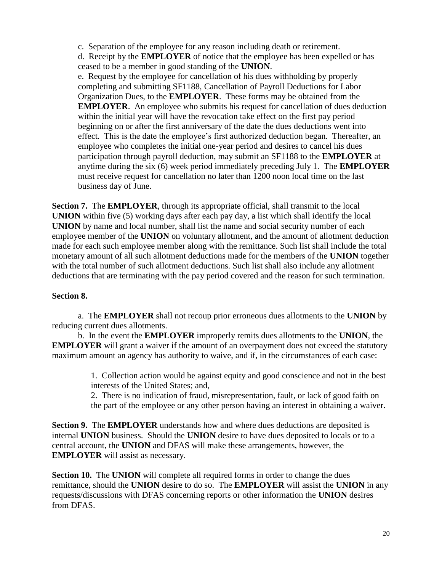c. Separation of the employee for any reason including death or retirement.

d. Receipt by the **EMPLOYER** of notice that the employee has been expelled or has ceased to be a member in good standing of the **UNION**.

e. Request by the employee for cancellation of his dues withholding by properly completing and submitting SF1188, Cancellation of Payroll Deductions for Labor Organization Dues, to the **EMPLOYER**. These forms may be obtained from the **EMPLOYER.** An employee who submits his request for cancellation of dues deduction within the initial year will have the revocation take effect on the first pay period beginning on or after the first anniversary of the date the dues deductions went into effect. This is the date the employee's first authorized deduction began. Thereafter, an employee who completes the initial one-year period and desires to cancel his dues participation through payroll deduction, may submit an SF1188 to the **EMPLOYER** at anytime during the six (6) week period immediately preceding July 1. The **EMPLOYER**  must receive request for cancellation no later than 1200 noon local time on the last business day of June.

**Section 7.** The **EMPLOYER**, through its appropriate official, shall transmit to the local **UNION** within five (5) working days after each pay day, a list which shall identify the local **UNION** by name and local number, shall list the name and social security number of each employee member of the **UNION** on voluntary allotment, and the amount of allotment deduction made for each such employee member along with the remittance. Such list shall include the total monetary amount of all such allotment deductions made for the members of the **UNION** together with the total number of such allotment deductions. Such list shall also include any allotment deductions that are terminating with the pay period covered and the reason for such termination.

# **Section 8.**

a. The **EMPLOYER** shall not recoup prior erroneous dues allotments to the **UNION** by reducing current dues allotments.

b. In the event the **EMPLOYER** improperly remits dues allotments to the **UNION**, the **EMPLOYER** will grant a waiver if the amount of an overpayment does not exceed the statutory maximum amount an agency has authority to waive, and if, in the circumstances of each case:

> 1. Collection action would be against equity and good conscience and not in the best interests of the United States; and,

> 2. There is no indication of fraud, misrepresentation, fault, or lack of good faith on the part of the employee or any other person having an interest in obtaining a waiver.

**Section 9.** The **EMPLOYER** understands how and where dues deductions are deposited is internal **UNION** business. Should the **UNION** desire to have dues deposited to locals or to a central account, the **UNION** and DFAS will make these arrangements, however, the **EMPLOYER** will assist as necessary.

**Section 10.** The **UNION** will complete all required forms in order to change the dues remittance, should the **UNION** desire to do so. The **EMPLOYER** will assist the **UNION** in any requests/discussions with DFAS concerning reports or other information the **UNION** desires from DFAS.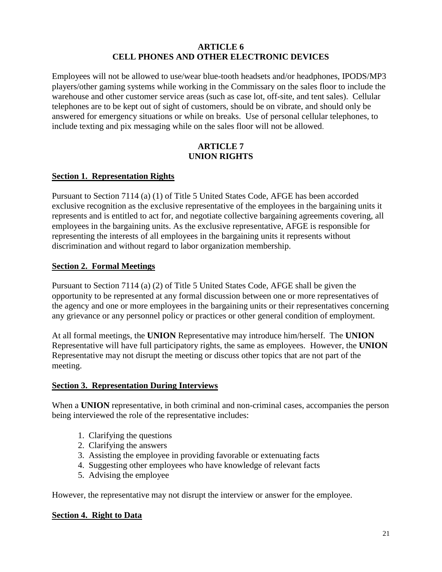#### **ARTICLE 6 CELL PHONES AND OTHER ELECTRONIC DEVICES**

Employees will not be allowed to use/wear blue-tooth headsets and/or headphones, IPODS/MP3 players/other gaming systems while working in the Commissary on the sales floor to include the warehouse and other customer service areas (such as case lot, off-site, and tent sales). Cellular telephones are to be kept out of sight of customers, should be on vibrate, and should only be answered for emergency situations or while on breaks. Use of personal cellular telephones, to include texting and pix messaging while on the sales floor will not be allowed.

### **ARTICLE 7 UNION RIGHTS**

## **Section 1. Representation Rights**

Pursuant to Section 7114 (a) (1) of Title 5 United States Code, AFGE has been accorded exclusive recognition as the exclusive representative of the employees in the bargaining units it represents and is entitled to act for, and negotiate collective bargaining agreements covering, all employees in the bargaining units. As the exclusive representative, AFGE is responsible for representing the interests of all employees in the bargaining units it represents without discrimination and without regard to labor organization membership.

### **Section 2. Formal Meetings**

Pursuant to Section 7114 (a) (2) of Title 5 United States Code, AFGE shall be given the opportunity to be represented at any formal discussion between one or more representatives of the agency and one or more employees in the bargaining units or their representatives concerning any grievance or any personnel policy or practices or other general condition of employment.

At all formal meetings, the **UNION** Representative may introduce him/herself. The **UNION**  Representative will have full participatory rights, the same as employees. However, the **UNION** Representative may not disrupt the meeting or discuss other topics that are not part of the meeting.

## **Section 3. Representation During Interviews**

When a **UNION** representative, in both criminal and non-criminal cases, accompanies the person being interviewed the role of the representative includes:

- 1. Clarifying the questions
- 2. Clarifying the answers
- 3. Assisting the employee in providing favorable or extenuating facts
- 4. Suggesting other employees who have knowledge of relevant facts
- 5. Advising the employee

However, the representative may not disrupt the interview or answer for the employee.

#### **Section 4. Right to Data**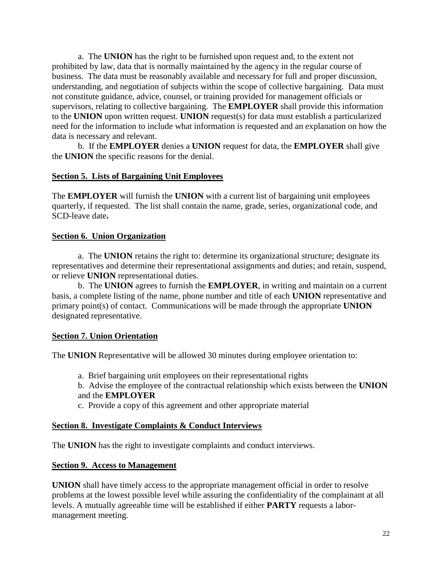a. The **UNION** has the right to be furnished upon request and, to the extent not prohibited by law, data that is normally maintained by the agency in the regular course of business. The data must be reasonably available and necessary for full and proper discussion, understanding, and negotiation of subjects within the scope of collective bargaining. Data must not constitute guidance, advice, counsel, or training provided for management officials or supervisors, relating to collective bargaining. The **EMPLOYER** shall provide this information to the **UNION** upon written request. **UNION** request(s) for data must establish a particularized need for the information to include what information is requested and an explanation on how the data is necessary and relevant.

b. If the **EMPLOYER** denies a **UNION** request for data, the **EMPLOYER** shall give the **UNION** the specific reasons for the denial.

## **Section 5. Lists of Bargaining Unit Employees**

The **EMPLOYER** will furnish the **UNION** with a current list of bargaining unit employees quarterly, if requested. The list shall contain the name, grade, series, organizational code, and SCD-leave date**.**

### **Section 6. Union Organization**

a. The **UNION** retains the right to: determine its organizational structure; designate its representatives and determine their representational assignments and duties; and retain, suspend, or relieve **UNION** representational duties.

b. The **UNION** agrees to furnish the **EMPLOYER**, in writing and maintain on a current basis, a complete listing of the name, phone number and title of each **UNION** representative and primary point(s) of contact. Communications will be made through the appropriate **UNION**  designated representative.

## **Section 7. Union Orientation**

The **UNION** Representative will be allowed 30 minutes during employee orientation to:

- a. Brief bargaining unit employees on their representational rights
- b. Advise the employee of the contractual relationship which exists between the **UNION**  and the **EMPLOYER**
- c. Provide a copy of this agreement and other appropriate material

#### **Section 8. Investigate Complaints & Conduct Interviews**

The **UNION** has the right to investigate complaints and conduct interviews.

#### **Section 9. Access to Management**

**UNION** shall have timely access to the appropriate management official in order to resolve problems at the lowest possible level while assuring the confidentiality of the complainant at all levels. A mutually agreeable time will be established if either **PARTY** requests a labormanagement meeting.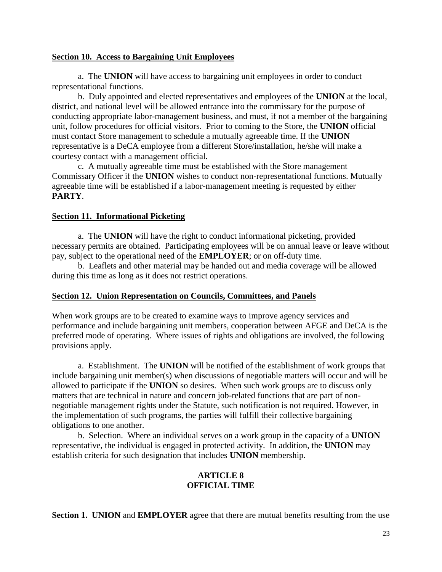#### **Section 10. Access to Bargaining Unit Employees**

a. The **UNION** will have access to bargaining unit employees in order to conduct representational functions.

b. Duly appointed and elected representatives and employees of the **UNION** at the local, district, and national level will be allowed entrance into the commissary for the purpose of conducting appropriate labor-management business, and must, if not a member of the bargaining unit, follow procedures for official visitors. Prior to coming to the Store, the **UNION** official must contact Store management to schedule a mutually agreeable time. If the **UNION** representative is a DeCA employee from a different Store/installation, he/she will make a courtesy contact with a management official.

c. A mutually agreeable time must be established with the Store management Commissary Officer if the **UNION** wishes to conduct non-representational functions. Mutually agreeable time will be established if a labor-management meeting is requested by either **PARTY**.

#### **Section 11. Informational Picketing**

a. The **UNION** will have the right to conduct informational picketing, provided necessary permits are obtained. Participating employees will be on annual leave or leave without pay, subject to the operational need of the **EMPLOYER**; or on off-duty time.

b. Leaflets and other material may be handed out and media coverage will be allowed during this time as long as it does not restrict operations.

#### **Section 12. Union Representation on Councils, Committees, and Panels**

When work groups are to be created to examine ways to improve agency services and performance and include bargaining unit members, cooperation between AFGE and DeCA is the preferred mode of operating. Where issues of rights and obligations are involved, the following provisions apply.

a. Establishment. The **UNION** will be notified of the establishment of work groups that include bargaining unit member(s) when discussions of negotiable matters will occur and will be allowed to participate if the **UNION** so desires. When such work groups are to discuss only matters that are technical in nature and concern job-related functions that are part of nonnegotiable management rights under the Statute, such notification is not required. However, in the implementation of such programs, the parties will fulfill their collective bargaining obligations to one another.

b. Selection. Where an individual serves on a work group in the capacity of a **UNION**  representative, the individual is engaged in protected activity. In addition, the **UNION** may establish criteria for such designation that includes **UNION** membership.

### **ARTICLE 8 OFFICIAL TIME**

**Section 1. UNION** and **EMPLOYER** agree that there are mutual benefits resulting from the use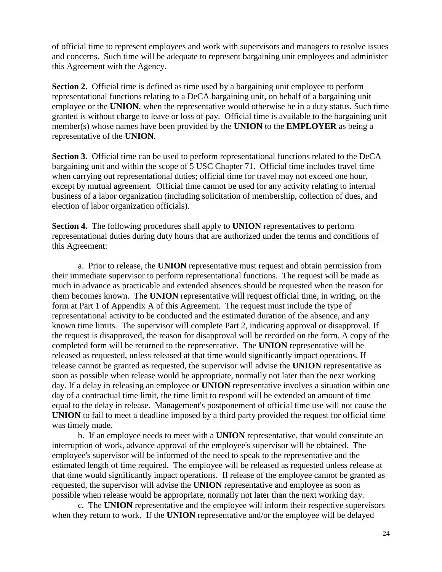of official time to represent employees and work with supervisors and managers to resolve issues and concerns. Such time will be adequate to represent bargaining unit employees and administer this Agreement with the Agency.

**Section 2.** Official time is defined as time used by a bargaining unit employee to perform representational functions relating to a DeCA bargaining unit, on behalf of a bargaining unit employee or the **UNION**, when the representative would otherwise be in a duty status. Such time granted is without charge to leave or loss of pay. Official time is available to the bargaining unit member(s) whose names have been provided by the **UNION** to the **EMPLOYER** as being a representative of the **UNION**.

**Section 3.** Official time can be used to perform representational functions related to the DeCA bargaining unit and within the scope of 5 USC Chapter 71. Official time includes travel time when carrying out representational duties; official time for travel may not exceed one hour, except by mutual agreement. Official time cannot be used for any activity relating to internal business of a labor organization (including solicitation of membership, collection of dues, and election of labor organization officials).

**Section 4.** The following procedures shall apply to **UNION** representatives to perform representational duties during duty hours that are authorized under the terms and conditions of this Agreement:

a. Prior to release, the **UNION** representative must request and obtain permission from their immediate supervisor to perform representational functions. The request will be made as much in advance as practicable and extended absences should be requested when the reason for them becomes known. The **UNION** representative will request official time, in writing, on the form at Part 1 of Appendix A of this Agreement. The request must include the type of representational activity to be conducted and the estimated duration of the absence, and any known time limits. The supervisor will complete Part 2, indicating approval or disapproval. If the request is disapproved, the reason for disapproval will be recorded on the form. A copy of the completed form will be returned to the representative. The **UNION** representative will be released as requested, unless released at that time would significantly impact operations. If release cannot be granted as requested, the supervisor will advise the **UNION** representative as soon as possible when release would be appropriate, normally not later than the next working day. If a delay in releasing an employee or **UNION** representative involves a situation within one day of a contractual time limit, the time limit to respond will be extended an amount of time equal to the delay in release. Management's postponement of official time use will not cause the **UNION** to fail to meet a deadline imposed by a third party provided the request for official time was timely made.

b. If an employee needs to meet with a **UNION** representative, that would constitute an interruption of work, advance approval of the employee's supervisor will be obtained. The employee's supervisor will be informed of the need to speak to the representative and the estimated length of time required. The employee will be released as requested unless release at that time would significantly impact operations. If release of the employee cannot be granted as requested, the supervisor will advise the **UNION** representative and employee as soon as possible when release would be appropriate, normally not later than the next working day.

c. The **UNION** representative and the employee will inform their respective supervisors when they return to work. If the **UNION** representative and/or the employee will be delayed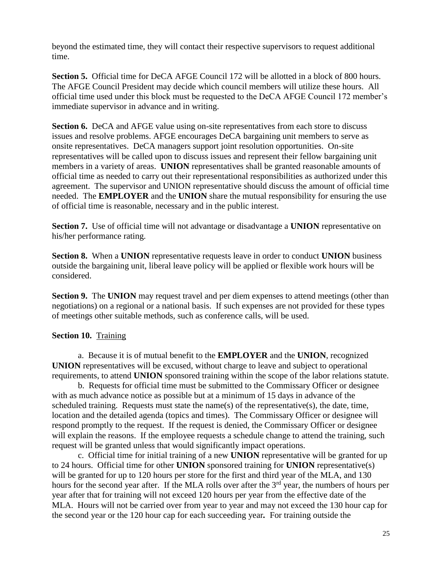beyond the estimated time, they will contact their respective supervisors to request additional time.

**Section 5.**Official time for DeCA AFGE Council 172 will be allotted in a block of 800 hours. The AFGE Council President may decide which council members will utilize these hours. All official time used under this block must be requested to the DeCA AFGE Council 172 member's immediate supervisor in advance and in writing.

**Section 6.** DeCA and AFGE value using on-site representatives from each store to discuss issues and resolve problems. AFGE encourages DeCA bargaining unit members to serve as onsite representatives. DeCA managers support joint resolution opportunities. On-site representatives will be called upon to discuss issues and represent their fellow bargaining unit members in a variety of areas. **UNION** representatives shall be granted reasonable amounts of official time as needed to carry out their representational responsibilities as authorized under this agreement. The supervisor and UNION representative should discuss the amount of official time needed. The **EMPLOYER** and the **UNION** share the mutual responsibility for ensuring the use of official time is reasonable, necessary and in the public interest.

**Section 7.** Use of official time will not advantage or disadvantage a **UNION** representative on his/her performance rating.

**Section 8.** When a **UNION** representative requests leave in order to conduct **UNION** business outside the bargaining unit, liberal leave policy will be applied or flexible work hours will be considered.

**Section 9.** The **UNION** may request travel and per diem expenses to attend meetings (other than negotiations) on a regional or a national basis. If such expenses are not provided for these types of meetings other suitable methods, such as conference calls, will be used.

## **Section 10. Training**

a. Because it is of mutual benefit to the **EMPLOYER** and the **UNION**, recognized **UNION** representatives will be excused, without charge to leave and subject to operational requirements, to attend **UNION** sponsored training within the scope of the labor relations statute.

b. Requests for official time must be submitted to the Commissary Officer or designee with as much advance notice as possible but at a minimum of 15 days in advance of the scheduled training. Requests must state the name(s) of the representative(s), the date, time, location and the detailed agenda (topics and times). The Commissary Officer or designee will respond promptly to the request. If the request is denied, the Commissary Officer or designee will explain the reasons. If the employee requests a schedule change to attend the training, such request will be granted unless that would significantly impact operations.

c. Official time for initial training of a new **UNION** representative will be granted for up to 24 hours. Official time for other **UNION** sponsored training for **UNION** representative(s) will be granted for up to 120 hours per store for the first and third year of the MLA, and 130 hours for the second year after. If the MLA rolls over after the  $3<sup>rd</sup>$  year, the numbers of hours per year after that for training will not exceed 120 hours per year from the effective date of the MLA. Hours will not be carried over from year to year and may not exceed the 130 hour cap for the second year or the 120 hour cap for each succeeding year*.* For training outside the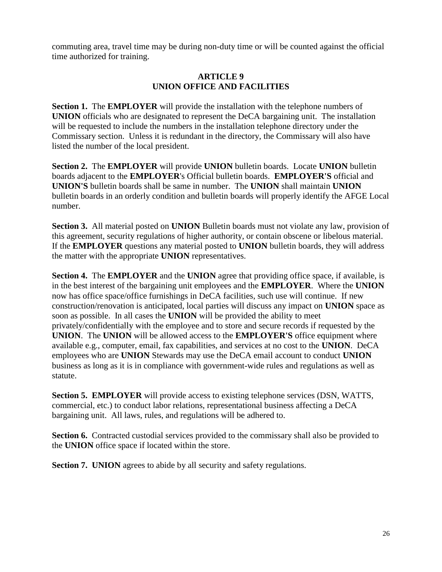commuting area, travel time may be during non-duty time or will be counted against the official time authorized for training.

#### **ARTICLE 9 UNION OFFICE AND FACILITIES**

**Section 1.** The **EMPLOYER** will provide the installation with the telephone numbers of **UNION** officials who are designated to represent the DeCA bargaining unit. The installation will be requested to include the numbers in the installation telephone directory under the Commissary section. Unless it is redundant in the directory, the Commissary will also have listed the number of the local president.

**Section 2.** The **EMPLOYER** will provide **UNION** bulletin boards. Locate **UNION** bulletin boards adjacent to the **EMPLOYER**'s Official bulletin boards. **EMPLOYER'S** official and **UNION'S** bulletin boards shall be same in number. The **UNION** shall maintain **UNION** bulletin boards in an orderly condition and bulletin boards will properly identify the AFGE Local number.

**Section 3.** All material posted on **UNION** Bulletin boards must not violate any law, provision of this agreement, security regulations of higher authority, or contain obscene or libelous material. If the **EMPLOYER** questions any material posted to **UNION** bulletin boards, they will address the matter with the appropriate **UNION** representatives.

**Section 4.** The **EMPLOYER** and the **UNION** agree that providing office space, if available, is in the best interest of the bargaining unit employees and the **EMPLOYER**. Where the **UNION**  now has office space/office furnishings in DeCA facilities, such use will continue. If new construction/renovation is anticipated, local parties will discuss any impact on **UNION** space as soon as possible. In all cases the **UNION** will be provided the ability to meet privately/confidentially with the employee and to store and secure records if requested by the **UNION**. The **UNION** will be allowed access to the **EMPLOYER'S** office equipment where available e.g., computer, email, fax capabilities, and services at no cost to the **UNION**. DeCA employees who are **UNION** Stewards may use the DeCA email account to conduct **UNION** business as long as it is in compliance with government-wide rules and regulations as well as statute.

**Section 5. EMPLOYER** will provide access to existing telephone services (DSN, WATTS, commercial, etc.) to conduct labor relations, representational business affecting a DeCA bargaining unit. All laws, rules, and regulations will be adhered to.

**Section 6.** Contracted custodial services provided to the commissary shall also be provided to the **UNION** office space if located within the store.

**Section 7. UNION** agrees to abide by all security and safety regulations.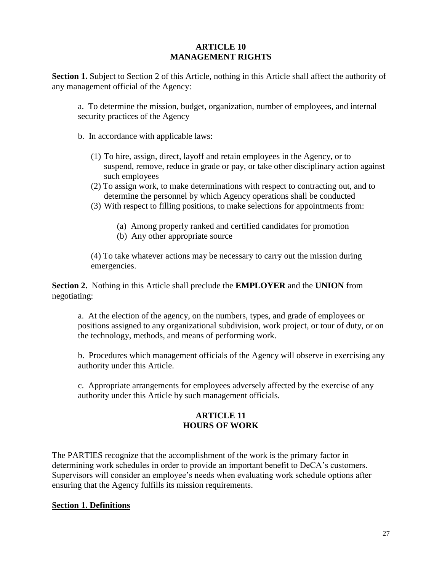### **ARTICLE 10 MANAGEMENT RIGHTS**

**Section 1.** Subject to Section 2 of this Article, nothing in this Article shall affect the authority of any management official of the Agency:

a. To determine the mission, budget, organization, number of employees, and internal security practices of the Agency

- b. In accordance with applicable laws:
	- (1) To hire, assign, direct, layoff and retain employees in the Agency, or to suspend, remove, reduce in grade or pay, or take other disciplinary action against such employees
	- (2) To assign work, to make determinations with respect to contracting out, and to determine the personnel by which Agency operations shall be conducted
	- (3) With respect to filling positions, to make selections for appointments from:
		- (a) Among properly ranked and certified candidates for promotion
		- (b) Any other appropriate source

(4) To take whatever actions may be necessary to carry out the mission during emergencies.

**Section 2.** Nothing in this Article shall preclude the **EMPLOYER** and the **UNION** from negotiating:

a. At the election of the agency, on the numbers, types, and grade of employees or positions assigned to any organizational subdivision, work project, or tour of duty, or on the technology, methods, and means of performing work.

b. Procedures which management officials of the Agency will observe in exercising any authority under this Article.

c. Appropriate arrangements for employees adversely affected by the exercise of any authority under this Article by such management officials.

### **ARTICLE 11 HOURS OF WORK**

The PARTIES recognize that the accomplishment of the work is the primary factor in determining work schedules in order to provide an important benefit to DeCA's customers. Supervisors will consider an employee's needs when evaluating work schedule options after ensuring that the Agency fulfills its mission requirements.

#### **Section 1. Definitions**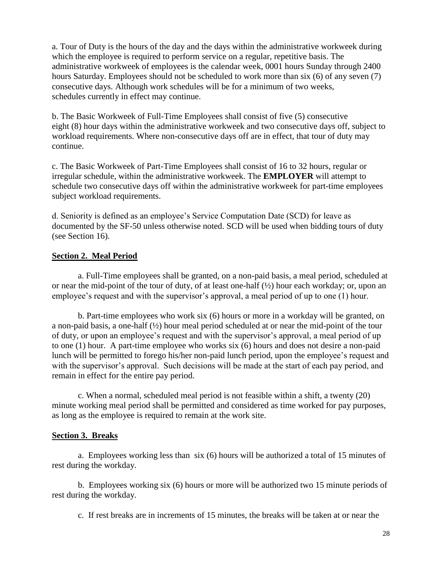a. Tour of Duty is the hours of the day and the days within the administrative workweek during which the employee is required to perform service on a regular, repetitive basis. The administrative workweek of employees is the calendar week, 0001 hours Sunday through 2400 hours Saturday. Employees should not be scheduled to work more than six (6) of any seven (7) consecutive days. Although work schedules will be for a minimum of two weeks, schedules currently in effect may continue.

b. The Basic Workweek of Full-Time Employees shall consist of five (5) consecutive eight (8) hour days within the administrative workweek and two consecutive days off, subject to workload requirements. Where non-consecutive days off are in effect, that tour of duty may continue.

c. The Basic Workweek of Part-Time Employees shall consist of 16 to 32 hours, regular or irregular schedule, within the administrative workweek. The **EMPLOYER** will attempt to schedule two consecutive days off within the administrative workweek for part-time employees subject workload requirements.

d. Seniority is defined as an employee's Service Computation Date (SCD) for leave as documented by the SF-50 unless otherwise noted. SCD will be used when bidding tours of duty (see Section 16).

## **Section 2. Meal Period**

a. Full-Time employees shall be granted, on a non-paid basis, a meal period, scheduled at or near the mid-point of the tour of duty, of at least one-half (½) hour each workday; or, upon an employee's request and with the supervisor's approval, a meal period of up to one (1) hour.

b. Part-time employees who work six (6) hours or more in a workday will be granted, on a non-paid basis, a one-half (½) hour meal period scheduled at or near the mid-point of the tour of duty, or upon an employee's request and with the supervisor's approval, a meal period of up to one (1) hour. A part-time employee who works six (6) hours and does not desire a non-paid lunch will be permitted to forego his/her non-paid lunch period, upon the employee's request and with the supervisor's approval. Such decisions will be made at the start of each pay period, and remain in effect for the entire pay period.

c. When a normal, scheduled meal period is not feasible within a shift, a twenty (20) minute working meal period shall be permitted and considered as time worked for pay purposes, as long as the employee is required to remain at the work site.

#### **Section 3. Breaks**

a. Employees working less than six (6) hours will be authorized a total of 15 minutes of rest during the workday.

b. Employees working six (6) hours or more will be authorized two 15 minute periods of rest during the workday.

c. If rest breaks are in increments of 15 minutes, the breaks will be taken at or near the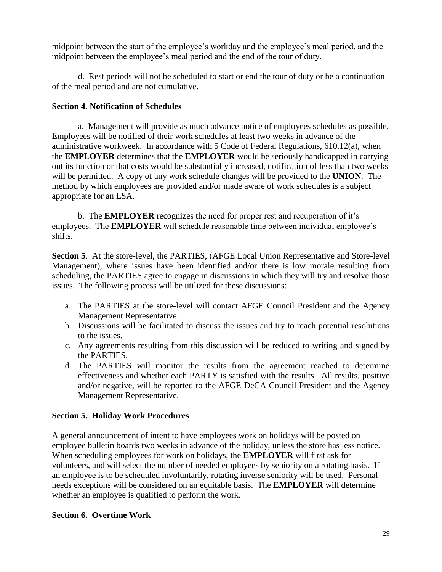midpoint between the start of the employee's workday and the employee's meal period, and the midpoint between the employee's meal period and the end of the tour of duty.

d. Rest periods will not be scheduled to start or end the tour of duty or be a continuation of the meal period and are not cumulative.

## **Section 4. Notification of Schedules**

a. Management will provide as much advance notice of employees schedules as possible. Employees will be notified of their work schedules at least two weeks in advance of the administrative workweek. In accordance with 5 Code of Federal Regulations, 610.12(a), when the **EMPLOYER** determines that the **EMPLOYER** would be seriously handicapped in carrying out its function or that costs would be substantially increased, notification of less than two weeks will be permitted. A copy of any work schedule changes will be provided to the **UNION**. The method by which employees are provided and/or made aware of work schedules is a subject appropriate for an LSA.

b. The **EMPLOYER** recognizes the need for proper rest and recuperation of it's employees. The **EMPLOYER** will schedule reasonable time between individual employee's shifts.

**Section 5**. At the store-level, the PARTIES, (AFGE Local Union Representative and Store-level Management), where issues have been identified and/or there is low morale resulting from scheduling, the PARTIES agree to engage in discussions in which they will try and resolve those issues. The following process will be utilized for these discussions:

- a. The PARTIES at the store-level will contact AFGE Council President and the Agency Management Representative.
- b. Discussions will be facilitated to discuss the issues and try to reach potential resolutions to the issues.
- c. Any agreements resulting from this discussion will be reduced to writing and signed by the PARTIES.
- d. The PARTIES will monitor the results from the agreement reached to determine effectiveness and whether each PARTY is satisfied with the results. All results, positive and/or negative, will be reported to the AFGE DeCA Council President and the Agency Management Representative.

## **Section 5. Holiday Work Procedures**

A general announcement of intent to have employees work on holidays will be posted on employee bulletin boards two weeks in advance of the holiday, unless the store has less notice. When scheduling employees for work on holidays, the **EMPLOYER** will first ask for volunteers, and will select the number of needed employees by seniority on a rotating basis. If an employee is to be scheduled involuntarily, rotating inverse seniority will be used. Personal needs exceptions will be considered on an equitable basis. The **EMPLOYER** will determine whether an employee is qualified to perform the work.

## **Section 6. Overtime Work**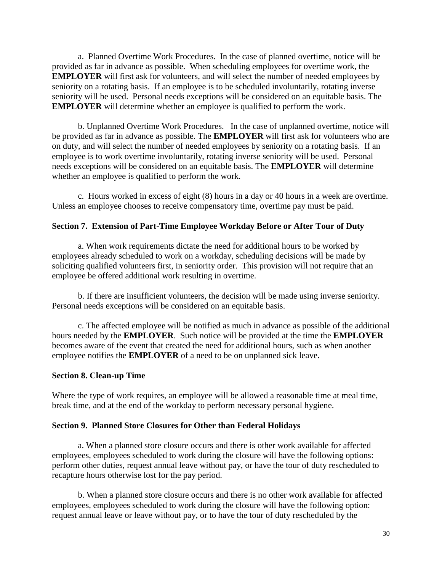a. Planned Overtime Work Procedures. In the case of planned overtime, notice will be provided as far in advance as possible. When scheduling employees for overtime work, the **EMPLOYER** will first ask for volunteers, and will select the number of needed employees by seniority on a rotating basis. If an employee is to be scheduled involuntarily, rotating inverse seniority will be used. Personal needs exceptions will be considered on an equitable basis. The **EMPLOYER** will determine whether an employee is qualified to perform the work.

b. Unplanned Overtime Work Procedures. In the case of unplanned overtime, notice will be provided as far in advance as possible. The **EMPLOYER** will first ask for volunteers who are on duty, and will select the number of needed employees by seniority on a rotating basis. If an employee is to work overtime involuntarily, rotating inverse seniority will be used. Personal needs exceptions will be considered on an equitable basis. The **EMPLOYER** will determine whether an employee is qualified to perform the work.

c. Hours worked in excess of eight (8) hours in a day or 40 hours in a week are overtime. Unless an employee chooses to receive compensatory time, overtime pay must be paid.

### **Section 7. Extension of Part-Time Employee Workday Before or After Tour of Duty**

a. When work requirements dictate the need for additional hours to be worked by employees already scheduled to work on a workday, scheduling decisions will be made by soliciting qualified volunteers first, in seniority order. This provision will not require that an employee be offered additional work resulting in overtime.

b. If there are insufficient volunteers, the decision will be made using inverse seniority. Personal needs exceptions will be considered on an equitable basis.

c. The affected employee will be notified as much in advance as possible of the additional hours needed by the **EMPLOYER**. Such notice will be provided at the time the **EMPLOYER** becomes aware of the event that created the need for additional hours, such as when another employee notifies the **EMPLOYER** of a need to be on unplanned sick leave.

#### **Section 8. Clean-up Time**

Where the type of work requires, an employee will be allowed a reasonable time at meal time, break time, and at the end of the workday to perform necessary personal hygiene.

#### **Section 9. Planned Store Closures for Other than Federal Holidays**

a. When a planned store closure occurs and there is other work available for affected employees, employees scheduled to work during the closure will have the following options: perform other duties, request annual leave without pay, or have the tour of duty rescheduled to recapture hours otherwise lost for the pay period.

b. When a planned store closure occurs and there is no other work available for affected employees, employees scheduled to work during the closure will have the following option: request annual leave or leave without pay, or to have the tour of duty rescheduled by the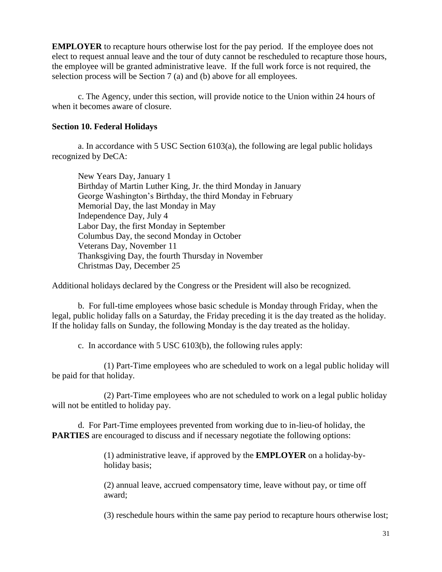**EMPLOYER** to recapture hours otherwise lost for the pay period. If the employee does not elect to request annual leave and the tour of duty cannot be rescheduled to recapture those hours, the employee will be granted administrative leave. If the full work force is not required, the selection process will be Section 7 (a) and (b) above for all employees.

c. The Agency, under this section, will provide notice to the Union within 24 hours of when it becomes aware of closure.

### **Section 10. Federal Holidays**

a. In accordance with 5 USC Section 6103(a), the following are legal public holidays recognized by DeCA:

New Years Day, January 1 Birthday of Martin Luther King, Jr. the third Monday in January George Washington's Birthday, the third Monday in February Memorial Day, the last Monday in May Independence Day, July 4 Labor Day, the first Monday in September Columbus Day, the second Monday in October Veterans Day, November 11 Thanksgiving Day, the fourth Thursday in November Christmas Day, December 25

Additional holidays declared by the Congress or the President will also be recognized.

b. For full-time employees whose basic schedule is Monday through Friday, when the legal, public holiday falls on a Saturday, the Friday preceding it is the day treated as the holiday. If the holiday falls on Sunday, the following Monday is the day treated as the holiday.

c. In accordance with 5 USC 6103(b), the following rules apply:

(1) Part-Time employees who are scheduled to work on a legal public holiday will be paid for that holiday.

(2) Part-Time employees who are not scheduled to work on a legal public holiday will not be entitled to holiday pay.

d. For Part-Time employees prevented from working due to in-lieu-of holiday, the **PARTIES** are encouraged to discuss and if necessary negotiate the following options:

> (1) administrative leave, if approved by the **EMPLOYER** on a holiday-byholiday basis;

> (2) annual leave, accrued compensatory time, leave without pay, or time off award;

(3) reschedule hours within the same pay period to recapture hours otherwise lost;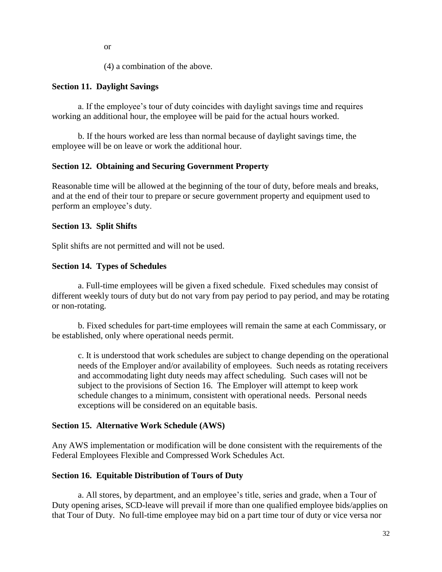or

(4) a combination of the above.

### **Section 11. Daylight Savings**

a. If the employee's tour of duty coincides with daylight savings time and requires working an additional hour, the employee will be paid for the actual hours worked.

b. If the hours worked are less than normal because of daylight savings time, the employee will be on leave or work the additional hour.

### **Section 12. Obtaining and Securing Government Property**

Reasonable time will be allowed at the beginning of the tour of duty, before meals and breaks, and at the end of their tour to prepare or secure government property and equipment used to perform an employee's duty.

### **Section 13. Split Shifts**

Split shifts are not permitted and will not be used.

### **Section 14. Types of Schedules**

a. Full-time employees will be given a fixed schedule. Fixed schedules may consist of different weekly tours of duty but do not vary from pay period to pay period, and may be rotating or non-rotating.

b. Fixed schedules for part-time employees will remain the same at each Commissary, or be established, only where operational needs permit.

c. It is understood that work schedules are subject to change depending on the operational needs of the Employer and/or availability of employees. Such needs as rotating receivers and accommodating light duty needs may affect scheduling. Such cases will not be subject to the provisions of Section 16. The Employer will attempt to keep work schedule changes to a minimum, consistent with operational needs. Personal needs exceptions will be considered on an equitable basis.

#### **Section 15. Alternative Work Schedule (AWS)**

Any AWS implementation or modification will be done consistent with the requirements of the Federal Employees Flexible and Compressed Work Schedules Act.

#### **Section 16. Equitable Distribution of Tours of Duty**

a. All stores, by department, and an employee's title, series and grade, when a Tour of Duty opening arises, SCD-leave will prevail if more than one qualified employee bids/applies on that Tour of Duty. No full-time employee may bid on a part time tour of duty or vice versa nor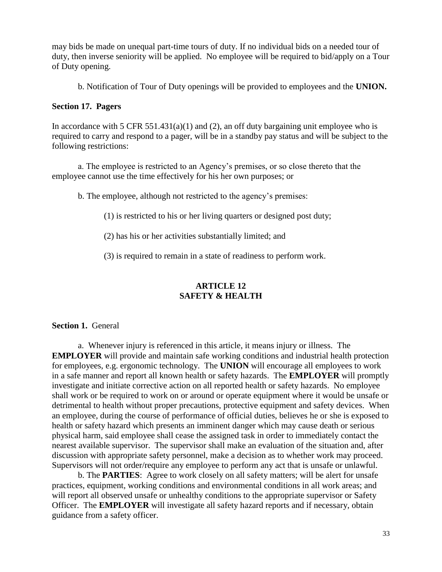may bids be made on unequal part-time tours of duty. If no individual bids on a needed tour of duty, then inverse seniority will be applied. No employee will be required to bid/apply on a Tour of Duty opening.

b. Notification of Tour of Duty openings will be provided to employees and the **UNION.**

#### **Section 17. Pagers**

In accordance with 5 CFR 551.431(a)(1) and (2), an off duty bargaining unit employee who is required to carry and respond to a pager, will be in a standby pay status and will be subject to the following restrictions:

a. The employee is restricted to an Agency's premises, or so close thereto that the employee cannot use the time effectively for his her own purposes; or

b. The employee, although not restricted to the agency's premises:

(1) is restricted to his or her living quarters or designed post duty;

(2) has his or her activities substantially limited; and

(3) is required to remain in a state of readiness to perform work.

# **ARTICLE 12 SAFETY & HEALTH**

### **Section 1. General**

a. Whenever injury is referenced in this article, it means injury or illness. The **EMPLOYER** will provide and maintain safe working conditions and industrial health protection for employees, e.g. ergonomic technology. The **UNION** will encourage all employees to work in a safe manner and report all known health or safety hazards. The **EMPLOYER** will promptly investigate and initiate corrective action on all reported health or safety hazards. No employee shall work or be required to work on or around or operate equipment where it would be unsafe or detrimental to health without proper precautions, protective equipment and safety devices. When an employee, during the course of performance of official duties, believes he or she is exposed to health or safety hazard which presents an imminent danger which may cause death or serious physical harm, said employee shall cease the assigned task in order to immediately contact the nearest available supervisor. The supervisor shall make an evaluation of the situation and, after discussion with appropriate safety personnel, make a decision as to whether work may proceed. Supervisors will not order/require any employee to perform any act that is unsafe or unlawful.

b. The **PARTIES**: Agree to work closely on all safety matters; will be alert for unsafe practices, equipment, working conditions and environmental conditions in all work areas; and will report all observed unsafe or unhealthy conditions to the appropriate supervisor or Safety Officer. The **EMPLOYER** will investigate all safety hazard reports and if necessary, obtain guidance from a safety officer.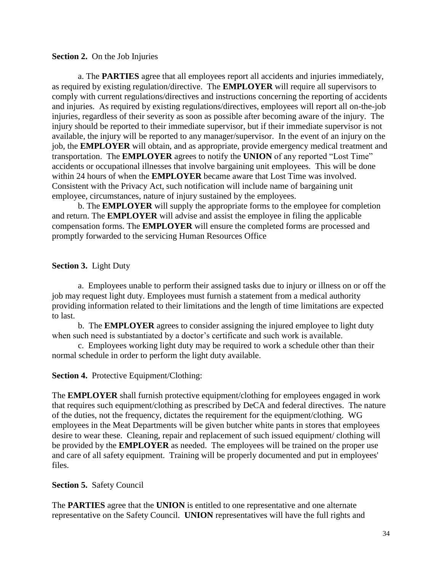#### **Section 2.** On the Job Injuries

a. The **PARTIES** agree that all employees report all accidents and injuries immediately, as required by existing regulation/directive. The **EMPLOYER** will require all supervisors to comply with current regulations/directives and instructions concerning the reporting of accidents and injuries. As required by existing regulations/directives, employees will report all on-the-job injuries, regardless of their severity as soon as possible after becoming aware of the injury. The injury should be reported to their immediate supervisor, but if their immediate supervisor is not available, the injury will be reported to any manager/supervisor. In the event of an injury on the job, the **EMPLOYER** will obtain, and as appropriate, provide emergency medical treatment and transportation. The **EMPLOYER** agrees to notify the **UNION** of any reported "Lost Time" accidents or occupational illnesses that involve bargaining unit employees. This will be done within 24 hours of when the **EMPLOYER** became aware that Lost Time was involved. Consistent with the Privacy Act, such notification will include name of bargaining unit employee, circumstances, nature of injury sustained by the employees.

b. The **EMPLOYER** will supply the appropriate forms to the employee for completion and return. The **EMPLOYER** will advise and assist the employee in filing the applicable compensation forms. The **EMPLOYER** will ensure the completed forms are processed and promptly forwarded to the servicing Human Resources Office

### **Section 3.** Light Duty

a. Employees unable to perform their assigned tasks due to injury or illness on or off the job may request light duty. Employees must furnish a statement from a medical authority providing information related to their limitations and the length of time limitations are expected to last.

b. The **EMPLOYER** agrees to consider assigning the injured employee to light duty when such need is substantiated by a doctor's certificate and such work is available.

c. Employees working light duty may be required to work a schedule other than their normal schedule in order to perform the light duty available.

#### **Section 4.** Protective Equipment/Clothing:

The **EMPLOYER** shall furnish protective equipment/clothing for employees engaged in work that requires such equipment/clothing as prescribed by DeCA and federal directives. The nature of the duties, not the frequency, dictates the requirement for the equipment/clothing. WG employees in the Meat Departments will be given butcher white pants in stores that employees desire to wear these. Cleaning, repair and replacement of such issued equipment/ clothing will be provided by the **EMPLOYER** as needed. The employees will be trained on the proper use and care of all safety equipment. Training will be properly documented and put in employees' files.

#### **Section 5.** Safety Council

The **PARTIES** agree that the **UNION** is entitled to one representative and one alternate representative on the Safety Council. **UNION** representatives will have the full rights and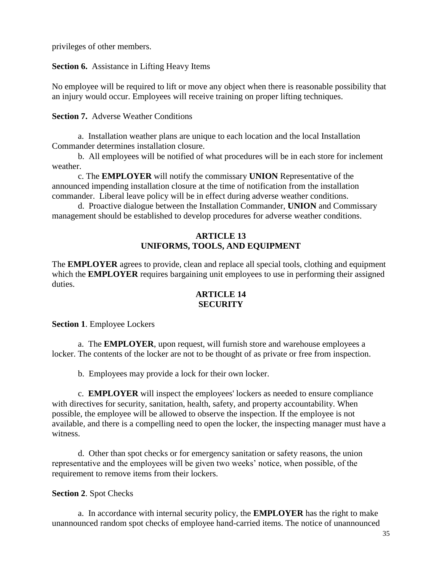privileges of other members.

**Section 6.** Assistance in Lifting Heavy Items

No employee will be required to lift or move any object when there is reasonable possibility that an injury would occur. Employees will receive training on proper lifting techniques.

### **Section 7.** Adverse Weather Conditions

a. Installation weather plans are unique to each location and the local Installation Commander determines installation closure.

b. All employees will be notified of what procedures will be in each store for inclement weather.

c. The **EMPLOYER** will notify the commissary **UNION** Representative of the announced impending installation closure at the time of notification from the installation commander. Liberal leave policy will be in effect during adverse weather conditions.

d. Proactive dialogue between the Installation Commander, **UNION** and Commissary management should be established to develop procedures for adverse weather conditions.

## **ARTICLE 13 UNIFORMS, TOOLS, AND EQUIPMENT**

The **EMPLOYER** agrees to provide, clean and replace all special tools, clothing and equipment which the **EMPLOYER** requires bargaining unit employees to use in performing their assigned duties.

## **ARTICLE 14 SECURITY**

**Section 1**. Employee Lockers

a. The **EMPLOYER**, upon request, will furnish store and warehouse employees a locker. The contents of the locker are not to be thought of as private or free from inspection.

b. Employees may provide a lock for their own locker.

c. **EMPLOYER** will inspect the employees' lockers as needed to ensure compliance with directives for security, sanitation, health, safety, and property accountability. When possible, the employee will be allowed to observe the inspection. If the employee is not available, and there is a compelling need to open the locker, the inspecting manager must have a witness.

d. Other than spot checks or for emergency sanitation or safety reasons, the union representative and the employees will be given two weeks' notice, when possible, of the requirement to remove items from their lockers.

## **Section 2**. Spot Checks

a. In accordance with internal security policy, the **EMPLOYER** has the right to make unannounced random spot checks of employee hand-carried items. The notice of unannounced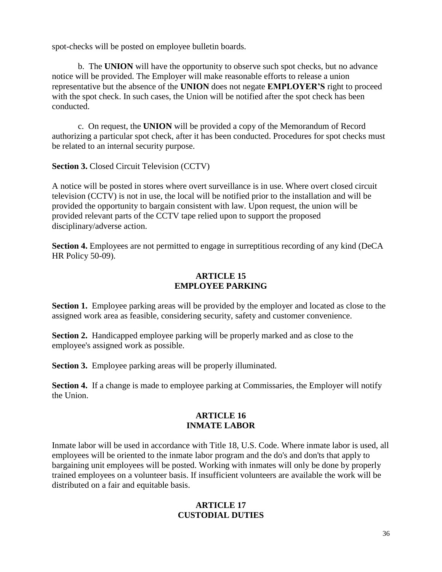spot-checks will be posted on employee bulletin boards.

b. The **UNION** will have the opportunity to observe such spot checks, but no advance notice will be provided. The Employer will make reasonable efforts to release a union representative but the absence of the **UNION** does not negate **EMPLOYER'S** right to proceed with the spot check. In such cases, the Union will be notified after the spot check has been conducted.

c. On request, the **UNION** will be provided a copy of the Memorandum of Record authorizing a particular spot check, after it has been conducted. Procedures for spot checks must be related to an internal security purpose.

**Section 3.** Closed Circuit Television (CCTV)

A notice will be posted in stores where overt surveillance is in use. Where overt closed circuit television (CCTV) is not in use, the local will be notified prior to the installation and will be provided the opportunity to bargain consistent with law. Upon request, the union will be provided relevant parts of the CCTV tape relied upon to support the proposed disciplinary/adverse action.

**Section 4.** Employees are not permitted to engage in surreptitious recording of any kind (DeCA) HR Policy 50-09).

### **ARTICLE 15 EMPLOYEE PARKING**

**Section 1.** Employee parking areas will be provided by the employer and located as close to the assigned work area as feasible, considering security, safety and customer convenience.

**Section 2.** Handicapped employee parking will be properly marked and as close to the employee's assigned work as possible.

**Section 3.** Employee parking areas will be properly illuminated.

**Section 4.** If a change is made to employee parking at Commissaries, the Employer will notify the Union.

## **ARTICLE 16 INMATE LABOR**

Inmate labor will be used in accordance with Title 18, U.S. Code. Where inmate labor is used, all employees will be oriented to the inmate labor program and the do's and don'ts that apply to bargaining unit employees will be posted. Working with inmates will only be done by properly trained employees on a volunteer basis. If insufficient volunteers are available the work will be distributed on a fair and equitable basis.

### **ARTICLE 17 CUSTODIAL DUTIES**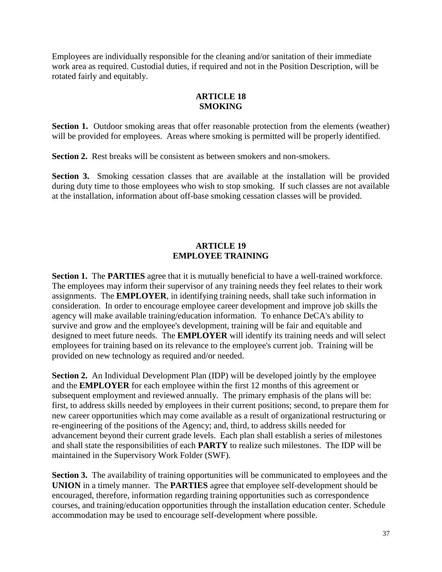Employees are individually responsible for the cleaning and/or sanitation of their immediate work area as required. Custodial duties, if required and not in the Position Description, will be rotated fairly and equitably.

#### **ARTICLE 18 SMOKING**

**Section 1.** Outdoor smoking areas that offer reasonable protection from the elements (weather) will be provided for employees. Areas where smoking is permitted will be properly identified.

**Section 2.** Rest breaks will be consistent as between smokers and non-smokers.

**Section 3.** Smoking cessation classes that are available at the installation will be provided during duty time to those employees who wish to stop smoking. If such classes are not available at the installation, information about off-base smoking cessation classes will be provided.

## **ARTICLE 19 EMPLOYEE TRAINING**

**Section 1.** The **PARTIES** agree that it is mutually beneficial to have a well-trained workforce. The employees may inform their supervisor of any training needs they feel relates to their work assignments. The **EMPLOYER**, in identifying training needs, shall take such information in consideration. In order to encourage employee career development and improve job skills the agency will make available training/education information. To enhance DeCA's ability to survive and grow and the employee's development, training will be fair and equitable and designed to meet future needs. The **EMPLOYER** will identify its training needs and will select employees for training based on its relevance to the employee's current job. Training will be provided on new technology as required and/or needed.

**Section 2.** An Individual Development Plan (IDP) will be developed jointly by the employee and the **EMPLOYER** for each employee within the first 12 months of this agreement or subsequent employment and reviewed annually. The primary emphasis of the plans will be: first, to address skills needed by employees in their current positions; second, to prepare them for new career opportunities which may come available as a result of organizational restructuring or re-engineering of the positions of the Agency; and, third, to address skills needed for advancement beyond their current grade levels. Each plan shall establish a series of milestones and shall state the responsibilities of each **PARTY** to realize such milestones. The IDP will be maintained in the Supervisory Work Folder (SWF).

**Section 3.** The availability of training opportunities will be communicated to employees and the **UNION** in a timely manner. The **PARTIES** agree that employee self-development should be encouraged, therefore, information regarding training opportunities such as correspondence courses, and training/education opportunities through the installation education center. Schedule accommodation may be used to encourage self-development where possible.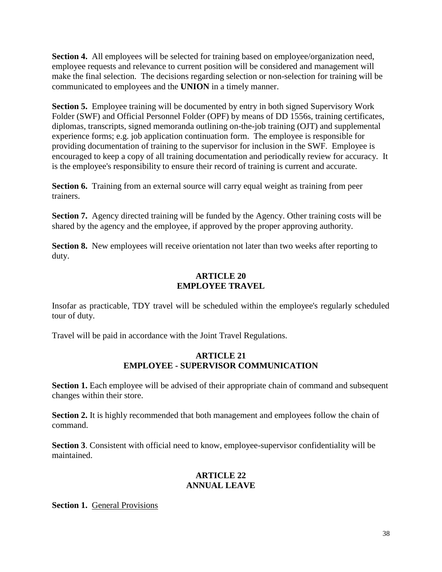**Section 4.** All employees will be selected for training based on employee/organization need, employee requests and relevance to current position will be considered and management will make the final selection. The decisions regarding selection or non-selection for training will be communicated to employees and the **UNION** in a timely manner.

**Section 5.** Employee training will be documented by entry in both signed Supervisory Work Folder (SWF) and Official Personnel Folder (OPF) by means of DD 1556s, training certificates, diplomas, transcripts, signed memoranda outlining on-the-job training (OJT) and supplemental experience forms; e.g. job application continuation form. The employee is responsible for providing documentation of training to the supervisor for inclusion in the SWF. Employee is encouraged to keep a copy of all training documentation and periodically review for accuracy. It is the employee's responsibility to ensure their record of training is current and accurate.

**Section 6.** Training from an external source will carry equal weight as training from peer trainers.

**Section 7.** Agency directed training will be funded by the Agency. Other training costs will be shared by the agency and the employee, if approved by the proper approving authority.

**Section 8.** New employees will receive orientation not later than two weeks after reporting to duty.

## **ARTICLE 20 EMPLOYEE TRAVEL**

Insofar as practicable, TDY travel will be scheduled within the employee's regularly scheduled tour of duty.

Travel will be paid in accordance with the Joint Travel Regulations.

## **ARTICLE 21 EMPLOYEE - SUPERVISOR COMMUNICATION**

**Section 1.** Each employee will be advised of their appropriate chain of command and subsequent changes within their store.

**Section 2.** It is highly recommended that both management and employees follow the chain of command.

**Section 3**. Consistent with official need to know, employee-supervisor confidentiality will be maintained.

## **ARTICLE 22 ANNUAL LEAVE**

**Section 1. General Provisions**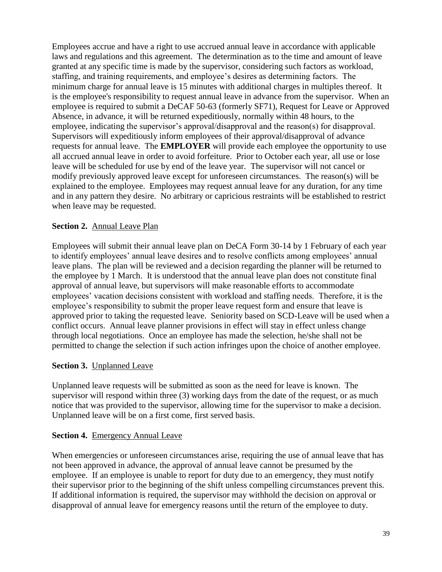Employees accrue and have a right to use accrued annual leave in accordance with applicable laws and regulations and this agreement. The determination as to the time and amount of leave granted at any specific time is made by the supervisor, considering such factors as workload, staffing, and training requirements, and employee's desires as determining factors. The minimum charge for annual leave is 15 minutes with additional charges in multiples thereof. It is the employee's responsibility to request annual leave in advance from the supervisor. When an employee is required to submit a DeCAF 50-63 (formerly SF71), Request for Leave or Approved Absence, in advance, it will be returned expeditiously, normally within 48 hours, to the employee, indicating the supervisor's approval/disapproval and the reason(s) for disapproval. Supervisors will expeditiously inform employees of their approval/disapproval of advance requests for annual leave. The **EMPLOYER** will provide each employee the opportunity to use all accrued annual leave in order to avoid forfeiture. Prior to October each year, all use or lose leave will be scheduled for use by end of the leave year. The supervisor will not cancel or modify previously approved leave except for unforeseen circumstances. The reason(s) will be explained to the employee. Employees may request annual leave for any duration, for any time and in any pattern they desire. No arbitrary or capricious restraints will be established to restrict when leave may be requested.

#### **Section 2.** Annual Leave Plan

Employees will submit their annual leave plan on DeCA Form 30-14 by 1 February of each year to identify employees' annual leave desires and to resolve conflicts among employees' annual leave plans. The plan will be reviewed and a decision regarding the planner will be returned to the employee by 1 March. It is understood that the annual leave plan does not constitute final approval of annual leave, but supervisors will make reasonable efforts to accommodate employees' vacation decisions consistent with workload and staffing needs. Therefore, it is the employee's responsibility to submit the proper leave request form and ensure that leave is approved prior to taking the requested leave. Seniority based on SCD-Leave will be used when a conflict occurs. Annual leave planner provisions in effect will stay in effect unless change through local negotiations. Once an employee has made the selection, he/she shall not be permitted to change the selection if such action infringes upon the choice of another employee.

#### **Section 3.** Unplanned Leave

Unplanned leave requests will be submitted as soon as the need for leave is known. The supervisor will respond within three (3) working days from the date of the request, or as much notice that was provided to the supervisor, allowing time for the supervisor to make a decision. Unplanned leave will be on a first come, first served basis.

#### **Section 4.** Emergency Annual Leave

When emergencies or unforeseen circumstances arise, requiring the use of annual leave that has not been approved in advance, the approval of annual leave cannot be presumed by the employee. If an employee is unable to report for duty due to an emergency, they must notify their supervisor prior to the beginning of the shift unless compelling circumstances prevent this. If additional information is required, the supervisor may withhold the decision on approval or disapproval of annual leave for emergency reasons until the return of the employee to duty.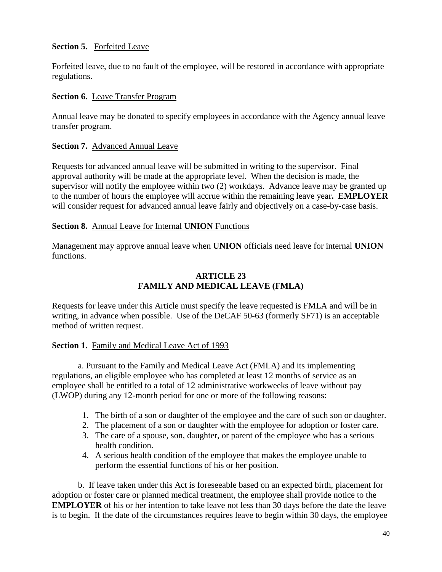#### **Section 5.** Forfeited Leave

Forfeited leave, due to no fault of the employee, will be restored in accordance with appropriate regulations.

#### **Section 6.** Leave Transfer Program

Annual leave may be donated to specify employees in accordance with the Agency annual leave transfer program.

#### **Section 7.** Advanced Annual Leave

Requests for advanced annual leave will be submitted in writing to the supervisor. Final approval authority will be made at the appropriate level. When the decision is made, the supervisor will notify the employee within two (2) workdays. Advance leave may be granted up to the number of hours the employee will accrue within the remaining leave year**. EMPLOYER** will consider request for advanced annual leave fairly and objectively on a case-by-case basis.

#### **Section 8.** Annual Leave for Internal **UNION** Functions

Management may approve annual leave when **UNION** officials need leave for internal **UNION** functions.

## **ARTICLE 23 FAMILY AND MEDICAL LEAVE (FMLA)**

Requests for leave under this Article must specify the leave requested is FMLA and will be in writing, in advance when possible. Use of the DeCAF 50-63 (formerly SF71) is an acceptable method of written request.

#### **Section 1.** Family and Medical Leave Act of 1993

a. Pursuant to the Family and Medical Leave Act (FMLA) and its implementing regulations, an eligible employee who has completed at least 12 months of service as an employee shall be entitled to a total of 12 administrative workweeks of leave without pay (LWOP) during any 12-month period for one or more of the following reasons:

- 1. The birth of a son or daughter of the employee and the care of such son or daughter.
- 2. The placement of a son or daughter with the employee for adoption or foster care.
- 3. The care of a spouse, son, daughter, or parent of the employee who has a serious health condition.
- 4. A serious health condition of the employee that makes the employee unable to perform the essential functions of his or her position.

b.If leave taken under this Act is foreseeable based on an expected birth, placement for adoption or foster care or planned medical treatment, the employee shall provide notice to the **EMPLOYER** of his or her intention to take leave not less than 30 days before the date the leave is to begin. If the date of the circumstances requires leave to begin within 30 days, the employee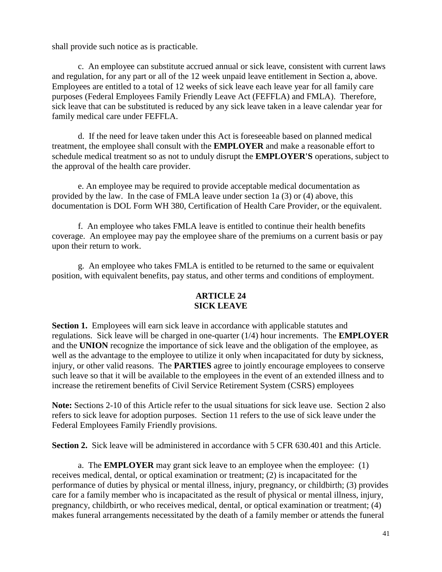shall provide such notice as is practicable.

c.An employee can substitute accrued annual or sick leave, consistent with current laws and regulation, for any part or all of the 12 week unpaid leave entitlement in Section a, above. Employees are entitled to a total of 12 weeks of sick leave each leave year for all family care purposes (Federal Employees Family Friendly Leave Act (FEFFLA) and FMLA). Therefore, sick leave that can be substituted is reduced by any sick leave taken in a leave calendar year for family medical care under FEFFLA.

d.If the need for leave taken under this Act is foreseeable based on planned medical treatment, the employee shall consult with the **EMPLOYER** and make a reasonable effort to schedule medical treatment so as not to unduly disrupt the **EMPLOYER'S** operations, subject to the approval of the health care provider.

e. An employee may be required to provide acceptable medical documentation as provided by the law. In the case of FMLA leave under section 1a (3) or (4) above, this documentation is DOL Form WH 380, Certification of Health Care Provider, or the equivalent.

f.An employee who takes FMLA leave is entitled to continue their health benefits coverage. An employee may pay the employee share of the premiums on a current basis or pay upon their return to work.

g. An employee who takes FMLA is entitled to be returned to the same or equivalent position, with equivalent benefits, pay status, and other terms and conditions of employment.

#### **ARTICLE 24 SICK LEAVE**

**Section 1.** Employees will earn sick leave in accordance with applicable statutes and regulations. Sick leave will be charged in one-quarter (1/4) hour increments. The **EMPLOYER** and the **UNION** recognize the importance of sick leave and the obligation of the employee, as well as the advantage to the employee to utilize it only when incapacitated for duty by sickness, injury, or other valid reasons. The **PARTIES** agree to jointly encourage employees to conserve such leave so that it will be available to the employees in the event of an extended illness and to increase the retirement benefits of Civil Service Retirement System (CSRS) employees

**Note:** Sections 2-10 of this Article refer to the usual situations for sick leave use. Section 2 also refers to sick leave for adoption purposes. Section 11 refers to the use of sick leave under the Federal Employees Family Friendly provisions.

**Section 2.** Sick leave will be administered in accordance with 5 CFR 630.401 and this Article.

a. The **EMPLOYER** may grant sick leave to an employee when the employee: (1) receives medical, dental, or optical examination or treatment; (2) is incapacitated for the performance of duties by physical or mental illness, injury, pregnancy, or childbirth; (3) provides care for a family member who is incapacitated as the result of physical or mental illness, injury, pregnancy, childbirth, or who receives medical, dental, or optical examination or treatment; (4) makes funeral arrangements necessitated by the death of a family member or attends the funeral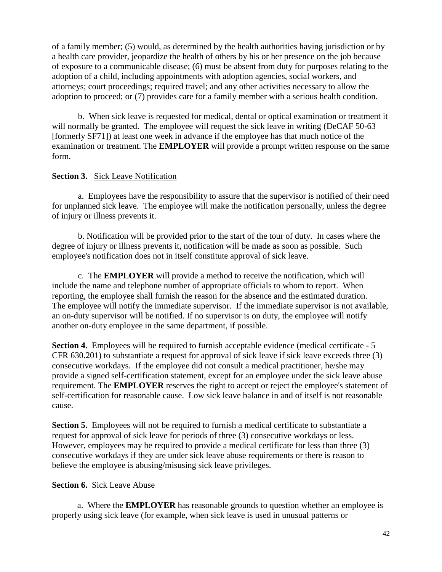of a family member; (5) would, as determined by the health authorities having jurisdiction or by a health care provider, jeopardize the health of others by his or her presence on the job because of exposure to a communicable disease; (6) must be absent from duty for purposes relating to the adoption of a child, including appointments with adoption agencies, social workers, and attorneys; court proceedings; required travel; and any other activities necessary to allow the adoption to proceed; or (7) provides care for a family member with a serious health condition.

b. When sick leave is requested for medical, dental or optical examination or treatment it will normally be granted. The employee will request the sick leave in writing (DeCAF 50-63) [formerly SF71]) at least one week in advance if the employee has that much notice of the examination or treatment. The **EMPLOYER** will provide a prompt written response on the same form.

#### **Section 3.** Sick Leave Notification

a. Employees have the responsibility to assure that the supervisor is notified of their need for unplanned sick leave. The employee will make the notification personally, unless the degree of injury or illness prevents it.

b. Notification will be provided prior to the start of the tour of duty. In cases where the degree of injury or illness prevents it, notification will be made as soon as possible. Such employee's notification does not in itself constitute approval of sick leave.

c. The **EMPLOYER** will provide a method to receive the notification, which will include the name and telephone number of appropriate officials to whom to report. When reporting, the employee shall furnish the reason for the absence and the estimated duration. The employee will notify the immediate supervisor. If the immediate supervisor is not available, an on-duty supervisor will be notified. If no supervisor is on duty, the employee will notify another on-duty employee in the same department, if possible.

**Section 4.** Employees will be required to furnish acceptable evidence (medical certificate - 5 CFR 630.201) to substantiate a request for approval of sick leave if sick leave exceeds three (3) consecutive workdays. If the employee did not consult a medical practitioner, he/she may provide a signed self-certification statement, except for an employee under the sick leave abuse requirement. The **EMPLOYER** reserves the right to accept or reject the employee's statement of self-certification for reasonable cause. Low sick leave balance in and of itself is not reasonable cause.

**Section 5.** Employees will not be required to furnish a medical certificate to substantiate a request for approval of sick leave for periods of three (3) consecutive workdays or less. However, employees may be required to provide a medical certificate for less than three (3) consecutive workdays if they are under sick leave abuse requirements or there is reason to believe the employee is abusing/misusing sick leave privileges.

#### **Section 6.** Sick Leave Abuse

a. Where the **EMPLOYER** has reasonable grounds to question whether an employee is properly using sick leave (for example, when sick leave is used in unusual patterns or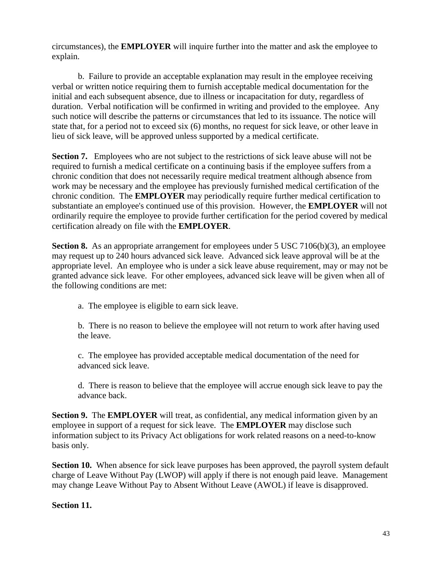circumstances), the **EMPLOYER** will inquire further into the matter and ask the employee to explain.

b. Failure to provide an acceptable explanation may result in the employee receiving verbal or written notice requiring them to furnish acceptable medical documentation for the initial and each subsequent absence, due to illness or incapacitation for duty, regardless of duration. Verbal notification will be confirmed in writing and provided to the employee. Any such notice will describe the patterns or circumstances that led to its issuance. The notice will state that, for a period not to exceed six (6) months, no request for sick leave, or other leave in lieu of sick leave, will be approved unless supported by a medical certificate.

**Section 7.** Employees who are not subject to the restrictions of sick leave abuse will not be required to furnish a medical certificate on a continuing basis if the employee suffers from a chronic condition that does not necessarily require medical treatment although absence from work may be necessary and the employee has previously furnished medical certification of the chronic condition. The **EMPLOYER** may periodically require further medical certification to substantiate an employee's continued use of this provision. However, the **EMPLOYER** will not ordinarily require the employee to provide further certification for the period covered by medical certification already on file with the **EMPLOYER**.

**Section 8.** As an appropriate arrangement for employees under 5 USC 7106(b)(3), an employee may request up to 240 hours advanced sick leave. Advanced sick leave approval will be at the appropriate level. An employee who is under a sick leave abuse requirement, may or may not be granted advance sick leave. For other employees, advanced sick leave will be given when all of the following conditions are met:

a. The employee is eligible to earn sick leave.

b. There is no reason to believe the employee will not return to work after having used the leave.

c. The employee has provided acceptable medical documentation of the need for advanced sick leave.

d. There is reason to believe that the employee will accrue enough sick leave to pay the advance back.

**Section 9.** The **EMPLOYER** will treat, as confidential, any medical information given by an employee in support of a request for sick leave. The **EMPLOYER** may disclose such information subject to its Privacy Act obligations for work related reasons on a need-to-know basis only.

**Section 10.** When absence for sick leave purposes has been approved, the payroll system default charge of Leave Without Pay (LWOP) will apply if there is not enough paid leave. Management may change Leave Without Pay to Absent Without Leave (AWOL) if leave is disapproved.

#### **Section 11.**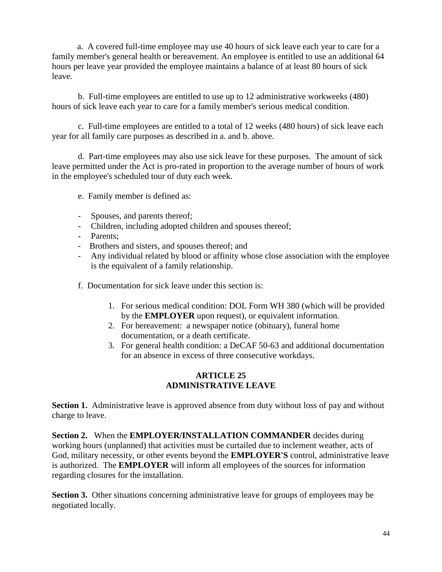a. A covered full-time employee may use 40 hours of sick leave each year to care for a family member's general health or bereavement. An employee is entitled to use an additional 64 hours per leave year provided the employee maintains a balance of at least 80 hours of sick leave.

b. Full-time employees are entitled to use up to 12 administrative workweeks (480) hours of sick leave each year to care for a family member's serious medical condition.

c. Full-time employees are entitled to a total of 12 weeks (480 hours) of sick leave each year for all family care purposes as described in a. and b. above.

d. Part-time employees may also use sick leave for these purposes. The amount of sick leave permitted under the Act is pro-rated in proportion to the average number of hours of work in the employee's scheduled tour of duty each week.

e. Family member is defined as:

- Spouses, and parents thereof;
- Children, including adopted children and spouses thereof;
- Parents;
- Brothers and sisters, and spouses thereof; and
- Any individual related by blood or affinity whose close association with the employee is the equivalent of a family relationship.
- f. Documentation for sick leave under this section is:
	- 1. For serious medical condition: DOL Form WH 380 (which will be provided by the **EMPLOYER** upon request), or equivalent information.
	- 2. For bereavement: a newspaper notice (obituary), funeral home documentation, or a death certificate.
	- 3. For general health condition: a DeCAF 50-63 and additional documentation for an absence in excess of three consecutive workdays.

## **ARTICLE 25 ADMINISTRATIVE LEAVE**

**Section 1.** Administrative leave is approved absence from duty without loss of pay and without charge to leave.

**Section 2.** When the **EMPLOYER/INSTALLATION COMMANDER** decides during working hours (unplanned) that activities must be curtailed due to inclement weather, acts of God, military necessity, or other events beyond the **EMPLOYER'S** control, administrative leave is authorized. The **EMPLOYER** will inform all employees of the sources for information regarding closures for the installation.

**Section 3.** Other situations concerning administrative leave for groups of employees may be negotiated locally.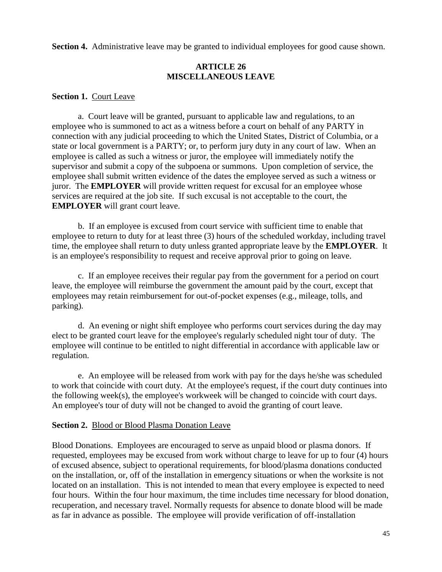**Section 4.** Administrative leave may be granted to individual employees for good cause shown.

## **ARTICLE 26 MISCELLANEOUS LEAVE**

#### **Section 1.** Court Leave

a. Court leave will be granted, pursuant to applicable law and regulations, to an employee who is summoned to act as a witness before a court on behalf of any PARTY in connection with any judicial proceeding to which the United States, District of Columbia, or a state or local government is a PARTY; or, to perform jury duty in any court of law. When an employee is called as such a witness or juror, the employee will immediately notify the supervisor and submit a copy of the subpoena or summons. Upon completion of service, the employee shall submit written evidence of the dates the employee served as such a witness or juror. The **EMPLOYER** will provide written request for excusal for an employee whose services are required at the job site. If such excusal is not acceptable to the court, the **EMPLOYER** will grant court leave.

b. If an employee is excused from court service with sufficient time to enable that employee to return to duty for at least three (3) hours of the scheduled workday, including travel time, the employee shall return to duty unless granted appropriate leave by the **EMPLOYER**. It is an employee's responsibility to request and receive approval prior to going on leave.

c. If an employee receives their regular pay from the government for a period on court leave, the employee will reimburse the government the amount paid by the court, except that employees may retain reimbursement for out-of-pocket expenses (e.g., mileage, tolls, and parking).

d. An evening or night shift employee who performs court services during the day may elect to be granted court leave for the employee's regularly scheduled night tour of duty. The employee will continue to be entitled to night differential in accordance with applicable law or regulation.

e. An employee will be released from work with pay for the days he/she was scheduled to work that coincide with court duty. At the employee's request, if the court duty continues into the following week(s), the employee's workweek will be changed to coincide with court days. An employee's tour of duty will not be changed to avoid the granting of court leave.

#### **Section 2.** Blood or Blood Plasma Donation Leave

Blood Donations. Employees are encouraged to serve as unpaid blood or plasma donors. If requested, employees may be excused from work without charge to leave for up to four (4) hours of excused absence, subject to operational requirements, for blood/plasma donations conducted on the installation, or, off of the installation in emergency situations or when the worksite is not located on an installation. This is not intended to mean that every employee is expected to need four hours. Within the four hour maximum, the time includes time necessary for blood donation, recuperation, and necessary travel. Normally requests for absence to donate blood will be made as far in advance as possible. The employee will provide verification of off-installation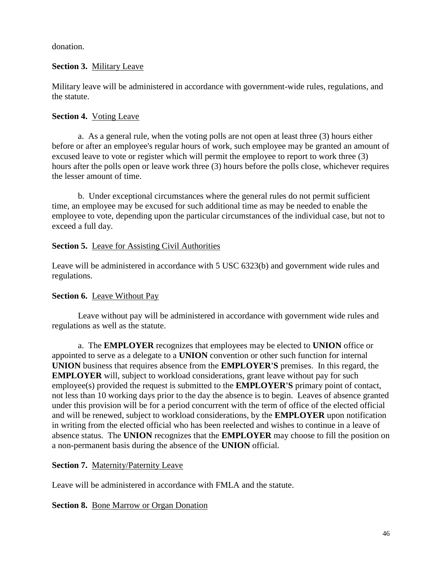donation.

#### **Section 3.** Military Leave

Military leave will be administered in accordance with government-wide rules, regulations, and the statute.

#### **Section 4.** Voting Leave

a. As a general rule, when the voting polls are not open at least three (3) hours either before or after an employee's regular hours of work, such employee may be granted an amount of excused leave to vote or register which will permit the employee to report to work three (3) hours after the polls open or leave work three (3) hours before the polls close, whichever requires the lesser amount of time.

b. Under exceptional circumstances where the general rules do not permit sufficient time, an employee may be excused for such additional time as may be needed to enable the employee to vote, depending upon the particular circumstances of the individual case, but not to exceed a full day.

#### **Section 5.** Leave for Assisting Civil Authorities

Leave will be administered in accordance with 5 USC 6323(b) and government wide rules and regulations.

## **Section 6.** Leave Without Pay

Leave without pay will be administered in accordance with government wide rules and regulations as well as the statute.

a. The **EMPLOYER** recognizes that employees may be elected to **UNION** office or appointed to serve as a delegate to a **UNION** convention or other such function for internal **UNION** business that requires absence from the **EMPLOYER'S** premises. In this regard, the **EMPLOYER** will, subject to workload considerations, grant leave without pay for such employee(s) provided the request is submitted to the **EMPLOYER'S** primary point of contact, not less than 10 working days prior to the day the absence is to begin. Leaves of absence granted under this provision will be for a period concurrent with the term of office of the elected official and will be renewed, subject to workload considerations, by the **EMPLOYER** upon notification in writing from the elected official who has been reelected and wishes to continue in a leave of absence status. The **UNION** recognizes that the **EMPLOYER** may choose to fill the position on a non-permanent basis during the absence of the **UNION** official.

## **Section 7.** Maternity/Paternity Leave

Leave will be administered in accordance with FMLA and the statute.

#### **Section 8.** Bone Marrow or Organ Donation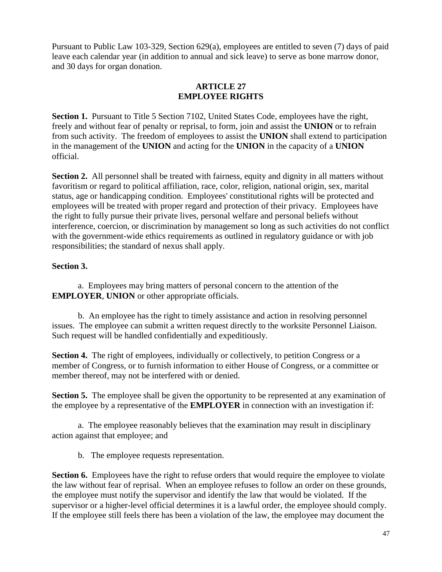Pursuant to Public Law 103-329, Section 629(a), employees are entitled to seven (7) days of paid leave each calendar year (in addition to annual and sick leave) to serve as bone marrow donor, and 30 days for organ donation.

## **ARTICLE 27 EMPLOYEE RIGHTS**

**Section 1.** Pursuant to Title 5 Section 7102, United States Code, employees have the right, freely and without fear of penalty or reprisal, to form, join and assist the **UNION** or to refrain from such activity. The freedom of employees to assist the **UNION** shall extend to participation in the management of the **UNION** and acting for the **UNION** in the capacity of a **UNION** official.

**Section 2.** All personnel shall be treated with fairness, equity and dignity in all matters without favoritism or regard to political affiliation, race, color, religion, national origin, sex, marital status, age or handicapping condition. Employees' constitutional rights will be protected and employees will be treated with proper regard and protection of their privacy. Employees have the right to fully pursue their private lives, personal welfare and personal beliefs without interference, coercion, or discrimination by management so long as such activities do not conflict with the government-wide ethics requirements as outlined in regulatory guidance or with job responsibilities; the standard of nexus shall apply.

## **Section 3.**

a. Employees may bring matters of personal concern to the attention of the **EMPLOYER**, **UNION** or other appropriate officials.

b. An employee has the right to timely assistance and action in resolving personnel issues. The employee can submit a written request directly to the worksite Personnel Liaison. Such request will be handled confidentially and expeditiously.

**Section 4.** The right of employees, individually or collectively, to petition Congress or a member of Congress, or to furnish information to either House of Congress, or a committee or member thereof, may not be interfered with or denied.

**Section 5.** The employee shall be given the opportunity to be represented at any examination of the employee by a representative of the **EMPLOYER** in connection with an investigation if:

a. The employee reasonably believes that the examination may result in disciplinary action against that employee; and

b. The employee requests representation.

**Section 6.** Employees have the right to refuse orders that would require the employee to violate the law without fear of reprisal. When an employee refuses to follow an order on these grounds, the employee must notify the supervisor and identify the law that would be violated. If the supervisor or a higher-level official determines it is a lawful order, the employee should comply. If the employee still feels there has been a violation of the law, the employee may document the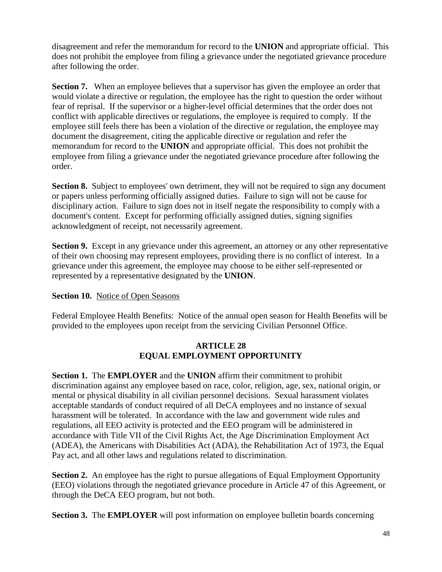disagreement and refer the memorandum for record to the **UNION** and appropriate official. This does not prohibit the employee from filing a grievance under the negotiated grievance procedure after following the order.

**Section 7.** When an employee believes that a supervisor has given the employee an order that would violate a directive or regulation, the employee has the right to question the order without fear of reprisal. If the supervisor or a higher-level official determines that the order does not conflict with applicable directives or regulations, the employee is required to comply. If the employee still feels there has been a violation of the directive or regulation, the employee may document the disagreement, citing the applicable directive or regulation and refer the memorandum for record to the **UNION** and appropriate official. This does not prohibit the employee from filing a grievance under the negotiated grievance procedure after following the order.

**Section 8.** Subject to employees' own detriment, they will not be required to sign any document or papers unless performing officially assigned duties. Failure to sign will not be cause for disciplinary action. Failure to sign does not in itself negate the responsibility to comply with a document's content. Except for performing officially assigned duties, signing signifies acknowledgment of receipt, not necessarily agreement.

**Section 9.** Except in any grievance under this agreement, an attorney or any other representative of their own choosing may represent employees, providing there is no conflict of interest. In a grievance under this agreement, the employee may choose to be either self-represented or represented by a representative designated by the **UNION**.

## **Section 10.** Notice of Open Seasons

Federal Employee Health Benefits: Notice of the annual open season for Health Benefits will be provided to the employees upon receipt from the servicing Civilian Personnel Office.

#### **ARTICLE 28 EQUAL EMPLOYMENT OPPORTUNITY**

**Section 1.** The **EMPLOYER** and the **UNION** affirm their commitment to prohibit discrimination against any employee based on race, color, religion, age, sex, national origin, or mental or physical disability in all civilian personnel decisions. Sexual harassment violates acceptable standards of conduct required of all DeCA employees and no instance of sexual harassment will be tolerated. In accordance with the law and government wide rules and regulations, all EEO activity is protected and the EEO program will be administered in accordance with Title VII of the Civil Rights Act, the Age Discrimination Employment Act (ADEA), the Americans with Disabilities Act (ADA), the Rehabilitation Act of 1973, the Equal Pay act, and all other laws and regulations related to discrimination.

**Section 2.** An employee has the right to pursue allegations of Equal Employment Opportunity (EEO) violations through the negotiated grievance procedure in Article 47 of this Agreement, or through the DeCA EEO program, but not both.

**Section 3.** The **EMPLOYER** will post information on employee bulletin boards concerning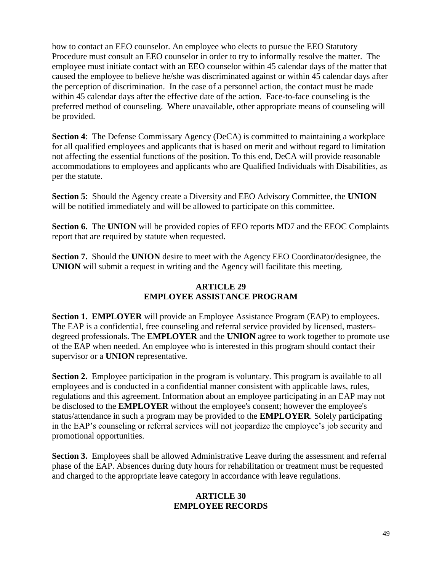how to contact an EEO counselor. An employee who elects to pursue the EEO Statutory Procedure must consult an EEO counselor in order to try to informally resolve the matter. The employee must initiate contact with an EEO counselor within 45 calendar days of the matter that caused the employee to believe he/she was discriminated against or within 45 calendar days after the perception of discrimination. In the case of a personnel action, the contact must be made within 45 calendar days after the effective date of the action. Face-to-face counseling is the preferred method of counseling. Where unavailable, other appropriate means of counseling will be provided.

**Section 4:** The Defense Commissary Agency (DeCA) is committed to maintaining a workplace for all qualified employees and applicants that is based on merit and without regard to limitation not affecting the essential functions of the position. To this end, DeCA will provide reasonable accommodations to employees and applicants who are Qualified Individuals with Disabilities, as per the statute.

**Section 5**: Should the Agency create a Diversity and EEO Advisory Committee, the **UNION** will be notified immediately and will be allowed to participate on this committee.

**Section 6.** The **UNION** will be provided copies of EEO reports MD7 and the EEOC Complaints report that are required by statute when requested.

**Section 7.** Should the **UNION** desire to meet with the Agency EEO Coordinator/designee, the **UNION** will submit a request in writing and the Agency will facilitate this meeting.

## **ARTICLE 29 EMPLOYEE ASSISTANCE PROGRAM**

**Section 1. EMPLOYER** will provide an Employee Assistance Program (EAP) to employees. The EAP is a confidential, free counseling and referral service provided by licensed, mastersdegreed professionals. The **EMPLOYER** and the **UNION** agree to work together to promote use of the EAP when needed. An employee who is interested in this program should contact their supervisor or a **UNION** representative.

**Section 2.** Employee participation in the program is voluntary. This program is available to all employees and is conducted in a confidential manner consistent with applicable laws, rules, regulations and this agreement. Information about an employee participating in an EAP may not be disclosed to the **EMPLOYER** without the employee's consent; however the employee's status/attendance in such a program may be provided to the **EMPLOYER**. Solely participating in the EAP's counseling or referral services will not jeopardize the employee's job security and promotional opportunities.

**Section 3.** Employees shall be allowed Administrative Leave during the assessment and referral phase of the EAP. Absences during duty hours for rehabilitation or treatment must be requested and charged to the appropriate leave category in accordance with leave regulations.

#### **ARTICLE 30 EMPLOYEE RECORDS**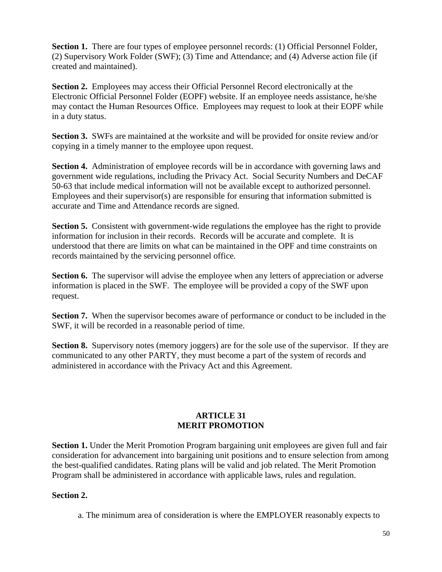**Section 1.** There are four types of employee personnel records: (1) Official Personnel Folder, (2) Supervisory Work Folder (SWF); (3) Time and Attendance; and (4) Adverse action file (if created and maintained).

**Section 2.** Employees may access their Official Personnel Record electronically at the Electronic Official Personnel Folder (EOPF) website. If an employee needs assistance, he/she may contact the Human Resources Office. Employees may request to look at their EOPF while in a duty status.

**Section 3.** SWFs are maintained at the worksite and will be provided for onsite review and/or copying in a timely manner to the employee upon request.

**Section 4.** Administration of employee records will be in accordance with governing laws and government wide regulations, including the Privacy Act. Social Security Numbers and DeCAF 50-63 that include medical information will not be available except to authorized personnel. Employees and their supervisor(s) are responsible for ensuring that information submitted is accurate and Time and Attendance records are signed.

**Section 5.** Consistent with government-wide regulations the employee has the right to provide information for inclusion in their records. Records will be accurate and complete. It is understood that there are limits on what can be maintained in the OPF and time constraints on records maintained by the servicing personnel office.

**Section 6.** The supervisor will advise the employee when any letters of appreciation or adverse information is placed in the SWF. The employee will be provided a copy of the SWF upon request.

**Section 7.** When the supervisor becomes aware of performance or conduct to be included in the SWF, it will be recorded in a reasonable period of time.

**Section 8.** Supervisory notes (memory joggers) are for the sole use of the supervisor. If they are communicated to any other PARTY, they must become a part of the system of records and administered in accordance with the Privacy Act and this Agreement.

## **ARTICLE 31 MERIT PROMOTION**

**Section 1.** Under the Merit Promotion Program bargaining unit employees are given full and fair consideration for advancement into bargaining unit positions and to ensure selection from among the best-qualified candidates. Rating plans will be valid and job related. The Merit Promotion Program shall be administered in accordance with applicable laws, rules and regulation.

## **Section 2.**

a. The minimum area of consideration is where the EMPLOYER reasonably expects to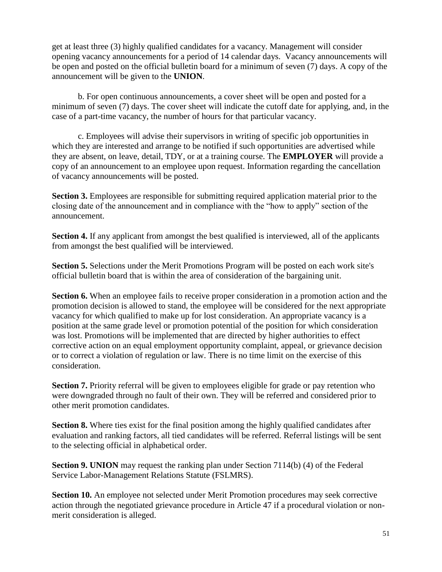get at least three (3) highly qualified candidates for a vacancy. Management will consider opening vacancy announcements for a period of 14 calendar days. Vacancy announcements will be open and posted on the official bulletin board for a minimum of seven (7) days. A copy of the announcement will be given to the **UNION**.

b. For open continuous announcements, a cover sheet will be open and posted for a minimum of seven (7) days. The cover sheet will indicate the cutoff date for applying, and, in the case of a part-time vacancy, the number of hours for that particular vacancy.

c. Employees will advise their supervisors in writing of specific job opportunities in which they are interested and arrange to be notified if such opportunities are advertised while they are absent, on leave, detail, TDY, or at a training course. The **EMPLOYER** will provide a copy of an announcement to an employee upon request. Information regarding the cancellation of vacancy announcements will be posted.

**Section 3.** Employees are responsible for submitting required application material prior to the closing date of the announcement and in compliance with the "how to apply" section of the announcement.

**Section 4.** If any applicant from amongst the best qualified is interviewed, all of the applicants from amongst the best qualified will be interviewed.

**Section 5.** Selections under the Merit Promotions Program will be posted on each work site's official bulletin board that is within the area of consideration of the bargaining unit.

**Section 6.** When an employee fails to receive proper consideration in a promotion action and the promotion decision is allowed to stand, the employee will be considered for the next appropriate vacancy for which qualified to make up for lost consideration. An appropriate vacancy is a position at the same grade level or promotion potential of the position for which consideration was lost. Promotions will be implemented that are directed by higher authorities to effect corrective action on an equal employment opportunity complaint, appeal, or grievance decision or to correct a violation of regulation or law. There is no time limit on the exercise of this consideration.

**Section 7.** Priority referral will be given to employees eligible for grade or pay retention who were downgraded through no fault of their own. They will be referred and considered prior to other merit promotion candidates.

**Section 8.** Where ties exist for the final position among the highly qualified candidates after evaluation and ranking factors, all tied candidates will be referred. Referral listings will be sent to the selecting official in alphabetical order.

**Section 9. UNION** may request the ranking plan under Section 7114(b) (4) of the Federal Service Labor-Management Relations Statute (FSLMRS).

Section 10. An employee not selected under Merit Promotion procedures may seek corrective action through the negotiated grievance procedure in Article 47 if a procedural violation or nonmerit consideration is alleged.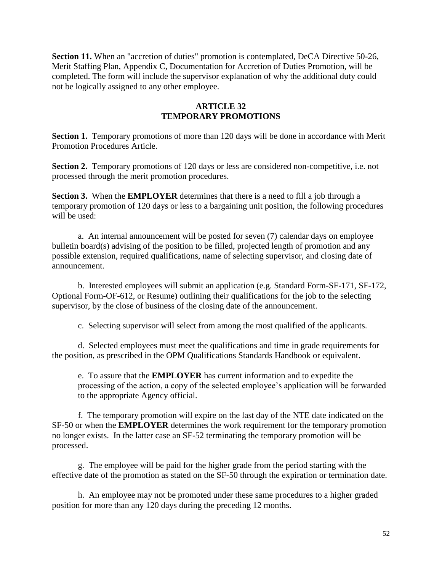**Section 11.** When an "accretion of duties" promotion is contemplated, DeCA Directive 50-26, Merit Staffing Plan, Appendix C, Documentation for Accretion of Duties Promotion, will be completed. The form will include the supervisor explanation of why the additional duty could not be logically assigned to any other employee.

## **ARTICLE 32 TEMPORARY PROMOTIONS**

**Section 1.** Temporary promotions of more than 120 days will be done in accordance with Merit Promotion Procedures Article.

**Section 2.** Temporary promotions of 120 days or less are considered non-competitive, i.e. not processed through the merit promotion procedures.

**Section 3.** When the **EMPLOYER** determines that there is a need to fill a job through a temporary promotion of 120 days or less to a bargaining unit position, the following procedures will be used:

a. An internal announcement will be posted for seven (7) calendar days on employee bulletin board(s) advising of the position to be filled, projected length of promotion and any possible extension, required qualifications, name of selecting supervisor, and closing date of announcement.

b. Interested employees will submit an application (e.g. Standard Form-SF-171, SF-172, Optional Form-OF-612, or Resume) outlining their qualifications for the job to the selecting supervisor, by the close of business of the closing date of the announcement.

c. Selecting supervisor will select from among the most qualified of the applicants.

d. Selected employees must meet the qualifications and time in grade requirements for the position, as prescribed in the OPM Qualifications Standards Handbook or equivalent.

e. To assure that the **EMPLOYER** has current information and to expedite the processing of the action, a copy of the selected employee's application will be forwarded to the appropriate Agency official.

f. The temporary promotion will expire on the last day of the NTE date indicated on the SF-50 or when the **EMPLOYER** determines the work requirement for the temporary promotion no longer exists. In the latter case an SF-52 terminating the temporary promotion will be processed.

g. The employee will be paid for the higher grade from the period starting with the effective date of the promotion as stated on the SF-50 through the expiration or termination date.

h. An employee may not be promoted under these same procedures to a higher graded position for more than any 120 days during the preceding 12 months.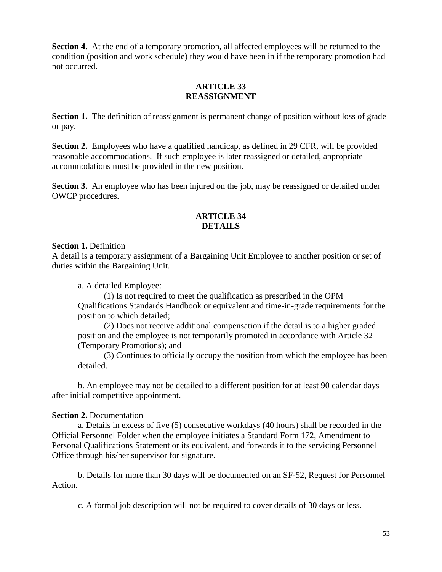**Section 4.** At the end of a temporary promotion, all affected employees will be returned to the condition (position and work schedule) they would have been in if the temporary promotion had not occurred.

#### **ARTICLE 33 REASSIGNMENT**

**Section 1.** The definition of reassignment is permanent change of position without loss of grade or pay.

Section 2. Employees who have a qualified handicap, as defined in 29 CFR, will be provided reasonable accommodations. If such employee is later reassigned or detailed, appropriate accommodations must be provided in the new position.

**Section 3.** An employee who has been injured on the job, may be reassigned or detailed under OWCP procedures.

## **ARTICLE 34 DETAILS**

#### **Section 1. Definition**

A detail is a temporary assignment of a Bargaining Unit Employee to another position or set of duties within the Bargaining Unit.

a. A detailed Employee:

(1) Is not required to meet the qualification as prescribed in the OPM Qualifications Standards Handbook or equivalent and time-in-grade requirements for the position to which detailed;

(2) Does not receive additional compensation if the detail is to a higher graded position and the employee is not temporarily promoted in accordance with Article 32 (Temporary Promotions); and

(3) Continues to officially occupy the position from which the employee has been detailed.

b. An employee may not be detailed to a different position for at least 90 calendar days after initial competitive appointment.

## **Section 2. Documentation**

a. Details in excess of five (5) consecutive workdays (40 hours) shall be recorded in the Official Personnel Folder when the employee initiates a Standard Form 172, Amendment to Personal Qualifications Statement or its equivalent, and forwards it to the servicing Personnel Office through his/her supervisor for signature.

b. Details for more than 30 days will be documented on an SF-52, Request for Personnel Action.

c. A formal job description will not be required to cover details of 30 days or less.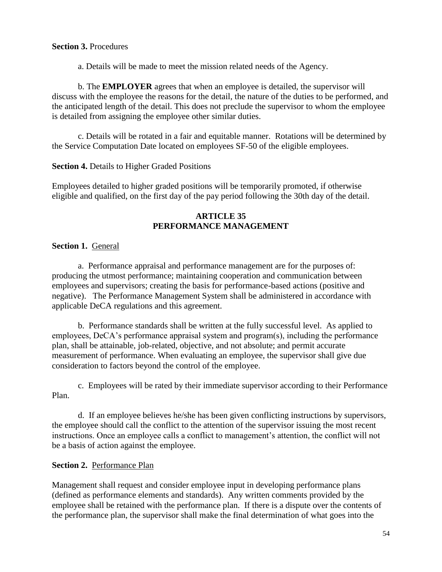#### **Section 3.** Procedures

a. Details will be made to meet the mission related needs of the Agency.

b. The **EMPLOYER** agrees that when an employee is detailed, the supervisor will discuss with the employee the reasons for the detail, the nature of the duties to be performed, and the anticipated length of the detail. This does not preclude the supervisor to whom the employee is detailed from assigning the employee other similar duties.

c. Details will be rotated in a fair and equitable manner. Rotations will be determined by the Service Computation Date located on employees SF-50 of the eligible employees.

#### **Section 4.** Details to Higher Graded Positions

Employees detailed to higher graded positions will be temporarily promoted, if otherwise eligible and qualified, on the first day of the pay period following the 30th day of the detail.

## **ARTICLE 35 PERFORMANCE MANAGEMENT**

## **Section 1.** General

a. Performance appraisal and performance management are for the purposes of: producing the utmost performance; maintaining cooperation and communication between employees and supervisors; creating the basis for performance-based actions (positive and negative). The Performance Management System shall be administered in accordance with applicable DeCA regulations and this agreement.

b. Performance standards shall be written at the fully successful level. As applied to employees, DeCA's performance appraisal system and program(s), including the performance plan, shall be attainable, job-related, objective, and not absolute; and permit accurate measurement of performance. When evaluating an employee, the supervisor shall give due consideration to factors beyond the control of the employee.

c. Employees will be rated by their immediate supervisor according to their Performance Plan.

d. If an employee believes he/she has been given conflicting instructions by supervisors, the employee should call the conflict to the attention of the supervisor issuing the most recent instructions. Once an employee calls a conflict to management's attention, the conflict will not be a basis of action against the employee.

## **Section 2.** Performance Plan

Management shall request and consider employee input in developing performance plans (defined as performance elements and standards). Any written comments provided by the employee shall be retained with the performance plan. If there is a dispute over the contents of the performance plan, the supervisor shall make the final determination of what goes into the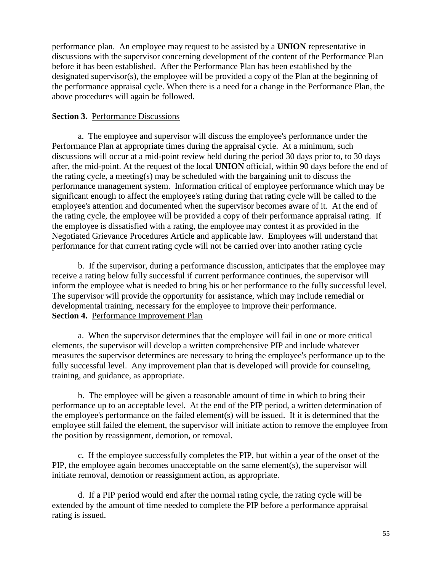performance plan. An employee may request to be assisted by a **UNION** representative in discussions with the supervisor concerning development of the content of the Performance Plan before it has been established. After the Performance Plan has been established by the designated supervisor(s), the employee will be provided a copy of the Plan at the beginning of the performance appraisal cycle. When there is a need for a change in the Performance Plan, the above procedures will again be followed.

#### **Section 3.** Performance Discussions

a. The employee and supervisor will discuss the employee's performance under the Performance Plan at appropriate times during the appraisal cycle. At a minimum, such discussions will occur at a mid-point review held during the period 30 days prior to, to 30 days after, the mid-point. At the request of the local **UNION** official, within 90 days before the end of the rating cycle, a meeting(s) may be scheduled with the bargaining unit to discuss the performance management system. Information critical of employee performance which may be significant enough to affect the employee's rating during that rating cycle will be called to the employee's attention and documented when the supervisor becomes aware of it. At the end of the rating cycle, the employee will be provided a copy of their performance appraisal rating. If the employee is dissatisfied with a rating, the employee may contest it as provided in the Negotiated Grievance Procedures Article and applicable law. Employees will understand that performance for that current rating cycle will not be carried over into another rating cycle

b. If the supervisor, during a performance discussion, anticipates that the employee may receive a rating below fully successful if current performance continues, the supervisor will inform the employee what is needed to bring his or her performance to the fully successful level. The supervisor will provide the opportunity for assistance, which may include remedial or developmental training, necessary for the employee to improve their performance. **Section 4.** Performance Improvement Plan

a. When the supervisor determines that the employee will fail in one or more critical elements, the supervisor will develop a written comprehensive PIP and include whatever measures the supervisor determines are necessary to bring the employee's performance up to the fully successful level. Any improvement plan that is developed will provide for counseling, training, and guidance, as appropriate.

b. The employee will be given a reasonable amount of time in which to bring their performance up to an acceptable level. At the end of the PIP period, a written determination of the employee's performance on the failed element(s) will be issued. If it is determined that the employee still failed the element, the supervisor will initiate action to remove the employee from the position by reassignment, demotion, or removal.

c. If the employee successfully completes the PIP, but within a year of the onset of the PIP, the employee again becomes unacceptable on the same element(s), the supervisor will initiate removal, demotion or reassignment action, as appropriate.

d. If a PIP period would end after the normal rating cycle, the rating cycle will be extended by the amount of time needed to complete the PIP before a performance appraisal rating is issued.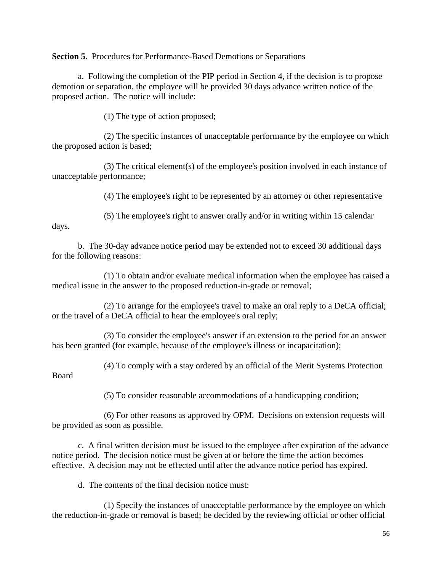**Section 5.** Procedures for Performance-Based Demotions or Separations

a. Following the completion of the PIP period in Section 4, if the decision is to propose demotion or separation, the employee will be provided 30 days advance written notice of the proposed action. The notice will include:

(1) The type of action proposed;

(2) The specific instances of unacceptable performance by the employee on which the proposed action is based;

(3) The critical element(s) of the employee's position involved in each instance of unacceptable performance;

(4) The employee's right to be represented by an attorney or other representative

(5) The employee's right to answer orally and/or in writing within 15 calendar days.

b. The 30-day advance notice period may be extended not to exceed 30 additional days for the following reasons:

(1) To obtain and/or evaluate medical information when the employee has raised a medical issue in the answer to the proposed reduction-in-grade or removal;

(2) To arrange for the employee's travel to make an oral reply to a DeCA official; or the travel of a DeCA official to hear the employee's oral reply;

(3) To consider the employee's answer if an extension to the period for an answer has been granted (for example, because of the employee's illness or incapacitation);

(4) To comply with a stay ordered by an official of the Merit Systems Protection

Board

(5) To consider reasonable accommodations of a handicapping condition;

(6) For other reasons as approved by OPM. Decisions on extension requests will be provided as soon as possible.

c. A final written decision must be issued to the employee after expiration of the advance notice period. The decision notice must be given at or before the time the action becomes effective. A decision may not be effected until after the advance notice period has expired.

d. The contents of the final decision notice must:

(1) Specify the instances of unacceptable performance by the employee on which the reduction-in-grade or removal is based; be decided by the reviewing official or other official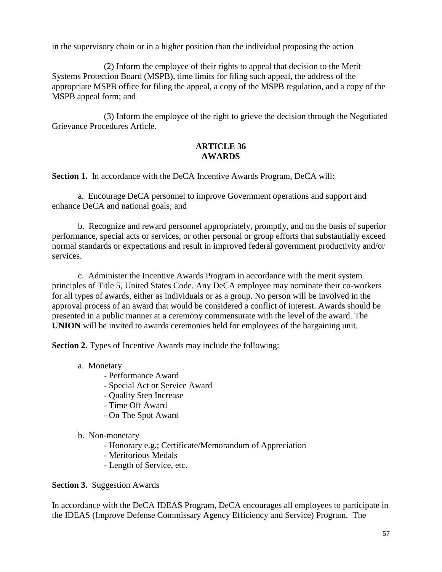in the supervisory chain or in a higher position than the individual proposing the action

(2) Inform the employee of their rights to appeal that decision to the Merit Systems Protection Board (MSPB), time limits for filing such appeal, the address of the appropriate MSPB office for filing the appeal, a copy of the MSPB regulation, and a copy of the MSPB appeal form; and

(3) Inform the employee of the right to grieve the decision through the Negotiated Grievance Procedures Article.

## **ARTICLE 36 AWARDS**

**Section 1.** In accordance with the DeCA Incentive Awards Program, DeCA will:

a. Encourage DeCA personnel to improve Government operations and support and enhance DeCA and national goals; and

b. Recognize and reward personnel appropriately, promptly, and on the basis of superior performance, special acts or services, or other personal or group efforts that substantially exceed normal standards or expectations and result in improved federal government productivity and/or services.

c. Administer the Incentive Awards Program in accordance with the merit system principles of Title 5, United States Code. Any DeCA employee may nominate their co-workers for all types of awards, either as individuals or as a group. No person will be involved in the approval process of an award that would be considered a conflict of interest. Awards should be presented in a public manner at a ceremony commensurate with the level of the award. The **UNION** will be invited to awards ceremonies held for employees of the bargaining unit.

**Section 2.** Types of Incentive Awards may include the following:

- a. Monetary
	- Performance Award
	- Special Act or Service Award
	- Quality Step Increase
	- Time Off Award
	- On The Spot Award
- b. Non-monetary
	- Honorary e.g.; Certificate/Memorandum of Appreciation
	- Meritorious Medals
	- Length of Service, etc.

#### **Section 3.** Suggestion Awards

In accordance with the DeCA IDEAS Program, DeCA encourages all employees to participate in the IDEAS (Improve Defense Commissary Agency Efficiency and Service) Program. The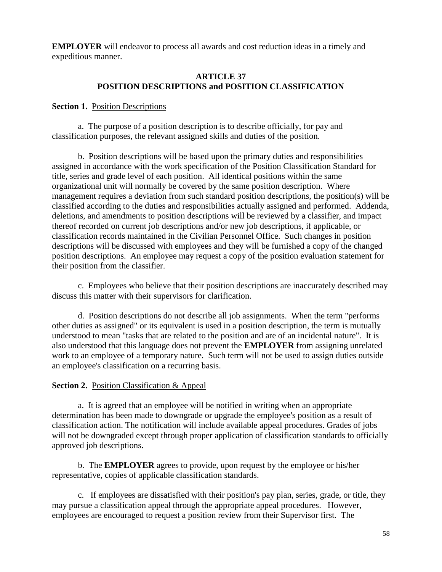**EMPLOYER** will endeavor to process all awards and cost reduction ideas in a timely and expeditious manner.

#### **ARTICLE 37 POSITION DESCRIPTIONS and POSITION CLASSIFICATION**

#### **Section 1. Position Descriptions**

a. The purpose of a position description is to describe officially, for pay and classification purposes, the relevant assigned skills and duties of the position.

b. Position descriptions will be based upon the primary duties and responsibilities assigned in accordance with the work specification of the Position Classification Standard for title, series and grade level of each position. All identical positions within the same organizational unit will normally be covered by the same position description. Where management requires a deviation from such standard position descriptions, the position(s) will be classified according to the duties and responsibilities actually assigned and performed. Addenda, deletions, and amendments to position descriptions will be reviewed by a classifier, and impact thereof recorded on current job descriptions and/or new job descriptions, if applicable, or classification records maintained in the Civilian Personnel Office. Such changes in position descriptions will be discussed with employees and they will be furnished a copy of the changed position descriptions. An employee may request a copy of the position evaluation statement for their position from the classifier.

c. Employees who believe that their position descriptions are inaccurately described may discuss this matter with their supervisors for clarification.

d. Position descriptions do not describe all job assignments. When the term "performs other duties as assigned" or its equivalent is used in a position description, the term is mutually understood to mean "tasks that are related to the position and are of an incidental nature". It is also understood that this language does not prevent the **EMPLOYER** from assigning unrelated work to an employee of a temporary nature. Such term will not be used to assign duties outside an employee's classification on a recurring basis.

#### **Section 2.** Position Classification & Appeal

a. It is agreed that an employee will be notified in writing when an appropriate determination has been made to downgrade or upgrade the employee's position as a result of classification action. The notification will include available appeal procedures. Grades of jobs will not be downgraded except through proper application of classification standards to officially approved job descriptions.

b. The **EMPLOYER** agrees to provide, upon request by the employee or his/her representative, copies of applicable classification standards.

c. If employees are dissatisfied with their position's pay plan, series, grade, or title, they may pursue a classification appeal through the appropriate appeal procedures. However, employees are encouraged to request a position review from their Supervisor first. The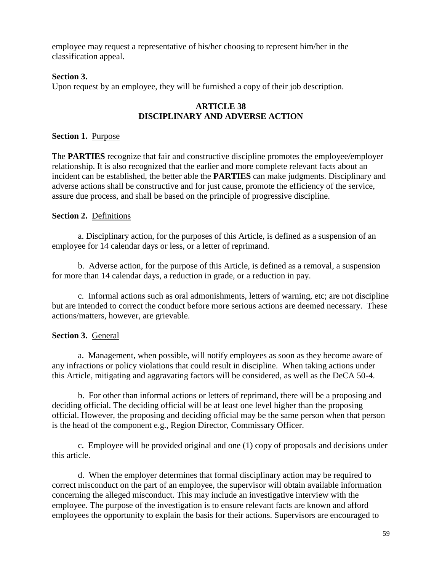employee may request a representative of his/her choosing to represent him/her in the classification appeal.

#### **Section 3.**

Upon request by an employee, they will be furnished a copy of their job description.

#### **ARTICLE 38 DISCIPLINARY AND ADVERSE ACTION**

#### **Section 1.** Purpose

The **PARTIES** recognize that fair and constructive discipline promotes the employee/employer relationship. It is also recognized that the earlier and more complete relevant facts about an incident can be established, the better able the **PARTIES** can make judgments. Disciplinary and adverse actions shall be constructive and for just cause, promote the efficiency of the service, assure due process, and shall be based on the principle of progressive discipline.

#### **Section 2.** Definitions

a. Disciplinary action, for the purposes of this Article, is defined as a suspension of an employee for 14 calendar days or less, or a letter of reprimand.

b. Adverse action, for the purpose of this Article, is defined as a removal, a suspension for more than 14 calendar days, a reduction in grade, or a reduction in pay.

c. Informal actions such as oral admonishments, letters of warning, etc; are not discipline but are intended to correct the conduct before more serious actions are deemed necessary. These actions/matters, however, are grievable.

## **Section 3.** General

a. Management, when possible, will notify employees as soon as they become aware of any infractions or policy violations that could result in discipline. When taking actions under this Article, mitigating and aggravating factors will be considered, as well as the DeCA 50-4.

b. For other than informal actions or letters of reprimand, there will be a proposing and deciding official. The deciding official will be at least one level higher than the proposing official. However, the proposing and deciding official may be the same person when that person is the head of the component e.g., Region Director, Commissary Officer.

c. Employee will be provided original and one (1) copy of proposals and decisions under this article.

d. When the employer determines that formal disciplinary action may be required to correct misconduct on the part of an employee, the supervisor will obtain available information concerning the alleged misconduct. This may include an investigative interview with the employee. The purpose of the investigation is to ensure relevant facts are known and afford employees the opportunity to explain the basis for their actions. Supervisors are encouraged to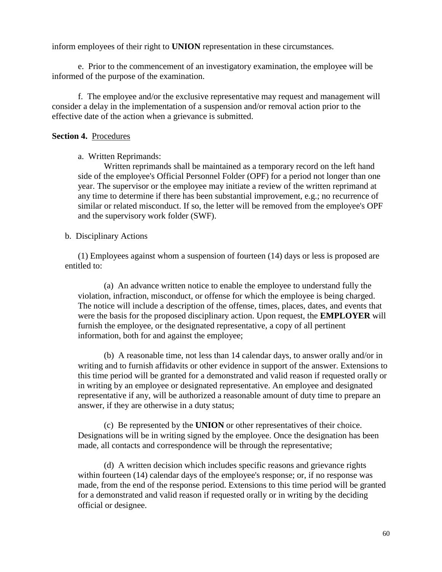inform employees of their right to **UNION** representation in these circumstances.

e. Prior to the commencement of an investigatory examination, the employee will be informed of the purpose of the examination.

f. The employee and/or the exclusive representative may request and management will consider a delay in the implementation of a suspension and/or removal action prior to the effective date of the action when a grievance is submitted.

#### **Section 4.** Procedures

#### a. Written Reprimands:

Written reprimands shall be maintained as a temporary record on the left hand side of the employee's Official Personnel Folder (OPF) for a period not longer than one year. The supervisor or the employee may initiate a review of the written reprimand at any time to determine if there has been substantial improvement, e.g.; no recurrence of similar or related misconduct. If so, the letter will be removed from the employee's OPF and the supervisory work folder (SWF).

#### b. Disciplinary Actions

(1) Employees against whom a suspension of fourteen (14) days or less is proposed are entitled to:

(a) An advance written notice to enable the employee to understand fully the violation, infraction, misconduct, or offense for which the employee is being charged. The notice will include a description of the offense, times, places, dates, and events that were the basis for the proposed disciplinary action. Upon request, the **EMPLOYER** will furnish the employee, or the designated representative, a copy of all pertinent information, both for and against the employee;

(b) A reasonable time, not less than 14 calendar days, to answer orally and/or in writing and to furnish affidavits or other evidence in support of the answer. Extensions to this time period will be granted for a demonstrated and valid reason if requested orally or in writing by an employee or designated representative. An employee and designated representative if any, will be authorized a reasonable amount of duty time to prepare an answer, if they are otherwise in a duty status;

(c) Be represented by the **UNION** or other representatives of their choice. Designations will be in writing signed by the employee. Once the designation has been made, all contacts and correspondence will be through the representative;

(d) A written decision which includes specific reasons and grievance rights within fourteen (14) calendar days of the employee's response; or, if no response was made, from the end of the response period. Extensions to this time period will be granted for a demonstrated and valid reason if requested orally or in writing by the deciding official or designee.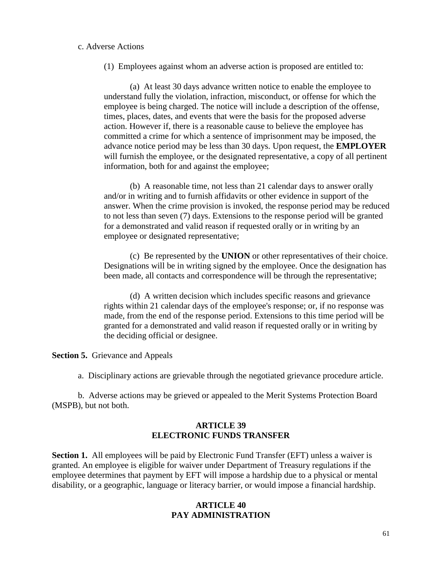#### c. Adverse Actions

(1) Employees against whom an adverse action is proposed are entitled to:

(a) At least 30 days advance written notice to enable the employee to understand fully the violation, infraction, misconduct, or offense for which the employee is being charged. The notice will include a description of the offense, times, places, dates, and events that were the basis for the proposed adverse action. However if, there is a reasonable cause to believe the employee has committed a crime for which a sentence of imprisonment may be imposed, the advance notice period may be less than 30 days. Upon request, the **EMPLOYER**  will furnish the employee, or the designated representative, a copy of all pertinent information, both for and against the employee;

(b) A reasonable time, not less than 21 calendar days to answer orally and/or in writing and to furnish affidavits or other evidence in support of the answer. When the crime provision is invoked, the response period may be reduced to not less than seven (7) days. Extensions to the response period will be granted for a demonstrated and valid reason if requested orally or in writing by an employee or designated representative;

(c) Be represented by the **UNION** or other representatives of their choice. Designations will be in writing signed by the employee. Once the designation has been made, all contacts and correspondence will be through the representative;

(d) A written decision which includes specific reasons and grievance rights within 21 calendar days of the employee's response; or, if no response was made, from the end of the response period. Extensions to this time period will be granted for a demonstrated and valid reason if requested orally or in writing by the deciding official or designee.

**Section 5.** Grievance and Appeals

a. Disciplinary actions are grievable through the negotiated grievance procedure article.

b. Adverse actions may be grieved or appealed to the Merit Systems Protection Board (MSPB), but not both.

#### **ARTICLE 39 ELECTRONIC FUNDS TRANSFER**

**Section 1.** All employees will be paid by Electronic Fund Transfer (EFT) unless a waiver is granted. An employee is eligible for waiver under Department of Treasury regulations if the employee determines that payment by EFT will impose a hardship due to a physical or mental disability, or a geographic, language or literacy barrier, or would impose a financial hardship.

#### **ARTICLE 40 PAY ADMINISTRATION**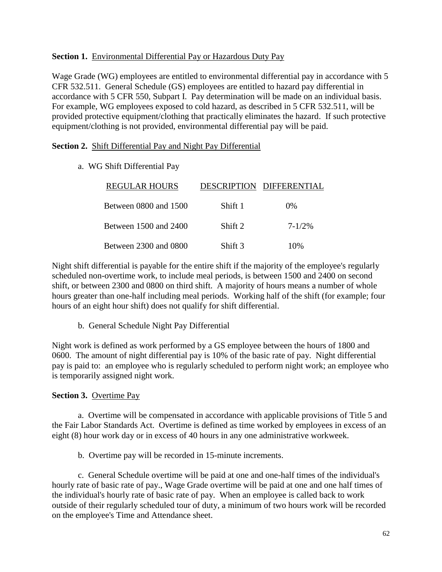#### **Section 1.** Environmental Differential Pay or Hazardous Duty Pay

Wage Grade (WG) employees are entitled to environmental differential pay in accordance with 5 CFR 532.511. General Schedule (GS) employees are entitled to hazard pay differential in accordance with 5 CFR 550, Subpart I. Pay determination will be made on an individual basis. For example, WG employees exposed to cold hazard, as described in 5 CFR 532.511, will be provided protective equipment/clothing that practically eliminates the hazard. If such protective equipment/clothing is not provided, environmental differential pay will be paid.

#### **Section 2.** Shift Differential Pay and Night Pay Differential

a. WG Shift Differential Pay

| <b>REGULAR HOURS</b>  |         | DESCRIPTION DIFFERENTIAL |
|-----------------------|---------|--------------------------|
| Between 0800 and 1500 | Shift 1 | $0\%$                    |
| Between 1500 and 2400 | Shift 2 | $7 - 1/2%$               |
| Between 2300 and 0800 | Shift 3 | 10%                      |

Night shift differential is payable for the entire shift if the majority of the employee's regularly scheduled non-overtime work, to include meal periods, is between 1500 and 2400 on second shift, or between 2300 and 0800 on third shift. A majority of hours means a number of whole hours greater than one-half including meal periods. Working half of the shift (for example; four hours of an eight hour shift) does not qualify for shift differential.

b. General Schedule Night Pay Differential

Night work is defined as work performed by a GS employee between the hours of 1800 and 0600. The amount of night differential pay is 10% of the basic rate of pay. Night differential pay is paid to: an employee who is regularly scheduled to perform night work; an employee who is temporarily assigned night work.

## **Section 3.** Overtime Pay

a.Overtime will be compensated in accordance with applicable provisions of Title 5 and the Fair Labor Standards Act. Overtime is defined as time worked by employees in excess of an eight (8) hour work day or in excess of 40 hours in any one administrative workweek.

b. Overtime pay will be recorded in 15-minute increments.

c. General Schedule overtime will be paid at one and one-half times of the individual's hourly rate of basic rate of pay., Wage Grade overtime will be paid at one and one half times of the individual's hourly rate of basic rate of pay. When an employee is called back to work outside of their regularly scheduled tour of duty, a minimum of two hours work will be recorded on the employee's Time and Attendance sheet.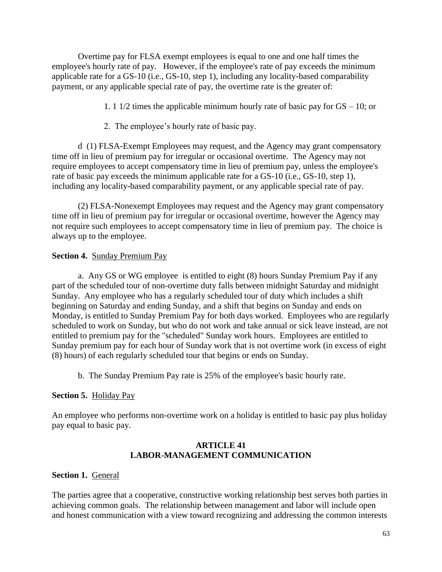Overtime pay for FLSA exempt employees is equal to one and one half times the employee's hourly rate of pay. However, if the employee's rate of pay exceeds the minimum applicable rate for a GS-10 (i.e., GS-10, step 1), including any locality-based comparability payment, or any applicable special rate of pay, the overtime rate is the greater of:

- 1. 1 1/2 times the applicable minimum hourly rate of basic pay for GS 10; or
- 2. The employee's hourly rate of basic pay.

d (1) FLSA-Exempt Employees may request, and the Agency may grant compensatory time off in lieu of premium pay for irregular or occasional overtime. The Agency may not require employees to accept compensatory time in lieu of premium pay, unless the employee's rate of basic pay exceeds the minimum applicable rate for a GS-10 (i.e., GS-10, step 1), including any locality-based comparability payment, or any applicable special rate of pay.

(2) FLSA-Nonexempt Employees may request and the Agency may grant compensatory time off in lieu of premium pay for irregular or occasional overtime, however the Agency may not require such employees to accept compensatory time in lieu of premium pay. The choice is always up to the employee.

## **Section 4.** Sunday Premium Pay

a. Any GS or WG employee is entitled to eight (8) hours Sunday Premium Pay if any part of the scheduled tour of non-overtime duty falls between midnight Saturday and midnight Sunday. Any employee who has a regularly scheduled tour of duty which includes a shift beginning on Saturday and ending Sunday, and a shift that begins on Sunday and ends on Monday, is entitled to Sunday Premium Pay for both days worked. Employees who are regularly scheduled to work on Sunday, but who do not work and take annual or sick leave instead, are not entitled to premium pay for the "scheduled" Sunday work hours. Employees are entitled to Sunday premium pay for each hour of Sunday work that is not overtime work (in excess of eight (8) hours) of each regularly scheduled tour that begins or ends on Sunday.

b. The Sunday Premium Pay rate is 25% of the employee's basic hourly rate.

## **Section 5.** Holiday Pay

An employee who performs non-overtime work on a holiday is entitled to basic pay plus holiday pay equal to basic pay.

## **ARTICLE 41 LABOR-MANAGEMENT COMMUNICATION**

## **Section 1.** General

The parties agree that a cooperative, constructive working relationship best serves both parties in achieving common goals. The relationship between management and labor will include open and honest communication with a view toward recognizing and addressing the common interests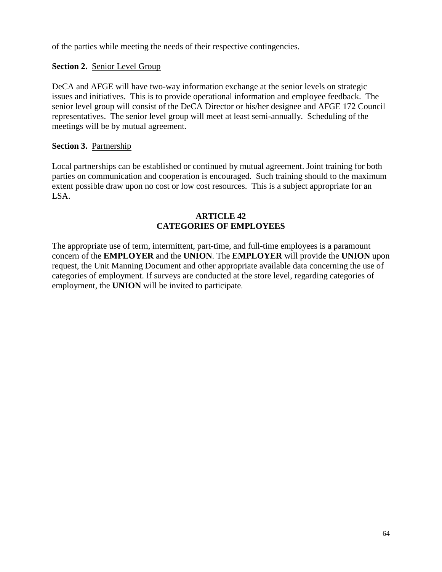of the parties while meeting the needs of their respective contingencies.

## **Section 2.** Senior Level Group

DeCA and AFGE will have two-way information exchange at the senior levels on strategic issues and initiatives. This is to provide operational information and employee feedback. The senior level group will consist of the DeCA Director or his/her designee and AFGE 172 Council representatives. The senior level group will meet at least semi-annually. Scheduling of the meetings will be by mutual agreement.

## **Section 3.** Partnership

Local partnerships can be established or continued by mutual agreement. Joint training for both parties on communication and cooperation is encouraged. Such training should to the maximum extent possible draw upon no cost or low cost resources. This is a subject appropriate for an LSA.

## **ARTICLE 42 CATEGORIES OF EMPLOYEES**

The appropriate use of term, intermittent, part-time, and full-time employees is a paramount concern of the **EMPLOYER** and the **UNION**. The **EMPLOYER** will provide the **UNION** upon request, the Unit Manning Document and other appropriate available data concerning the use of categories of employment. If surveys are conducted at the store level, regarding categories of employment, the **UNION** will be invited to participate.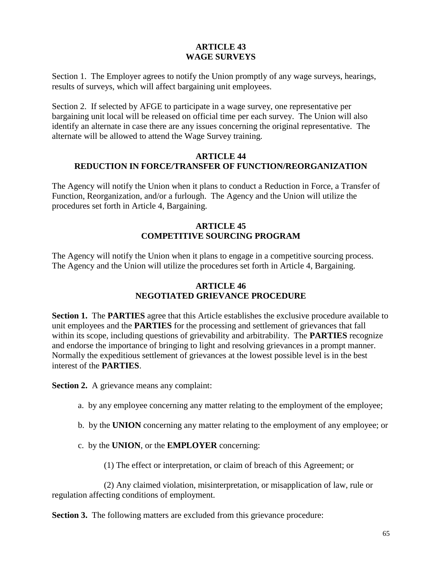## **ARTICLE 43 WAGE SURVEYS**

Section 1. The Employer agrees to notify the Union promptly of any wage surveys, hearings, results of surveys, which will affect bargaining unit employees.

Section 2. If selected by AFGE to participate in a wage survey, one representative per bargaining unit local will be released on official time per each survey. The Union will also identify an alternate in case there are any issues concerning the original representative. The alternate will be allowed to attend the Wage Survey training.

#### **ARTICLE 44 REDUCTION IN FORCE/TRANSFER OF FUNCTION/REORGANIZATION**

The Agency will notify the Union when it plans to conduct a Reduction in Force, a Transfer of Function, Reorganization, and/or a furlough. The Agency and the Union will utilize the procedures set forth in Article 4, Bargaining.

## **ARTICLE 45 COMPETITIVE SOURCING PROGRAM**

The Agency will notify the Union when it plans to engage in a competitive sourcing process. The Agency and the Union will utilize the procedures set forth in Article 4, Bargaining.

## **ARTICLE 46 NEGOTIATED GRIEVANCE PROCEDURE**

**Section 1.** The **PARTIES** agree that this Article establishes the exclusive procedure available to unit employees and the **PARTIES** for the processing and settlement of grievances that fall within its scope, including questions of grievability and arbitrability. The **PARTIES** recognize and endorse the importance of bringing to light and resolving grievances in a prompt manner. Normally the expeditious settlement of grievances at the lowest possible level is in the best interest of the **PARTIES**.

**Section 2.** A grievance means any complaint:

- a. by any employee concerning any matter relating to the employment of the employee;
- b. by the **UNION** concerning any matter relating to the employment of any employee; or
- c. by the **UNION**, or the **EMPLOYER** concerning:

(1) The effect or interpretation, or claim of breach of this Agreement; or

(2) Any claimed violation, misinterpretation, or misapplication of law, rule or regulation affecting conditions of employment.

**Section 3.** The following matters are excluded from this grievance procedure: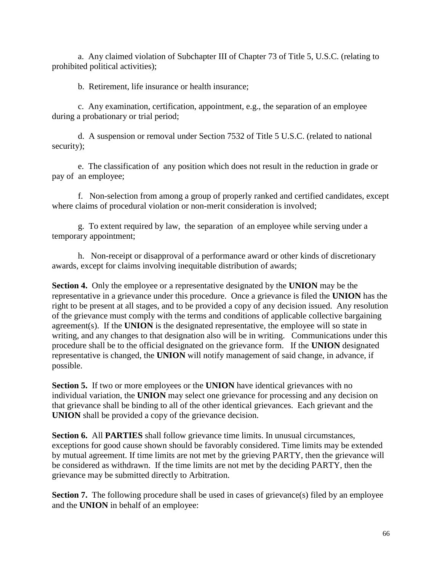a. Any claimed violation of Subchapter III of Chapter 73 of Title 5, U.S.C. (relating to prohibited political activities);

b. Retirement, life insurance or health insurance;

c. Any examination, certification, appointment, e.g., the separation of an employee during a probationary or trial period;

d. A suspension or removal under Section 7532 of Title 5 U.S.C. (related to national security);

e. The classification of any position which does not result in the reduction in grade or pay of an employee;

f. Non-selection from among a group of properly ranked and certified candidates, except where claims of procedural violation or non-merit consideration is involved;

g. To extent required by law, the separation of an employee while serving under a temporary appointment;

h. Non-receipt or disapproval of a performance award or other kinds of discretionary awards, except for claims involving inequitable distribution of awards;

**Section 4.** Only the employee or a representative designated by the **UNION** may be the representative in a grievance under this procedure. Once a grievance is filed the **UNION** has the right to be present at all stages, and to be provided a copy of any decision issued. Any resolution of the grievance must comply with the terms and conditions of applicable collective bargaining agreement(s). If the **UNION** is the designated representative, the employee will so state in writing, and any changes to that designation also will be in writing. Communications under this procedure shall be to the official designated on the grievance form. If the **UNION** designated representative is changed, the **UNION** will notify management of said change, in advance, if possible.

**Section 5.** If two or more employees or the **UNION** have identical grievances with no individual variation, the **UNION** may select one grievance for processing and any decision on that grievance shall be binding to all of the other identical grievances. Each grievant and the **UNION** shall be provided a copy of the grievance decision.

**Section 6.** All **PARTIES** shall follow grievance time limits. In unusual circumstances, exceptions for good cause shown should be favorably considered. Time limits may be extended by mutual agreement. If time limits are not met by the grieving PARTY, then the grievance will be considered as withdrawn. If the time limits are not met by the deciding PARTY, then the grievance may be submitted directly to Arbitration.

**Section 7.** The following procedure shall be used in cases of grievance(s) filed by an employee and the **UNION** in behalf of an employee: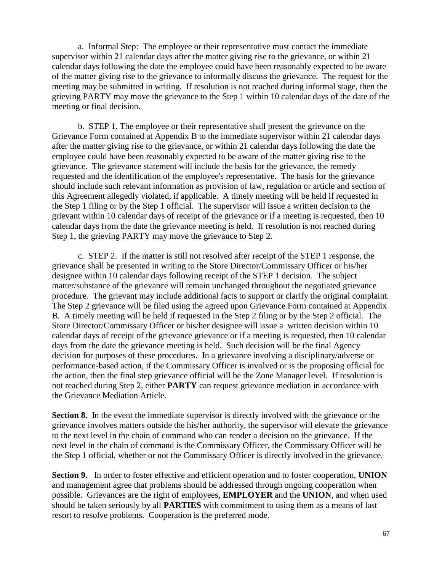a. Informal Step: The employee or their representative must contact the immediate supervisor within 21 calendar days after the matter giving rise to the grievance, or within 21 calendar days following the date the employee could have been reasonably expected to be aware of the matter giving rise to the grievance to informally discuss the grievance. The request for the meeting may be submitted in writing. If resolution is not reached during informal stage, then the grieving PARTY may move the grievance to the Step 1 within 10 calendar days of the date of the meeting or final decision.

b. STEP 1. The employee or their representative shall present the grievance on the Grievance Form contained at Appendix B to the immediate supervisor within 21 calendar days after the matter giving rise to the grievance, or within 21 calendar days following the date the employee could have been reasonably expected to be aware of the matter giving rise to the grievance. The grievance statement will include the basis for the grievance, the remedy requested and the identification of the employee's representative. The basis for the grievance should include such relevant information as provision of law, regulation or article and section of this Agreement allegedly violated, if applicable. A timely meeting will be held if requested in the Step 1 filing or by the Step 1 official. The supervisor will issue a written decision to the grievant within 10 calendar days of receipt of the grievance or if a meeting is requested, then 10 calendar days from the date the grievance meeting is held. If resolution is not reached during Step 1, the grieving PARTY may move the grievance to Step 2.

c. STEP 2. If the matter is still not resolved after receipt of the STEP 1 response, the grievance shall be presented in writing to the Store Director/Commissary Officer or his/her designee within 10 calendar days following receipt of the STEP 1 decision. The subject matter/substance of the grievance will remain unchanged throughout the negotiated grievance procedure. The grievant may include additional facts to support or clarify the original complaint. The Step 2 grievance will be filed using the agreed upon Grievance Form contained at Appendix B. A timely meeting will be held if requested in the Step 2 filing or by the Step 2 official. The Store Director/Commissary Officer or his/her designee will issue a written decision within 10 calendar days of receipt of the grievance grievance or if a meeting is requested, then 10 calendar days from the date the grievance meeting is held. Such decision will be the final Agency decision for purposes of these procedures. In a grievance involving a disciplinary/adverse or performance-based action, if the Commissary Officer is involved or is the proposing official for the action, then the final step grievance official will be the Zone Manager level. If resolution is not reached during Step 2, either **PARTY** can request grievance mediation in accordance with the Grievance Mediation Article.

**Section 8.** In the event the immediate supervisor is directly involved with the grievance or the grievance involves matters outside the his/her authority, the supervisor will elevate the grievance to the next level in the chain of command who can render a decision on the grievance. If the next level in the chain of command is the Commissary Officer, the Commissary Officer will be the Step 1 official, whether or not the Commissary Officer is directly involved in the grievance.

**Section 9.** In order to foster effective and efficient operation and to foster cooperation, **UNION** and management agree that problems should be addressed through ongoing cooperation when possible. Grievances are the right of employees, **EMPLOYER** and the **UNION**, and when used should be taken seriously by all **PARTIES** with commitment to using them as a means of last resort to resolve problems. Cooperation is the preferred mode.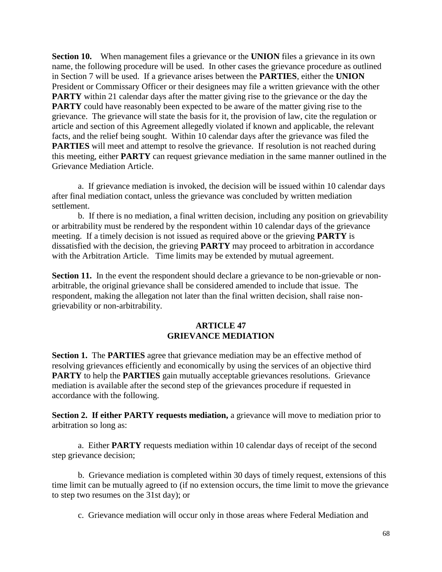**Section 10.** When management files a grievance or the **UNION** files a grievance in its own name, the following procedure will be used. In other cases the grievance procedure as outlined in Section 7 will be used. If a grievance arises between the **PARTIES**, either the **UNION** President or Commissary Officer or their designees may file a written grievance with the other **PARTY** within 21 calendar days after the matter giving rise to the grievance or the day the **PARTY** could have reasonably been expected to be aware of the matter giving rise to the grievance. The grievance will state the basis for it, the provision of law, cite the regulation or article and section of this Agreement allegedly violated if known and applicable, the relevant facts, and the relief being sought. Within 10 calendar days after the grievance was filed the **PARTIES** will meet and attempt to resolve the grievance. If resolution is not reached during this meeting, either **PARTY** can request grievance mediation in the same manner outlined in the Grievance Mediation Article.

a. If grievance mediation is invoked, the decision will be issued within 10 calendar days after final mediation contact, unless the grievance was concluded by written mediation settlement.

b. If there is no mediation, a final written decision, including any position on grievability or arbitrability must be rendered by the respondent within 10 calendar days of the grievance meeting. If a timely decision is not issued as required above or the grieving **PARTY** is dissatisfied with the decision, the grieving **PARTY** may proceed to arbitration in accordance with the Arbitration Article. Time limits may be extended by mutual agreement.

**Section 11.** In the event the respondent should declare a grievance to be non-grievable or nonarbitrable, the original grievance shall be considered amended to include that issue. The respondent, making the allegation not later than the final written decision, shall raise nongrievability or non-arbitrability.

#### **ARTICLE 47 GRIEVANCE MEDIATION**

**Section 1.** The **PARTIES** agree that grievance mediation may be an effective method of resolving grievances efficiently and economically by using the services of an objective third **PARTY** to help the **PARTIES** gain mutually acceptable grievances resolutions. Grievance mediation is available after the second step of the grievances procedure if requested in accordance with the following.

**Section 2. If either PARTY requests mediation, a grievance will move to mediation prior to** arbitration so long as:

a. Either **PARTY** requests mediation within 10 calendar days of receipt of the second step grievance decision;

b. Grievance mediation is completed within 30 days of timely request, extensions of this time limit can be mutually agreed to (if no extension occurs, the time limit to move the grievance to step two resumes on the 31st day); or

c. Grievance mediation will occur only in those areas where Federal Mediation and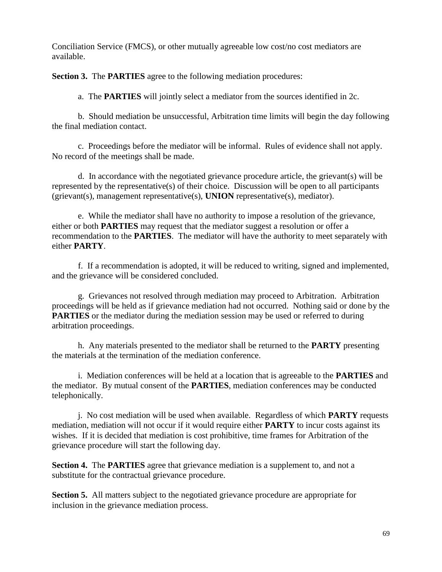Conciliation Service (FMCS), or other mutually agreeable low cost/no cost mediators are available.

**Section 3.** The **PARTIES** agree to the following mediation procedures:

a. The **PARTIES** will jointly select a mediator from the sources identified in 2c.

b. Should mediation be unsuccessful, Arbitration time limits will begin the day following the final mediation contact.

c. Proceedings before the mediator will be informal. Rules of evidence shall not apply. No record of the meetings shall be made.

d. In accordance with the negotiated grievance procedure article, the grievant(s) will be represented by the representative(s) of their choice. Discussion will be open to all participants (grievant(s), management representative(s), **UNION** representative(s), mediator).

e. While the mediator shall have no authority to impose a resolution of the grievance, either or both **PARTIES** may request that the mediator suggest a resolution or offer a recommendation to the **PARTIES**. The mediator will have the authority to meet separately with either **PARTY**.

f. If a recommendation is adopted, it will be reduced to writing, signed and implemented, and the grievance will be considered concluded.

g. Grievances not resolved through mediation may proceed to Arbitration. Arbitration proceedings will be held as if grievance mediation had not occurred. Nothing said or done by the **PARTIES** or the mediator during the mediation session may be used or referred to during arbitration proceedings.

h. Any materials presented to the mediator shall be returned to the **PARTY** presenting the materials at the termination of the mediation conference.

i. Mediation conferences will be held at a location that is agreeable to the **PARTIES** and the mediator. By mutual consent of the **PARTIES**, mediation conferences may be conducted telephonically.

j. No cost mediation will be used when available. Regardless of which **PARTY** requests mediation, mediation will not occur if it would require either **PARTY** to incur costs against its wishes. If it is decided that mediation is cost prohibitive, time frames for Arbitration of the grievance procedure will start the following day.

**Section 4.** The **PARTIES** agree that grievance mediation is a supplement to, and not a substitute for the contractual grievance procedure.

**Section 5.** All matters subject to the negotiated grievance procedure are appropriate for inclusion in the grievance mediation process.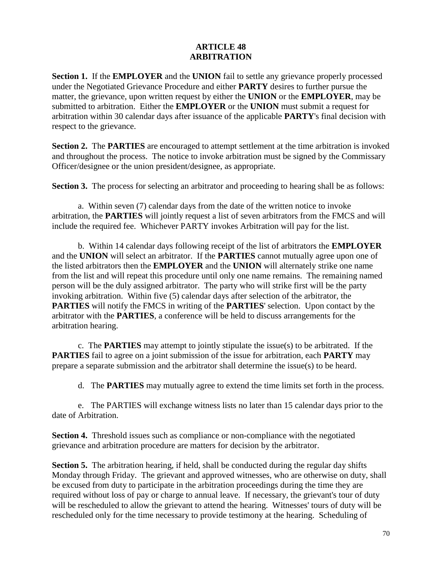#### **ARTICLE 48 ARBITRATION**

**Section 1.** If the **EMPLOYER** and the **UNION** fail to settle any grievance properly processed under the Negotiated Grievance Procedure and either **PARTY** desires to further pursue the matter, the grievance, upon written request by either the **UNION** or the **EMPLOYER**, may be submitted to arbitration. Either the **EMPLOYER** or the **UNION** must submit a request for arbitration within 30 calendar days after issuance of the applicable **PARTY**'s final decision with respect to the grievance.

**Section 2.** The **PARTIES** are encouraged to attempt settlement at the time arbitration is invoked and throughout the process. The notice to invoke arbitration must be signed by the Commissary Officer/designee or the union president/designee, as appropriate.

**Section 3.** The process for selecting an arbitrator and proceeding to hearing shall be as follows:

a. Within seven (7) calendar days from the date of the written notice to invoke arbitration, the **PARTIES** will jointly request a list of seven arbitrators from the FMCS and will include the required fee. Whichever PARTY invokes Arbitration will pay for the list.

b. Within 14 calendar days following receipt of the list of arbitrators the **EMPLOYER** and the **UNION** will select an arbitrator. If the **PARTIES** cannot mutually agree upon one of the listed arbitrators then the **EMPLOYER** and the **UNION** will alternately strike one name from the list and will repeat this procedure until only one name remains. The remaining named person will be the duly assigned arbitrator. The party who will strike first will be the party invoking arbitration. Within five (5) calendar days after selection of the arbitrator, the **PARTIES** will notify the FMCS in writing of the **PARTIES**' selection. Upon contact by the arbitrator with the **PARTIES**, a conference will be held to discuss arrangements for the arbitration hearing.

c. The **PARTIES** may attempt to jointly stipulate the issue(s) to be arbitrated. If the **PARTIES** fail to agree on a joint submission of the issue for arbitration, each **PARTY** may prepare a separate submission and the arbitrator shall determine the issue(s) to be heard.

d. The **PARTIES** may mutually agree to extend the time limits set forth in the process.

e. The PARTIES will exchange witness lists no later than 15 calendar days prior to the date of Arbitration.

**Section 4.** Threshold issues such as compliance or non-compliance with the negotiated grievance and arbitration procedure are matters for decision by the arbitrator.

**Section 5.** The arbitration hearing, if held, shall be conducted during the regular day shifts Monday through Friday. The grievant and approved witnesses, who are otherwise on duty, shall be excused from duty to participate in the arbitration proceedings during the time they are required without loss of pay or charge to annual leave. If necessary, the grievant's tour of duty will be rescheduled to allow the grievant to attend the hearing. Witnesses' tours of duty will be rescheduled only for the time necessary to provide testimony at the hearing. Scheduling of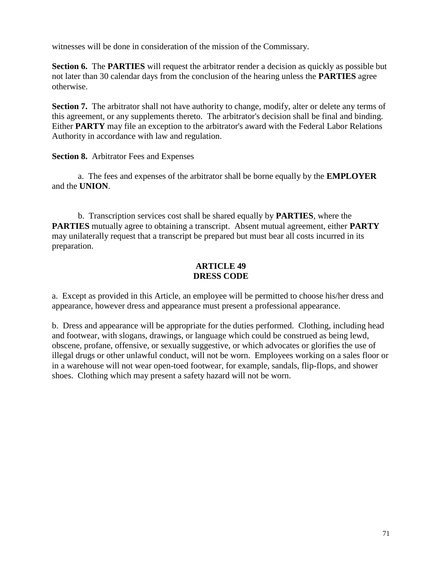witnesses will be done in consideration of the mission of the Commissary.

**Section 6.** The **PARTIES** will request the arbitrator render a decision as quickly as possible but not later than 30 calendar days from the conclusion of the hearing unless the **PARTIES** agree otherwise.

**Section 7.** The arbitrator shall not have authority to change, modify, alter or delete any terms of this agreement, or any supplements thereto. The arbitrator's decision shall be final and binding. Either **PARTY** may file an exception to the arbitrator's award with the Federal Labor Relations Authority in accordance with law and regulation.

**Section 8.** Arbitrator Fees and Expenses

a. The fees and expenses of the arbitrator shall be borne equally by the **EMPLOYER** and the **UNION**.

b. Transcription services cost shall be shared equally by **PARTIES**, where the **PARTIES** mutually agree to obtaining a transcript. Absent mutual agreement, either **PARTY** may unilaterally request that a transcript be prepared but must bear all costs incurred in its preparation.

## **ARTICLE 49 DRESS CODE**

a. Except as provided in this Article, an employee will be permitted to choose his/her dress and appearance, however dress and appearance must present a professional appearance.

b. Dress and appearance will be appropriate for the duties performed. Clothing, including head and footwear, with slogans, drawings, or language which could be construed as being lewd, obscene, profane, offensive, or sexually suggestive, or which advocates or glorifies the use of illegal drugs or other unlawful conduct, will not be worn. Employees working on a sales floor or in a warehouse will not wear open-toed footwear, for example, sandals, flip-flops, and shower shoes. Clothing which may present a safety hazard will not be worn.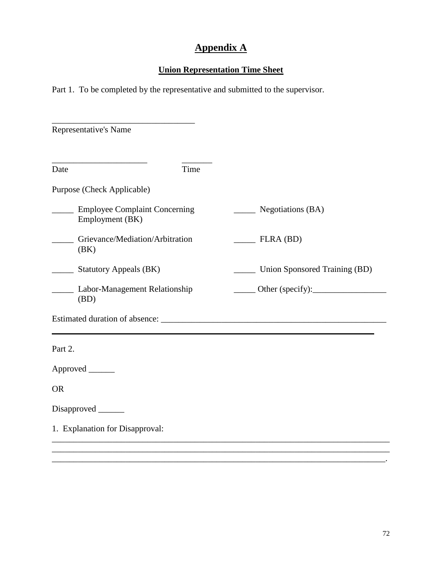# **Appendix A**

## **Union Representation Time Sheet**

Part 1. To be completed by the representative and submitted to the supervisor.

| Representative's Name                                   |                                                                                                                                            |
|---------------------------------------------------------|--------------------------------------------------------------------------------------------------------------------------------------------|
| Time<br>Date                                            |                                                                                                                                            |
| Purpose (Check Applicable)                              |                                                                                                                                            |
| <b>Employee Complaint Concerning</b><br>Employment (BK) | $\qquad$ Negotiations (BA)                                                                                                                 |
| Grievance/Mediation/Arbitration<br>(BK)                 | $\overline{\phantom{A}}$ FLRA (BD)                                                                                                         |
| $\frac{1}{2}$ Statutory Appeals (BK)                    | Union Sponsored Training (BD)                                                                                                              |
| ___ Labor-Management Relationship<br>(BD)               | $\frac{1}{\sqrt{1-\frac{1}{2}}}\text{Other (specificity)}:\frac{1}{\sqrt{1-\frac{1}{2}}}\text{ or }\frac{1}{\sqrt{1-\frac{1}{2}}}\text{.}$ |
|                                                         |                                                                                                                                            |
| Part 2.                                                 |                                                                                                                                            |
| Approved ______                                         |                                                                                                                                            |
| <b>OR</b>                                               |                                                                                                                                            |
| Disapproved ______                                      |                                                                                                                                            |
| 1. Explanation for Disapproval:                         |                                                                                                                                            |

\_\_\_\_\_\_\_\_\_\_\_\_\_\_\_\_\_\_\_\_\_\_\_\_\_\_\_\_\_\_\_\_\_\_\_\_\_\_\_\_\_\_\_\_\_\_\_\_\_\_\_\_\_\_\_\_\_\_\_\_\_\_\_\_\_\_\_\_\_\_\_\_\_\_\_\_\_.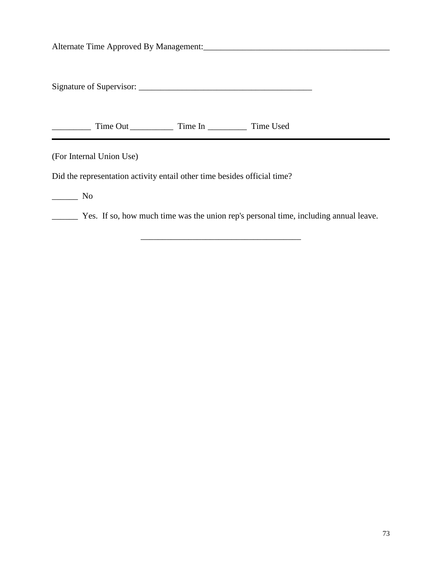Alternate Time Approved By Management:\_\_\_\_\_\_\_\_\_\_\_\_\_\_\_\_\_\_\_\_\_\_\_\_\_\_\_\_\_\_\_\_\_\_\_\_\_\_\_\_\_\_\_

Signature of Supervisor: \_\_\_\_\_\_\_\_\_\_\_\_\_\_\_\_\_\_\_\_\_\_\_\_\_\_\_\_\_\_\_\_\_\_\_\_\_\_\_\_

\_\_\_\_\_\_\_\_\_ Time Out \_\_\_\_\_\_\_\_\_\_ Time In \_\_\_\_\_\_\_\_\_ Time Used

(For Internal Union Use)

Did the representation activity entail other time besides official time?

\_\_\_\_\_\_ No

\_\_\_\_\_\_ Yes. If so, how much time was the union rep's personal time, including annual leave.

\_\_\_\_\_\_\_\_\_\_\_\_\_\_\_\_\_\_\_\_\_\_\_\_\_\_\_\_\_\_\_\_\_\_\_\_\_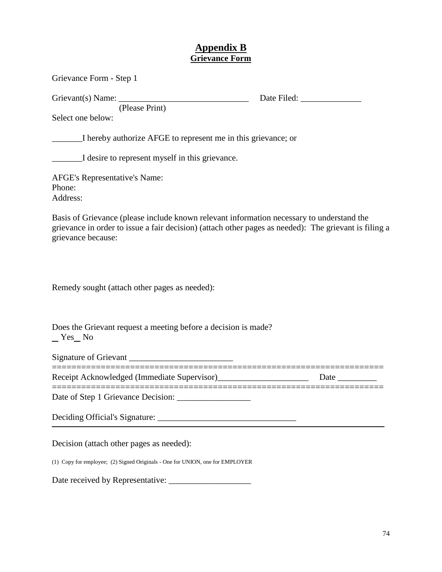## **Appendix B Grievance Form**

| Grievance Form - Step 1                                                                                         |                                                                                                       |
|-----------------------------------------------------------------------------------------------------------------|-------------------------------------------------------------------------------------------------------|
| Grievant(s) Name:<br>(Please Print)                                                                             |                                                                                                       |
| Select one below:                                                                                               |                                                                                                       |
| I hereby authorize AFGE to represent me in this grievance; or                                                   |                                                                                                       |
| I desire to represent myself in this grievance.                                                                 |                                                                                                       |
| <b>AFGE's Representative's Name:</b><br>Phone:<br>Address:                                                      |                                                                                                       |
| Basis of Grievance (please include known relevant information necessary to understand the<br>grievance because: | grievance in order to issue a fair decision) (attach other pages as needed): The grievant is filing a |
| Remedy sought (attach other pages as needed):                                                                   |                                                                                                       |
| Does the Grievant request a meeting before a decision is made?<br>Nes No                                        |                                                                                                       |
| Signature of Grievant _______________________                                                                   |                                                                                                       |
| Receipt Acknowledged (Immediate Supervisor)________________________                                             | Date $\_\_$                                                                                           |
|                                                                                                                 |                                                                                                       |
|                                                                                                                 |                                                                                                       |
| Decision (attach other pages as needed):                                                                        |                                                                                                       |
| (1) Copy for employee; (2) Signed Originals - One for UNION, one for EMPLOYER                                   |                                                                                                       |

Date received by Representative: \_\_\_\_\_\_\_\_\_\_\_\_\_\_\_\_\_\_\_